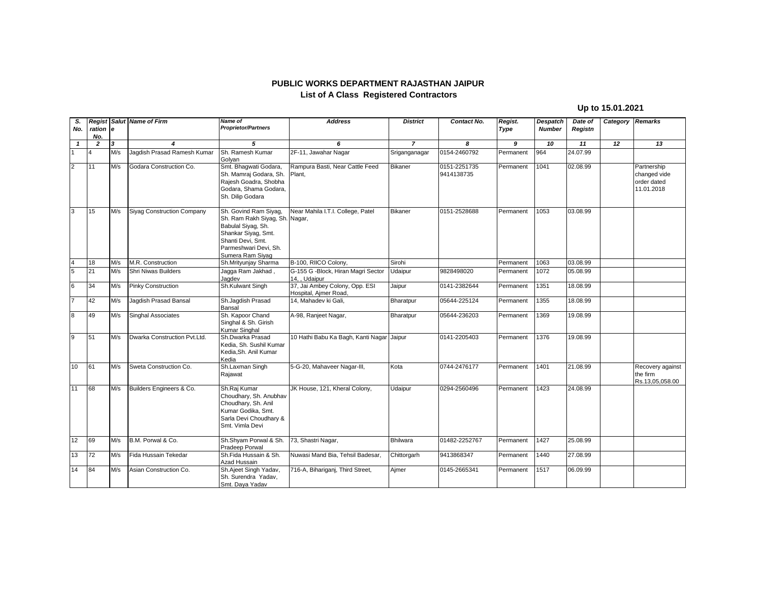## **PUBLIC WORKS DEPARTMENT RAJASTHAN JAIPUR List of A Class Registered Contractors**

## **Up to 15.01.2021**

| S.                      |                 |     | <b>Regist Salut Name of Firm</b> | Name of                                                                                                                                                                | <b>Address</b>                                          | <b>District</b> | Contact No.                | Regist.   | <b>Despatch</b> | Date of  | Category Remarks |                                                          |
|-------------------------|-----------------|-----|----------------------------------|------------------------------------------------------------------------------------------------------------------------------------------------------------------------|---------------------------------------------------------|-----------------|----------------------------|-----------|-----------------|----------|------------------|----------------------------------------------------------|
| No.                     | ration e<br>No. |     |                                  | <b>Proprietor/Partners</b>                                                                                                                                             |                                                         |                 |                            | Type      | <b>Number</b>   | Registn  |                  |                                                          |
| $\mathbf{1}$            | $\overline{2}$  | 3   | 4                                | 5                                                                                                                                                                      | 6                                                       | $\overline{7}$  | 8                          | 9         | 10              | 11       | 12               | 13                                                       |
|                         | 4               | M/s | Jaqdish Prasad Ramesh Kumar      | Sh. Ramesh Kumar<br>Golyan                                                                                                                                             | 2F-11, Jawahar Nagar                                    | Sriganganagar   | 0154-2460792               | Permanent | 964             | 24.07.99 |                  |                                                          |
| $\overline{2}$          | 11              | M/s | Godara Construction Co.          | Smt. Bhagwati Godara,<br>Sh. Mamraj Godara, Sh.<br>Rajesh Goadra, Shobha<br>Godara, Shama Godara,<br>Sh. Dilip Godara                                                  | Rampura Basti, Near Cattle Feed<br>Plant.               | <b>Bikaner</b>  | 0151-2251735<br>9414138735 | Permanent | 1041            | 02.08.99 |                  | Partnership<br>changed vide<br>order dated<br>11.01.2018 |
| $\overline{3}$          | 15              | M/s | Siyag Construction Company       | Sh. Govind Ram Siyag,<br>Sh. Ram Rakh Siyag, Sh. Nagar,<br>Babulal Siyag, Sh.<br>Shankar Siyag, Smt.<br>Shanti Devi, Smt.<br>Parmeshwari Devi, Sh.<br>Sumera Ram Siyag | Near Mahila I.T.I. College, Patel                       | <b>Bikaner</b>  | 0151-2528688               | Permanent | 1053            | 03.08.99 |                  |                                                          |
| $\overline{\mathbf{4}}$ | 18              | M/s | M.R. Construction                | Sh.Mrityunjay Sharma                                                                                                                                                   | B-100, RIICO Colony,                                    | Sirohi          |                            | Permanent | 1063            | 03.08.99 |                  |                                                          |
| $\overline{5}$          | 21              | M/s | Shri Niwas Builders              | Jagga Ram Jakhad,<br>Jagdev                                                                                                                                            | G-155 G -Block, Hiran Magri Sector<br>14, Udaipur       | Udaipur         | 9828498020                 | Permanent | 1072            | 05.08.99 |                  |                                                          |
| 6                       | 34              | M/s | <b>Pinky Construction</b>        | Sh.Kulwant Singh                                                                                                                                                       | 37, Jai Ambey Colony, Opp. ESI<br>Hospital, Ajmer Road, | Jaipur          | 0141-2382644               | Permanent | 1351            | 18.08.99 |                  |                                                          |
| $\overline{7}$          | 42              | M/s | Jagdish Prasad Bansal            | Sh.Jaqdish Prasad<br>Bansal                                                                                                                                            | 14, Mahadev ki Gali,                                    | Bharatpur       | 05644-225124               | Permanent | 1355            | 18.08.99 |                  |                                                          |
| $\overline{8}$          | 49              | M/s | <b>Singhal Associates</b>        | Sh. Kapoor Chand<br>Singhal & Sh. Girish<br>Kumar Singhal                                                                                                              | A-98, Ranjeet Nagar,                                    | Bharatpur       | 05644-236203               | Permanent | 1369            | 19.08.99 |                  |                                                          |
| $\overline{9}$          | 51              | M/s | Dwarka Construction Pvt.Ltd.     | Sh.Dwarka Prasad<br>Kedia, Sh. Sushil Kumar<br>Kedia, Sh. Anil Kumar<br>Kedia                                                                                          | 10 Hathi Babu Ka Bagh, Kanti Nagar Jaipur               |                 | 0141-2205403               | Permanent | 1376            | 19.08.99 |                  |                                                          |
| 10                      | 61              | M/s | Sweta Construction Co.           | Sh.Laxman Singh<br>Rajawat                                                                                                                                             | 5-G-20, Mahaveer Nagar-III,                             | Kota            | 0744-2476177               | Permanent | 1401            | 21.08.99 |                  | Recovery against<br>the firm<br>Rs.13,05,058.00          |
| 11                      | 68              | M/s | Builders Engineers & Co.         | Sh.Raj Kumar<br>Choudhary, Sh. Anubhav<br>Choudhary, Sh. Anil<br>Kumar Godika, Smt.<br>Sarla Devi Choudhary &<br>Smt. Vimla Devi                                       | JK House, 121, Kheral Colony,                           | Udaipur         | 0294-2560496               | Permanent | 1423            | 24.08.99 |                  |                                                          |
| 12                      | 69              | M/s | B.M. Porwal & Co.                | Sh.Shyam Porwal & Sh.<br>Pradeep Porwal                                                                                                                                | 73, Shastri Nagar,                                      | Bhilwara        | 01482-2252767              | Permanent | 1427            | 25.08.99 |                  |                                                          |
| 13                      | 72              | M/s | Fida Hussain Tekedar             | Sh.Fida Hussain & Sh.<br>Azad Hussain                                                                                                                                  | Nuwasi Mand Bia, Tehsil Badesar,                        | Chittorgarh     | 9413868347                 | Permanent | 1440            | 27.08.99 |                  |                                                          |
| 14                      | 84              | M/s | Asian Construction Co.           | Sh.Ajeet Singh Yadav,<br>Sh. Surendra Yadav,<br>Smt. Daya Yadav                                                                                                        | 716-A, Bihariganj, Third Street,                        | Ajmer           | 0145-2665341               | Permanent | 1517            | 06.09.99 |                  |                                                          |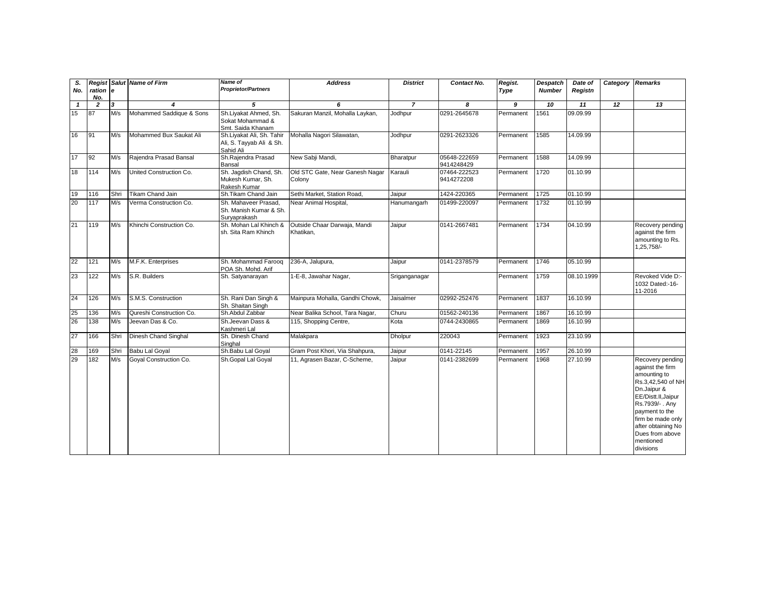| S.           |                |      | <b>Regist Salut Name of Firm</b> | <b>Name of</b>                                                     | <b>Address</b>                            | <b>District</b> | Contact No.                | Regist.   | <b>Despatch</b> | Date of        | Category Remarks |                                                                                                                                                                                                                                              |
|--------------|----------------|------|----------------------------------|--------------------------------------------------------------------|-------------------------------------------|-----------------|----------------------------|-----------|-----------------|----------------|------------------|----------------------------------------------------------------------------------------------------------------------------------------------------------------------------------------------------------------------------------------------|
| No.          | ration e       |      |                                  | <b>Proprietor/Partners</b>                                         |                                           |                 |                            | Type      | <b>Number</b>   | Registn        |                  |                                                                                                                                                                                                                                              |
|              | No.            | 3    |                                  | 5                                                                  |                                           |                 |                            |           |                 |                | $\overline{12}$  |                                                                                                                                                                                                                                              |
| $\mathbf{1}$ | $\overline{2}$ |      | 4<br>Mohammed Saddique & Sons    | Sh.Liyakat Ahmed, Sh.                                              | 6                                         | $\overline{7}$  | 8<br>0291-2645678          | 9         | 10<br>1561      | 11<br>09.09.99 |                  | 13                                                                                                                                                                                                                                           |
| 15           | 87             | M/s  |                                  | Sokat Mohammad &<br>Smt. Saida Khanam                              | Sakuran Manzil, Mohalla Laykan,           | Jodhpur         |                            | Permanent |                 |                |                  |                                                                                                                                                                                                                                              |
| 16           | 91             | M/s  | Mohammed Bux Saukat Ali          | Sh.Liyakat Ali, Sh. Tahir<br>Ali, S. Tayyab Ali & Sh.<br>Sahid Ali | Mohalla Nagori Silawatan,                 | Jodhpur         | 0291-2623326               | Permanent | 1585            | 14.09.99       |                  |                                                                                                                                                                                                                                              |
| 17           | 92             | M/s  | Rajendra Prasad Bansal           | Sh.Rajendra Prasad<br>Bansal                                       | New Sabji Mandi,                          | Bharatpur       | 05648-222659<br>9414248429 | Permanent | 1588            | 14.09.99       |                  |                                                                                                                                                                                                                                              |
| 18           | 114            | M/s  | United Construction Co.          | Sh. Jagdish Chand, Sh.<br>Mukesh Kumar, Sh.<br>Rakesh Kumar        | Old STC Gate, Near Ganesh Nagar<br>Colony | Karauli         | 07464-222523<br>9414272208 | Permanent | 1720            | 01.10.99       |                  |                                                                                                                                                                                                                                              |
| 19           | 116            | Shri | Tikam Chand Jain                 | Sh.Tikam Chand Jain                                                | Sethi Market, Station Road,               | Jaipur          | 1424-220365                | Permanent | 1725            | 01.10.99       |                  |                                                                                                                                                                                                                                              |
| 20           | 117            | M/s  | Verma Construction Co.           | Sh. Mahaveer Prasad,<br>Sh. Manish Kumar & Sh.<br>Suryaprakash     | Near Animal Hospital,                     | Hanumangarh     | 01499-220097               | Permanent | 1732            | 01.10.99       |                  |                                                                                                                                                                                                                                              |
| 21           | 119            | M/s  | Khinchi Construction Co.         | Sh. Mohan Lal Khinch &<br>sh. Sita Ram Khinch                      | Outside Chaar Darwaja, Mandi<br>Khatikan, | Jaipur          | 0141-2667481               | Permanent | 1734            | 04.10.99       |                  | Recovery pending<br>against the firm<br>amounting to Rs.<br>1,25,758/-                                                                                                                                                                       |
| 22           | 121            | M/s  | M.F.K. Enterprises               | Sh. Mohammad Faroog<br>POA Sh. Mohd. Arif                          | 236-A, Jalupura,                          | Jaipur          | 0141-2378579               | Permanent | 1746            | 05.10.99       |                  |                                                                                                                                                                                                                                              |
| 23           | 122            | M/s  | S.R. Builders                    | Sh. Satyanarayan                                                   | 1-E-8, Jawahar Nagar,                     | Sriganganagar   |                            | Permanent | 1759            | 08.10.1999     |                  | Revoked Vide D:-<br>1032 Dated:-16-<br>11-2016                                                                                                                                                                                               |
| 24           | 126            | M/s  | S.M.S. Construction              | Sh. Rani Dan Singh &<br>Sh. Shaitan Singh                          | Mainpura Mohalla, Gandhi Chowk,           | Jaisalmer       | 02992-252476               | Permanent | 1837            | 16.10.99       |                  |                                                                                                                                                                                                                                              |
| 25           | 136            | M/s  | Qureshi Construction Co.         | Sh.Abdul Zabbar                                                    | Near Balika School, Tara Nagar,           | Churu           | 01562-240136               | Permanent | 1867            | 16.10.99       |                  |                                                                                                                                                                                                                                              |
| 26           | 138            | M/s  | Jeevan Das & Co.                 | Sh.Jeevan Dass &<br>Kashmeri Lal                                   | 115, Shopping Centre,                     | Kota            | 0744-2430865               | Permanent | 1869            | 16.10.99       |                  |                                                                                                                                                                                                                                              |
| 27           | 166            | Shri | Dinesh Chand Singhal             | Sh. Dinesh Chand<br>Singhal                                        | Malakpara                                 | <b>Dholpur</b>  | 220043                     | Permanent | 1923            | 23.10.99       |                  |                                                                                                                                                                                                                                              |
| 28           | 169            | Shri | <b>Babu Lal Goyal</b>            | Sh.Babu Lal Goyal                                                  | Gram Post Khori, Via Shahpura,            | Jaipur          | 0141-22145                 | Permanent | 1957            | 26.10.99       |                  |                                                                                                                                                                                                                                              |
| 29           | 182            | M/s  | Goyal Construction Co.           | Sh.Gopal Lal Goyal                                                 | 11, Agrasen Bazar, C-Scheme,              | Jaipur          | 0141-2382699               | Permanent | 1968            | 27.10.99       |                  | Recovery pending<br>against the firm<br>amounting to<br>Rs.3,42,540 of NH<br>Dn.Jaipur &<br>EE/Distt.II, Jaipur<br>Rs.7939/- . Any<br>payment to the<br>firm be made only<br>after obtaining No<br>Dues from above<br>mentioned<br>divisions |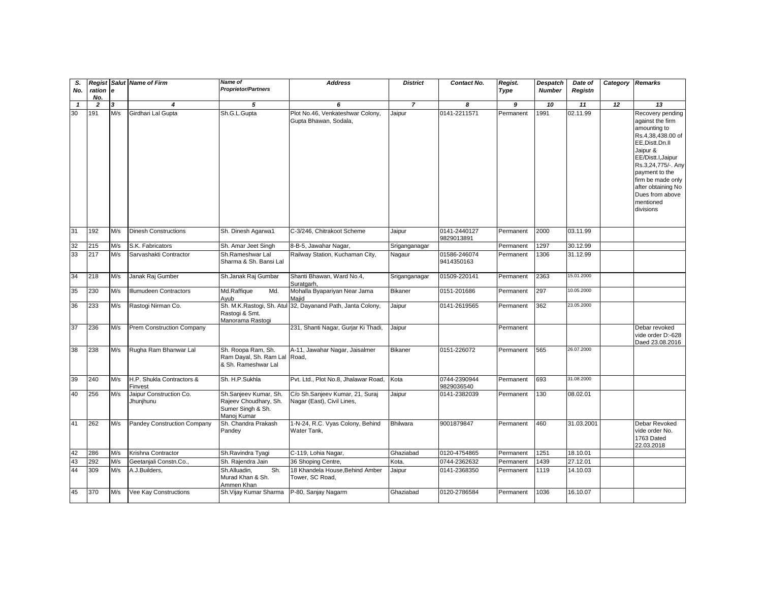| S.<br>No.    | ration e<br>No. |                         | <b>Regist Salut Name of Firm</b>     | <b>Name of</b><br><b>Proprietor/Partners</b>                                       | <b>Address</b>                                                | <b>District</b> | Contact No.                | Regist.<br>Type | <b>Despatch</b><br><b>Number</b> | Date of<br>Registn | <b>Category Remarks</b> |                                                                                                                                                                                                                                                                |
|--------------|-----------------|-------------------------|--------------------------------------|------------------------------------------------------------------------------------|---------------------------------------------------------------|-----------------|----------------------------|-----------------|----------------------------------|--------------------|-------------------------|----------------------------------------------------------------------------------------------------------------------------------------------------------------------------------------------------------------------------------------------------------------|
| $\mathbf{1}$ | $\overline{2}$  | $\overline{\mathbf{3}}$ | $\boldsymbol{4}$                     | 5                                                                                  | 6                                                             | $\overline{7}$  | 8                          | $\overline{9}$  | 10                               | 11                 | $\overline{12}$         | $\overline{13}$                                                                                                                                                                                                                                                |
| 30           | 191             | M/s                     | Girdhari Lal Gupta                   | Sh.G.L.Gupta                                                                       | Plot No.46, Venkateshwar Colony,<br>Gupta Bhawan, Sodala,     | Jaipur          | 0141-2211571               | Permanent       | 1991                             | 02.11.99           |                         | Recovery pending<br>against the firm<br>amounting to<br>Rs.4,38,438.00 of<br>EE, Distt.Dn.II<br>Jaipur &<br>EE/Distt.I, Jaipur<br>Rs.3,24,775/-. Any<br>payment to the<br>firm be made only<br>after obtaining No<br>Dues from above<br>mentioned<br>divisions |
| 31           | 192             | M/s                     | <b>Dinesh Constructions</b>          | Sh. Dinesh Agarwa1                                                                 | C-3/246, Chitrakoot Scheme                                    | Jaipur          | 0141-2440127<br>9829013891 | Permanent       | 2000                             | 03.11.99           |                         |                                                                                                                                                                                                                                                                |
| 32           | 215             | M/s                     | S.K. Fabricators                     | Sh. Amar Jeet Singh                                                                | 8-B-5, Jawahar Nagar,                                         | Sriganganagar   |                            | Permanent       | 1297                             | 30.12.99           |                         |                                                                                                                                                                                                                                                                |
| 33           | 217             | M/s                     | Sarvashakti Contractor               | Sh.Rameshwar Lal<br>Sharma & Sh. Bansi Lal                                         | Railway Station, Kuchaman City,                               | Nagaur          | 01586-246074<br>9414350163 | Permanent       | 1306                             | 31.12.99           |                         |                                                                                                                                                                                                                                                                |
| 34           | 218             | M/s                     | Janak Raj Gumber                     | Sh.Janak Raj Gumbar                                                                | Shanti Bhawan, Ward No.4,<br>Suratgarh,                       | Sriganganagar   | 01509-220141               | Permanent       | 2363                             | 15.01.2000         |                         |                                                                                                                                                                                                                                                                |
| 35           | 230             | M/s                     | Illumudeen Contractors               | Md.Raffique<br>Md.<br>Ayub                                                         | Mohalla Byapariyan Near Jama<br>Majid                         | <b>Bikaner</b>  | 0151-201686                | Permanent       | 297                              | 10.05.2000         |                         |                                                                                                                                                                                                                                                                |
| 36           | 233             | M/s                     | Rastogi Nirman Co.                   | Sh. M.K.Rastogi, Sh. Atul<br>Rastogi & Smt.<br>Manorama Rastogi                    | 32, Dayanand Path, Janta Colony,                              | Jaipur          | 0141-2619565               | Permanent       | 362                              | 23.05.2000         |                         |                                                                                                                                                                                                                                                                |
| 37           | 236             | M/s                     | <b>Prem Construction Company</b>     |                                                                                    | 231, Shanti Nagar, Gurjar Ki Thadi,                           | Jaipur          |                            | Permanent       |                                  |                    |                         | Debar revoked<br>vide order D:-628<br>Daed 23.08.2016                                                                                                                                                                                                          |
| 38           | 238             | M/s                     | Rugha Ram Bhanwar Lal                | Sh. Roopa Ram, Sh.<br>Ram Dayal, Sh. Ram Lal Road,<br>& Sh. Rameshwar Lal          | A-11, Jawahar Nagar, Jaisalmer                                | <b>Bikaner</b>  | 0151-226072                | Permanent       | 565                              | 26.07.2000         |                         |                                                                                                                                                                                                                                                                |
| 39           | 240             | M/s                     | H.P. Shukla Contractors &<br>Finvest | Sh. H.P.Sukhla                                                                     | Pvt. Ltd., Plot No.8, Jhalawar Road,                          | Kota            | 0744-2390944<br>9829036540 | Permanent       | 693                              | 31.08.2000         |                         |                                                                                                                                                                                                                                                                |
| 40           | 256             | M/s                     | Jaipur Construction Co.<br>Jhunjhunu | Sh.Sanjeev Kumar, Sh.<br>Rajeev Choudhary, Sh.<br>Sumer Singh & Sh.<br>Manoj Kumar | C/o Sh.Sanjeev Kumar, 21, Suraj<br>Nagar (East), Civil Lines, | Jaipur          | 0141-2382039               | Permanent       | 130                              | 08.02.01           |                         |                                                                                                                                                                                                                                                                |
| 41           | 262             | M/s                     | Pandey Construction Company          | Sh. Chandra Prakash<br>Pandey                                                      | 1-N-24, R.C. Vyas Colony, Behind<br>Water Tank,               | <b>Bhilwara</b> | 9001879847                 | Permanent       | 460                              | 31.03.2001         |                         | Debar Revoked<br>vide order No.<br>1763 Dated<br>22.03.2018                                                                                                                                                                                                    |
| 42           | 286             | M/s                     | Krishna Contractor                   | Sh.Ravindra Tyagi                                                                  | C-119, Lohia Nagar,                                           | Ghaziabad       | 0120-4754865               | Permanent       | 1251                             | 18.10.01           |                         |                                                                                                                                                                                                                                                                |
| 43           | 292             | M/s                     | Geetanjali Constn.Co.,               | Sh. Rajendra Jain                                                                  | 36 Shoping Centre,                                            | Kota.           | 0744-2362632               | Permanent       | 1439                             | 27.12.01           |                         |                                                                                                                                                                                                                                                                |
| 44           | 309             | M/s                     | A.J.Builders,                        | Sh.<br>Sh.Alluadin.<br>Murad Khan & Sh.<br>Ammen Khan                              | 18 Khandela House, Behind Amber<br>Tower, SC Road,            | Jaipur          | 0141-2368350               | Permanent       | 1119                             | 14.10.03           |                         |                                                                                                                                                                                                                                                                |
| 45           | 370             | M/s                     | Vee Kay Constructions                | Sh. Vijay Kumar Sharma                                                             | P-80, Sanjay Nagarm                                           | Ghaziabad       | 0120-2786584               | Permanent       | 1036                             | 16.10.07           |                         |                                                                                                                                                                                                                                                                |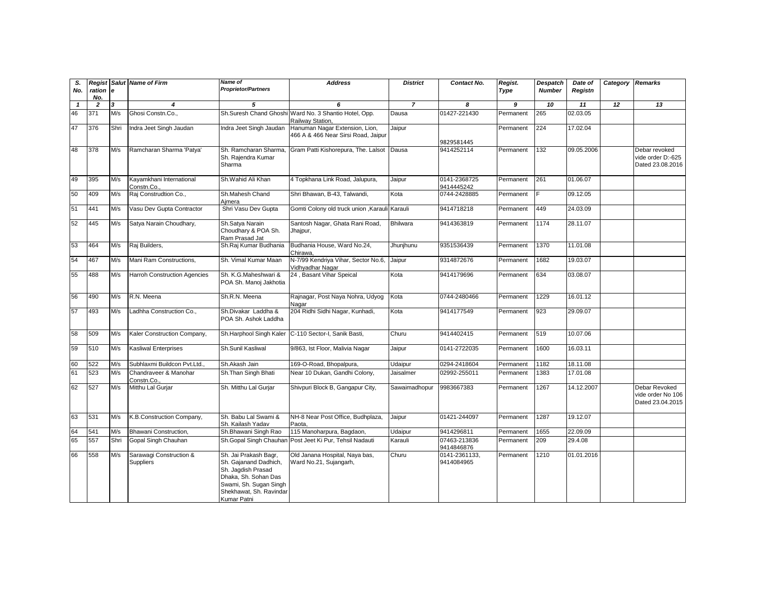| S.<br>No.    | ration e<br>No. |                         | <b>Regist Salut Name of Firm</b>       | Name of<br><b>Proprietor/Partners</b>                                                                                                                            | <b>Address</b>                                                            | <b>District</b> | Contact No.                 | Regist.<br>Type | <b>Despatch</b><br><b>Number</b> | Date of<br>Registn | Category Remarks |                                                        |
|--------------|-----------------|-------------------------|----------------------------------------|------------------------------------------------------------------------------------------------------------------------------------------------------------------|---------------------------------------------------------------------------|-----------------|-----------------------------|-----------------|----------------------------------|--------------------|------------------|--------------------------------------------------------|
| $\mathbf{1}$ | $\overline{2}$  | $\overline{\mathbf{3}}$ | 4                                      | 5                                                                                                                                                                | 6                                                                         | $\overline{z}$  | 8                           | $\overline{g}$  | 10                               | 11                 | $\overline{12}$  | $\overline{13}$                                        |
| 46           | 371             | M/s                     | Ghosi Constn.Co                        |                                                                                                                                                                  | Sh.Suresh Chand Ghoshi Ward No. 3 Shantio Hotel, Opp.<br>Railway Station, | Dausa           | 01427-221430                | Permanent       | 265                              | 02.03.05           |                  |                                                        |
| 47           | 376             | Shri                    | Indra Jeet Singh Jaudan                | Indra Jeet Singh Jaudan                                                                                                                                          | Hanuman Nagar Extension, Lion,<br>466 A & 466 Near Sirsi Road, Jaipur     | Jaipur          | 9829581445                  | Permanent       | 224                              | 17.02.04           |                  |                                                        |
| 48           | 378             | M/s                     | Ramcharan Sharma 'Patya'               | Sh. Ramcharan Sharma.<br>Sh. Rajendra Kumar<br>Sharma                                                                                                            | Gram Patti Kishorepura, The. Lalsot                                       | Dausa           | 9414252114                  | Permanent       | 132                              | 09.05.2006         |                  | Debar revoked<br>vide order D:-625<br>Dated 23.08.2016 |
| 49           | 395             | M/s                     | Kayamkhani International<br>Constn.Co. | Sh.Wahid Ali Khan                                                                                                                                                | 4 Topkhana Link Road, Jalupura,                                           | Jaipur          | 0141-2368725<br>9414445242  | Permanent       | 261                              | 01.06.07           |                  |                                                        |
| 50           | 409             | M/s                     | Raj Construdtion Co.,                  | Sh.Mahesh Chand<br>Aimera                                                                                                                                        | Shri Bhawan, B-43, Talwandi,                                              | Kota            | 0744-2428885                | Permanent       | E                                | 09.12.05           |                  |                                                        |
| 51           | 441             | M/s                     | Vasu Dev Gupta Contractor              | Shri Vasu Dev Gupta                                                                                                                                              | Gomti Colony old truck union , Karauli Karauli                            |                 | 9414718218                  | Permanent       | 449                              | 24.03.09           |                  |                                                        |
| 52           | 445             | M/s                     | Satya Narain Choudhary,                | Sh.Satya Narain<br>Choudhary & POA Sh.<br>Ram Prasad Jat                                                                                                         | Santosh Nagar, Ghata Rani Road,<br>Jhajpur,                               | <b>Bhilwara</b> | 9414363819                  | Permanent       | 1174                             | 28.11.07           |                  |                                                        |
| 53           | 464             | M/s                     | Raj Builders,                          | Sh.Raj Kumar Budhania                                                                                                                                            | Budhania House, Ward No.24,<br>Chirawa.                                   | Jhunjhunu       | 9351536439                  | Permanent       | 1370                             | 11.01.08           |                  |                                                        |
| 54           | 467             | M/s                     | Mani Ram Constructions,                | Sh. Vimal Kumar Maan                                                                                                                                             | N-7/99 Kendriya Vihar, Sector No.6,<br>Vidhyadhar Naqar                   | Jaipur          | 9314872676                  | Permanent       | 1682                             | 19.03.07           |                  |                                                        |
| 55           | 488             | M/s                     | <b>Harroh Construction Agencies</b>    | Sh. K.G.Maheshwari &<br>POA Sh. Manoj Jakhotia                                                                                                                   | 24, Basant Vihar Speical                                                  | Kota            | 9414179696                  | Permanent       | 634                              | 03.08.07           |                  |                                                        |
| 56           | 490             | M/s                     | R.N. Meena                             | Sh.R.N. Meena                                                                                                                                                    | Rajnagar, Post Naya Nohra, Udyog<br>Nagar                                 | Kota            | 0744-2480466                | Permanent       | 1229                             | 16.01.12           |                  |                                                        |
| 57           | 493             | M/s                     | Ladhha Construction Co.,               | Sh.Divakar Laddha &<br>POA Sh. Ashok Laddha                                                                                                                      | 204 Ridhi Sidhi Nagar, Kunhadi,                                           | Kota            | 9414177549                  | Permanent       | 923                              | 29.09.07           |                  |                                                        |
| 58           | 509             | M/s                     | Kaler Construction Company,            | Sh.Harphool Singh Kaler                                                                                                                                          | C-110 Sector-I, Sanik Basti,                                              | Churu           | 9414402415                  | Permanent       | 519                              | 10.07.06           |                  |                                                        |
| 59           | 510             | M/s                     | Kasliwal Enterprises                   | Sh.Sunil Kasliwal                                                                                                                                                | 9/863, Ist Floor, Malivia Nagar                                           | Jaipur          | 0141-2722035                | Permanent       | 1600                             | 16.03.11           |                  |                                                        |
| 60           | 522             | M/s                     | Subhlaxmi Buildcon Pvt.Ltd.,           | Sh.Akash Jain                                                                                                                                                    | 169-O-Road, Bhopalpura,                                                   | Udaipur         | 0294-2418604                | Permanent       | 1182                             | 18.11.08           |                  |                                                        |
| 61           | 523             | M/s                     | Chandraveer & Manohar<br>Constn.Co.    | Sh.Than Singh Bhati                                                                                                                                              | Near 10 Dukan, Gandhi Colony,                                             | Jaisalmer       | 02992-255011                | Permanent       | 1383                             | 17.01.08           |                  |                                                        |
| 62           | 527             | M/s                     | Mitthu Lal Gurjar                      | Sh. Mitthu Lal Gurjar                                                                                                                                            | Shivpuri Block B, Gangapur City,                                          | Sawaimadhopur   | 9983667383                  | Permanent       | 1267                             | 14.12.2007         |                  | Debar Revoked<br>vide order No 106<br>Dated 23.04.2015 |
| 63           | 531             | M/s                     | K.B.Construction Company,              | Sh. Babu Lal Swami &<br>Sh. Kailash Yadav                                                                                                                        | NH-8 Near Post Office, Budhplaza,<br>Paota.                               | Jaipur          | 01421-244097                | Permanent       | 1287                             | 19.12.07           |                  |                                                        |
| 64           | 541             | M/s                     | Bhawani Construction.                  | Sh.Bhawani Singh Rao                                                                                                                                             | 115 Manoharpura, Bagdaon,                                                 | Udaipur         | 9414296811                  | Permanent       | 1655                             | 22.09.09           |                  |                                                        |
| 65           | 557             | Shri                    | Gopal Singh Chauhan                    | Sh.Gopal Singh Chauhar                                                                                                                                           | Post Jeet Ki Pur, Tehsil Nadauti                                          | Karauli         | 07463-213836<br>9414846876  | Permanent       | 209                              | 29.4.08            |                  |                                                        |
| 66           | 558             | M/s                     | Sarawagi Construction &<br>Suppliers   | Sh. Jai Prakash Bagr,<br>Sh. Gajanand Dadhich,<br>Sh. Jagdish Prasad<br>Dhaka, Sh. Sohan Das<br>Swami, Sh. Sugan Singh<br>Shekhawat, Sh. Ravindar<br>Kumar Patni | Old Janana Hospital, Naya bas,<br>Ward No.21, Sujangarh,                  | Churu           | 0141-2361133,<br>9414084965 | Permanent       | 1210                             | 01.01.2016         |                  |                                                        |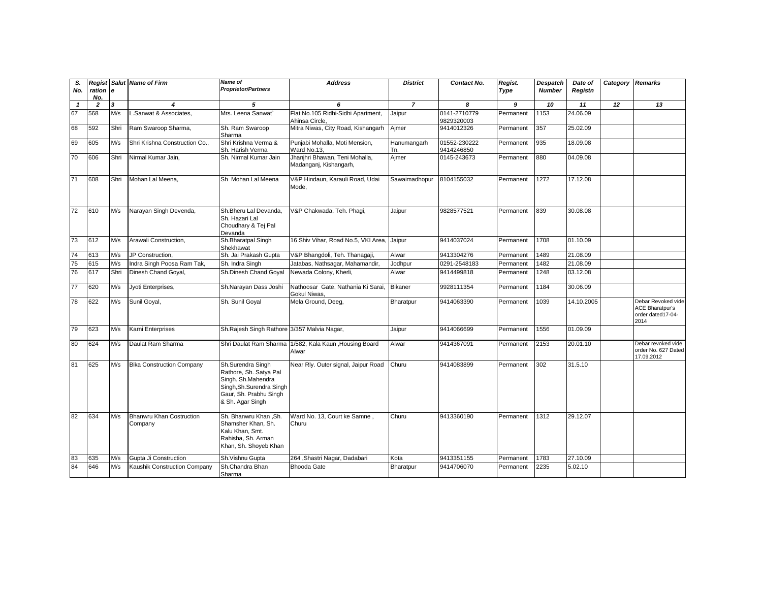| S.<br>No.    | ration<br>No. | l e  | <b>Regist Salut Name of Firm</b>           | <b>Name of</b><br><b>Proprietor/Partners</b>                                                                                                 | <b>Address</b>                                           | <b>District</b>    | Contact No.                | Regist.<br>Type | <b>Despatch</b><br><b>Number</b> | Date of<br>Registn | Category Remarks |                                                                           |
|--------------|---------------|------|--------------------------------------------|----------------------------------------------------------------------------------------------------------------------------------------------|----------------------------------------------------------|--------------------|----------------------------|-----------------|----------------------------------|--------------------|------------------|---------------------------------------------------------------------------|
| $\mathbf{1}$ | 2             | 3    | 4                                          | 5                                                                                                                                            | 6                                                        | $\overline{7}$     | 8                          | 9               | 10                               | 11                 | 12               | 13                                                                        |
| 67           | 568           | M/s  | Sanwat & Associates.                       | Mrs. Leena Sanwat                                                                                                                            | Flat No.105 Ridhi-Sidhi Apartment,<br>Ahinsa Circle,     | Jaipur             | 0141-2710779<br>9829320003 | Permanent       | 1153                             | 24.06.09           |                  |                                                                           |
| 68           | 592           | Shri | Ram Swaroop Sharma,                        | Sh. Ram Swaroop<br>Sharma                                                                                                                    | Mitra Niwas, City Road, Kishangarh                       | Ajmer              | 9414012326                 | Permanent       | 357                              | 25.02.09           |                  |                                                                           |
| 69           | 605           | M/s  | Shri Krishna Construction Co               | Shri Krishna Verma &<br>Sh. Harish Verma                                                                                                     | Punjabi Mohalla, Moti Mension,<br>Ward No.13,            | Hanumangarh<br>Tn. | 01552-230222<br>9414246850 | Permanent       | 935                              | 18.09.08           |                  |                                                                           |
| 70           | 606           | Shri | Nirmal Kumar Jain,                         | Sh. Nirmal Kumar Jain                                                                                                                        | Jhanjhri Bhawan, Teni Mohalla,<br>Madanganj, Kishangarh, | Ajmer              | 0145-243673                | Permanent       | 880                              | 04.09.08           |                  |                                                                           |
| 71           | 608           | Shri | Mohan Lal Meena,                           | Sh Mohan Lal Meena                                                                                                                           | V&P Hindaun, Karauli Road, Udai<br>Mode,                 | Sawaimadhopur      | 8104155032                 | Permanent       | 1272                             | 17.12.08           |                  |                                                                           |
| 72           | 610           | M/s  | Narayan Singh Devenda,                     | Sh.Bheru Lal Devanda.<br>Sh. Hazari Lal<br>Choudhary & Tej Pal<br>Devanda                                                                    | V&P Chakwada, Teh. Phagi,                                | Jaipur             | 9828577521                 | Permanent       | 839                              | 30.08.08           |                  |                                                                           |
| 73           | 612           | M/s  | Arawali Construction,                      | Sh.Bharatpal Singh<br>Shekhawat                                                                                                              | 16 Shiv Vihar, Road No.5, VKI Area, Jaipur               |                    | 9414037024                 | Permanent       | 1708                             | 01.10.09           |                  |                                                                           |
| 74           | 613           | M/s  | JP Construction.                           | Sh. Jai Prakash Gupta                                                                                                                        | V&P Bhangdoli, Teh. Thanagaji                            | Alwar              | 9413304276                 | Permanent       | 1489                             | 21.08.09           |                  |                                                                           |
| 75           | 615           | M/s  | Indra Singh Poosa Ram Tak,                 | Sh. Indra Singh                                                                                                                              | Jatabas, Nathsagar, Mahamandir,                          | Jodhpur            | 0291-2548183               | Permanent       | 1482                             | 21.08.09           |                  |                                                                           |
| 76           | 617           | Shri | Dinesh Chand Goyal,                        | Sh.Dinesh Chand Goyal                                                                                                                        | Newada Colony, Kherli,                                   | Alwar              | 9414499818                 | Permanent       | 1248                             | 03.12.08           |                  |                                                                           |
| 77           | 620           | M/s  | Jyoti Enterprises,                         | Sh.Narayan Dass Joshi                                                                                                                        | Nathoosar Gate, Nathania Ki Sarai.<br>Gokul Niwas,       | <b>Bikaner</b>     | 9928111354                 | Permanent       | 1184                             | 30.06.09           |                  |                                                                           |
| 78           | 622           | M/s  | Sunil Goyal,                               | Sh. Sunil Goyal                                                                                                                              | Mela Ground, Deeg,                                       | Bharatpur          | 9414063390                 | Permanent       | 1039                             | 14.10.2005         |                  | Debar Revoked vide<br><b>ACE Bharatpur's</b><br>order dated17-04-<br>2014 |
| 79           | 623           | M/s  | Karni Enterprises                          | Sh.Rajesh Singh Rathore 3/357 Malvia Nagar,                                                                                                  |                                                          | Jaipur             | 9414066699                 | Permanent       | 1556                             | 01.09.09           |                  |                                                                           |
| 80           | 624           | M/s  | Daulat Ram Sharma                          | Shri Daulat Ram Sharma                                                                                                                       | 1/582, Kala Kaun , Housing Board<br>Alwar                | Alwar              | 9414367091                 | Permanent       | 2153                             | 20.01.10           |                  | Debar revoked vide<br>order No. 627 Dated<br>17.09.2012                   |
| 81           | 625           | M/s  | <b>Bika Construction Company</b>           | Sh.Surendra Singh<br>Rathore, Sh. Satya Pal<br>Singh. Sh.Mahendra<br>Singh, Sh. Surendra Singh<br>Gaur, Sh. Prabhu Singh<br>& Sh. Agar Singh | Near Rly. Outer signal, Jaipur Road                      | Churu              | 9414083899                 | Permanent       | 302                              | 31.5.10            |                  |                                                                           |
| 82           | 634           | M/s  | <b>Bhanwru Khan Costruction</b><br>Company | Sh. Bhanwru Khan, Sh.<br>Shamsher Khan, Sh.<br>Kalu Khan, Smt.<br>Rahisha, Sh. Arman<br>Khan, Sh. Shoyeb Khan                                | Ward No. 13, Court ke Samne,<br>Churu                    | Churu              | 9413360190                 | Permanent       | 1312                             | 29.12.07           |                  |                                                                           |
| 83           | 635           | M/s  | Gupta Ji Construction                      | Sh.Vishnu Gupta                                                                                                                              | 264, Shastri Nagar, Dadabari                             | Kota               | 9413351155                 | Permanent       | 1783                             | 27.10.09           |                  |                                                                           |
| 84           | 646           | M/s  | Kaushik Construction Company               | Sh.Chandra Bhan<br>Sharma                                                                                                                    | <b>Bhooda Gate</b>                                       | Bharatpur          | 9414706070                 | Permanent       | 2235                             | 5.02.10            |                  |                                                                           |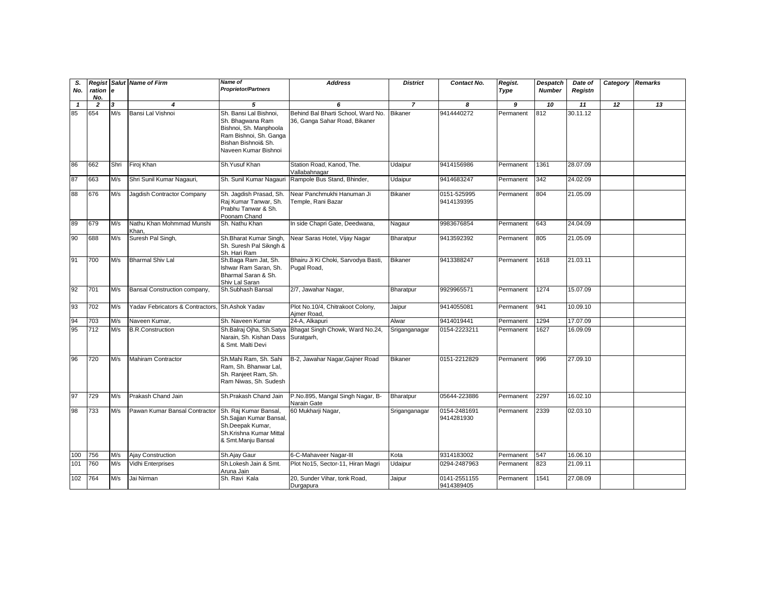| S.<br>No.    | ration<br>No.  | l e                     | Regist Salut Name of Firm          | <b>Name of</b><br><b>Proprietor/Partners</b>                                                                                                  | <b>Address</b>                                                      | <b>District</b> | Contact No.                | Regist.<br>Type | Despatch<br><b>Number</b> | Date of<br>Registn | Category | Remarks |
|--------------|----------------|-------------------------|------------------------------------|-----------------------------------------------------------------------------------------------------------------------------------------------|---------------------------------------------------------------------|-----------------|----------------------------|-----------------|---------------------------|--------------------|----------|---------|
| $\mathbf{1}$ | $\overline{2}$ | $\overline{\mathbf{3}}$ | $\boldsymbol{4}$                   | 5                                                                                                                                             | 6                                                                   | $\overline{7}$  | 8                          | 9               | 10                        | 11                 | 12       | 13      |
| 85           | 654            | M/s                     | Bansi Lal Vishnoi                  | Sh. Bansi Lal Bishnoi.<br>Sh. Bhaqwana Ram<br>Bishnoi, Sh. Manphoola<br>Ram Bishnoi, Sh. Ganga<br>Bishan Bishnoi& Sh.<br>Naveen Kumar Bishnoi | Behind Bal Bharti School, Ward No.<br>36, Ganga Sahar Road, Bikaner | <b>Bikaner</b>  | 9414440272                 | Permanent       | 812                       | 30.11.12           |          |         |
| 86           | 662            | Shri                    | Firoj Khan                         | Sh.Yusuf Khan                                                                                                                                 | Station Road, Kanod, The.<br>Vallabahnagar                          | Udaipur         | 9414156986                 | Permanent       | 1361                      | 28.07.09           |          |         |
| 87           | 663            | M/s                     | Shri Sunil Kumar Nagauri,          | Sh. Sunil Kumar Nagauri                                                                                                                       | Rampole Bus Stand, Bhinder,                                         | Udaipur         | 9414683247                 | Permanent       | 342                       | 24.02.09           |          |         |
| 88           | 676            | M/s                     | Jagdish Contractor Company         | Sh. Jagdish Prasad, Sh.<br>Raj Kumar Tanwar, Sh.<br>Prabhu Tanwar & Sh.<br>Poonam Chand                                                       | Near Panchmukhi Hanuman Ji<br>Temple, Rani Bazar                    | <b>Bikaner</b>  | 0151-525995<br>9414139395  | Permanent       | 804                       | 21.05.09           |          |         |
| 89           | 679            | M/s                     | Nathu Khan Mohmmad Munshi<br>Khan, | Sh. Nathu Khan                                                                                                                                | In side Chapri Gate, Deedwana,                                      | Nagaur          | 9983676854                 | Permanent       | 643                       | 24.04.09           |          |         |
| 90           | 688            | M/s                     | Suresh Pal Singh,                  | Sh.Bharat Kumar Singh,<br>Sh. Suresh Pal Sikngh &<br>Sh. Hari Ram                                                                             | Near Saras Hotel, Vijay Nagar                                       | Bharatpur       | 9413592392                 | Permanent       | 805                       | 21.05.09           |          |         |
| 91           | 700            | M/s                     | <b>Bharmal Shiv Lal</b>            | Sh.Baga Ram Jat, Sh.<br>Ishwar Ram Saran, Sh.<br>Bharmal Saran & Sh.<br>Shiv Lal Saran                                                        | Bhairu Ji Ki Choki, Sarvodya Basti,<br>Pugal Road,                  | <b>Bikaner</b>  | 9413388247                 | Permanent       | 1618                      | 21.03.11           |          |         |
| 92           | 701            | M/s                     | Bansal Construction company,       | Sh.Subhash Bansal                                                                                                                             | 2/7, Jawahar Nagar,                                                 | Bharatpur       | 9929965571                 | Permanent       | 1274                      | 15.07.09           |          |         |
| 93           | 702            | M/s                     | Yaday Febricators & Contractors.   | Sh.Ashok Yadav                                                                                                                                | Plot No.10/4, Chitrakoot Colony,<br>Aimer Road,                     | Jaipur          | 9414055081                 | Permanent       | 941                       | 10.09.10           |          |         |
| 94           | 703            | M/s                     | Naveen Kumar,                      | Sh. Naveen Kumar                                                                                                                              | 24-A. Alkapuri                                                      | Alwar           | 9414019441                 | Permanent       | 1294                      | 17.07.09           |          |         |
| 95           | 712            | M/s                     | <b>B.R.Construction</b>            | Sh.Balraj Ojha, Sh.Satya<br>Narain, Sh. Kishan Dass<br>& Smt. Malti Devi                                                                      | Bhagat Singh Chowk, Ward No.24,<br>Suratgarh,                       | Sriganganagar   | 0154-2223211               | Permanent       | 1627                      | 16.09.09           |          |         |
| 96           | 720            | M/s                     | Mahiram Contractor                 | Sh.Mahi Ram, Sh. Sahi<br>Ram. Sh. Bhanwar Lal.<br>Sh. Ranjeet Ram, Sh.<br>Ram Niwas, Sh. Sudesh                                               | B-2, Jawahar Nagar, Gainer Road                                     | Bikaner         | 0151-2212829               | Permanent       | 996                       | 27.09.10           |          |         |
| 97           | 729            | M/s                     | Prakash Chand Jain                 | Sh.Prakash Chand Jain                                                                                                                         | P.No.895, Mangal Singh Nagar, B-<br>Narain Gate                     | Bharatpur       | 05644-223886               | Permanent       | 2297                      | 16.02.10           |          |         |
| 98           | 733            | M/s                     | Pawan Kumar Bansal Contractor      | Sh. Raj Kumar Bansal,<br>Sh.Sajjan Kumar Bansal,<br>Sh.Deepak Kumar,<br>Sh.Krishna Kumar Mittal<br>& Smt.Manju Bansal                         | 60 Mukharji Nagar,                                                  | Sriganganagar   | 0154-2481691<br>9414281930 | Permanent       | 2339                      | 02.03.10           |          |         |
| 100          | 756            | M/s                     | Ajay Construction                  | Sh.Ajay Gaur                                                                                                                                  | 6-C-Mahaveer Nagar-III                                              | Kota            | 9314183002                 | Permanent       | 547                       | 16.06.10           |          |         |
| 101          | 760            | M/s                     | Vidhi Enterprises                  | Sh.Lokesh Jain & Smt.<br>Aruna Jain                                                                                                           | Plot No15, Sector-11, Hiran Magri                                   | Udaipur         | 0294-2487963               | Permanent       | 823                       | 21.09.11           |          |         |
| 102          | 764            | M/s                     | Jai Nirman                         | Sh. Ravi Kala                                                                                                                                 | 20, Sunder Vihar, tonk Road,<br>Durgapura                           | Jaipur          | 0141-2551155<br>9414389405 | Permanent       | 1541                      | 27.08.09           |          |         |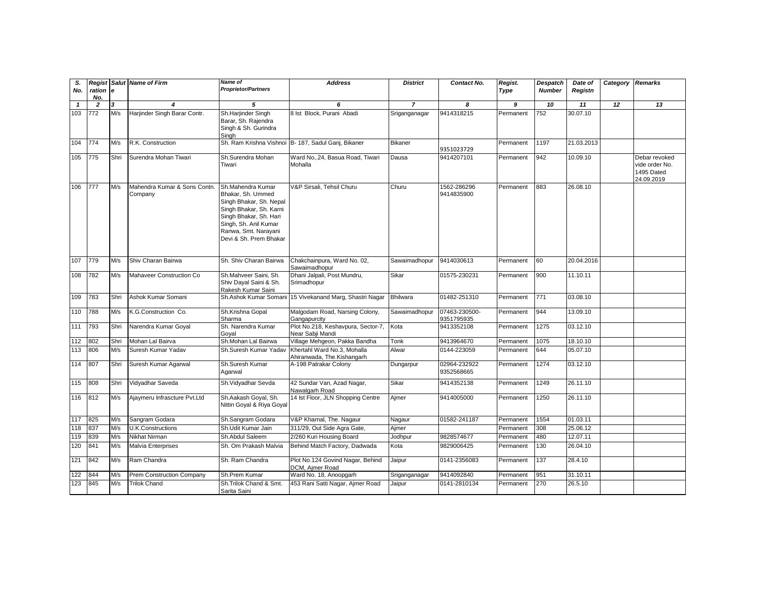| S.<br>No.    | ration<br>No.    | ١e   | <b>Regist Salut Name of Firm</b>        | Name of<br><b>Proprietor/Partners</b>                                                                                                                                                             | <b>Address</b>                                            | <b>District</b> | Contact No.                 | Regist.<br>Type | <b>Despatch</b><br><b>Number</b> | Date of<br>Registn | Category | <b>Remarks</b>                                              |
|--------------|------------------|------|-----------------------------------------|---------------------------------------------------------------------------------------------------------------------------------------------------------------------------------------------------|-----------------------------------------------------------|-----------------|-----------------------------|-----------------|----------------------------------|--------------------|----------|-------------------------------------------------------------|
| $\mathbf{1}$ | $\overline{2}$   | 3    | $\overline{\bf{4}}$                     | 5                                                                                                                                                                                                 | 6                                                         | $\overline{7}$  | 8                           | 9               | 10                               | 11                 | 12       | 13                                                          |
| 103          | $\overline{772}$ | M/s  | Harjinder Singh Barar Contr.            | Sh.Harjinder Singh<br>Barar, Sh. Rajendra<br>Singh & Sh. Gurindra<br>Singh                                                                                                                        | 8 Ist Block, Purani Abadi                                 | Sriganganagar   | 9414318215                  | Permanent       | 752                              | 30.07.10           |          |                                                             |
| 104          | 774              | M/s  | R.K. Construction                       |                                                                                                                                                                                                   | Sh. Ram Krishna Vishnoi B- 187, Sadul Ganj, Bikaner       | <b>Bikaner</b>  | 9351023729                  | Permanent       | 1197                             | 21.03.2013         |          |                                                             |
| 105          | 775              | Shri | Surendra Mohan Tiwari                   | Sh.Surendra Mohan<br>Tiwari                                                                                                                                                                       | Ward No24, Basua Road, Tiwari<br>Mohalla                  | Dausa           | 9414207101                  | Permanent       | 942                              | 10.09.10           |          | Debar revoked<br>vide order No.<br>1495 Dated<br>24.09.2019 |
| 106          | 777              | M/s  | Mahendra Kumar & Sons Contn.<br>Company | Sh.Mahendra Kumar<br>Bhakar, Sh. Ummed<br>Singh Bhakar, Sh. Nepal<br>Singh Bhakar, Sh. Karni<br>Singh Bhakar, Sh. Hari<br>Singh, Sh. Anil Kumar<br>Ranwa, Smt. Narayani<br>Devi & Sh. Prem Bhakar | V&P Sirsali, Tehsil Churu                                 | Churu           | 1562-286296<br>9414835900   | Permanent       | 883                              | 26.08.10           |          |                                                             |
| 107          | 779              | M/s  | Shiv Charan Bairwa                      | Sh. Shiv Charan Bairwa                                                                                                                                                                            | Chakchainpura, Ward No. 02,<br>Sawaimadhopur              | Sawaimadhopur   | 9414030613                  | Permanent       | 60                               | 20.04.2016         |          |                                                             |
| 108          | 782              | M/s  | <b>Mahaveer Construction Co</b>         | Sh.Mahveer Saini, Sh.<br>Shiv Dayal Saini & Sh.<br>Rakesh Kumar Saini                                                                                                                             | Dhani Jalpali, Post Mundru,<br>Srimadhopur                | Sikar           | 01575-230231                | Permanent       | 900                              | 11.10.11           |          |                                                             |
| 109          | 783              | Shri | Ashok Kumar Somani                      | Sh.Ashok Kumar Somani                                                                                                                                                                             | 15 Vivekanand Marg, Shastri Nagar                         | Bhilwara        | 01482-251310                | Permanent       | 771                              | 03.08.10           |          |                                                             |
| 110          | 788              | M/s  | K.G.Construction Co.                    | Sh.Krishna Gopal<br>Sharma                                                                                                                                                                        | Malgodam Road, Narsing Colony,<br>Gangapurcity            | Sawaimadhopur   | 07463-230500-<br>9351795935 | Permanent       | 944                              | 13.09.10           |          |                                                             |
| 111          | 793              | Shri | Narendra Kumar Goyal                    | Sh. Narendra Kumar<br>Goyal                                                                                                                                                                       | Plot No.218, Keshavpura, Sector-7,<br>Near Sabji Mandi    | Kota            | 9413352108                  | Permanent       | 1275                             | 03.12.10           |          |                                                             |
| 112          | 802              | Shri | Mohan Lal Bairva                        | Sh.Mohan Lal Bairwa                                                                                                                                                                               | Village Mehgeon, Pakka Bandha                             | Tonk            | 9413964670                  | Permanent       | 1075                             | 18.10.10           |          |                                                             |
| 113          | 806              | M/s  | Suresh Kumar Yadav                      | Sh.Suresh Kumar Yaday                                                                                                                                                                             | Khertahl Ward No.3, Mohalla<br>Ahiranwada, The.Kishangarh | Alwar           | 0144-223059                 | Permanent       | 644                              | 05.07.10           |          |                                                             |
| 114          | 807              | Shri | Suresh Kumar Agarwal                    | Sh.Suresh Kumar<br>Agarwal                                                                                                                                                                        | A-198 Patrakar Colony                                     | Dungarpur       | 02964-232922<br>9352568665  | Permanent       | 1274                             | 03.12.10           |          |                                                             |
| 115          | 808              | Shri | Vidyadhar Saveda                        | Sh.Vidyadhar Sevda                                                                                                                                                                                | 42 Sundar Van, Azad Nagar,<br>Nawalgarh Road              | Sikar           | 9414352138                  | Permanent       | 1249                             | 26.11.10           |          |                                                             |
| 116          | 812              | M/s  | Ajaymeru Infrascture Pvt.Ltd            | Sh.Aakash Goyal, Sh.<br>Nittin Goyal & Riya Goyal                                                                                                                                                 | 14 Ist Floor, JLN Shopping Centre                         | Ajmer           | 9414005000                  | Permanent       | 1250                             | 26.11.10           |          |                                                             |
| 117          | 825              | M/s  | Sangram Godara                          | Sh.Sangram Godara                                                                                                                                                                                 | V&P Kharnal, The. Nagaur                                  | Nagaur          | 01582-241187                | Permanent       | 1554                             | 01.03.11           |          |                                                             |
| 118          | 837              | M/s  | U.K.Constructions                       | Sh.Udit Kumar Jain                                                                                                                                                                                | 311/29, Out Side Agra Gate,                               | Aimer           |                             | Permanent       | 308                              | 25.06.12           |          |                                                             |
| 119          | 839              | M/s  | Nikhat Nirman                           | Sh.Abdul Saleem                                                                                                                                                                                   | 2/260 Kuri Housing Board                                  | Jodhpur         | 9828574677                  | Permanent       | 480                              | 12.07.11           |          |                                                             |
| 120          | 841              | M/s  | Malvia Enterprises                      | Sh. Om Prakash Malvia                                                                                                                                                                             | Behind Match Factory, Dadwada                             | Kota            | 9829006425                  | Permanent       | 130                              | 26.04.10           |          |                                                             |
| 121          | 842              | M/s  | Ram Chandra                             | Sh. Ram Chandra                                                                                                                                                                                   | Plot No.124 Govind Nagar, Behind<br>DCM, Ajmer Road       | Jaipur          | 0141-2356083                | Permanent       | 137                              | 28.4.10            |          |                                                             |
| 122          | 844              | M/s  | <b>Prem Construction Company</b>        | Sh.Prem Kumar                                                                                                                                                                                     | Ward No. 18, Anoopgarh                                    | Sriganganagar   | 9414092840                  | Permanent       | 951                              | 31.10.11           |          |                                                             |
| 123          | 845              | M/s  | <b>Trilok Chand</b>                     | Sh.Trilok Chand & Smt.<br>Sarita Saini                                                                                                                                                            | 453 Rani Satti Nagar, Ajmer Road                          | Jaipur          | 0141-2810134                | Permanent       | 270                              | 26.5.10            |          |                                                             |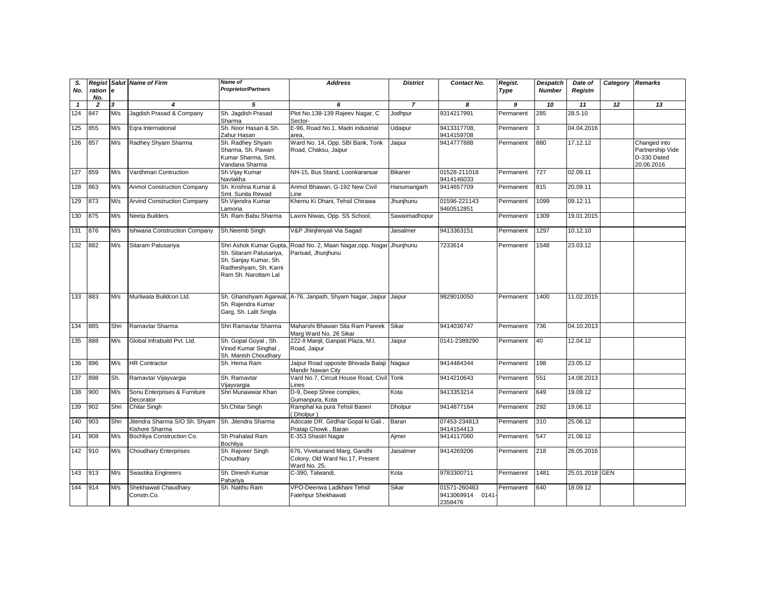| S.<br>No.    | ration e<br>No. |      | <b>Regist Salut Name of Firm</b>                                    | Name of<br><b>Proprietor/Partners</b>                                                                                       | <b>Address</b>                                                                  | <b>District</b> | Contact No.                                 | Regist.<br>Type | <b>Despatch</b><br><b>Number</b> | Date of<br>Registn | Category Remarks |                                                               |
|--------------|-----------------|------|---------------------------------------------------------------------|-----------------------------------------------------------------------------------------------------------------------------|---------------------------------------------------------------------------------|-----------------|---------------------------------------------|-----------------|----------------------------------|--------------------|------------------|---------------------------------------------------------------|
| $\mathbf{1}$ | $\overline{2}$  | 3    | $\overline{\mathbf{4}}$                                             | 5                                                                                                                           | 6                                                                               | $\overline{z}$  | 8                                           | 9               | 10                               | 11                 | 12               | 13                                                            |
| 124          | 847             | M/s  | Jagdish Prasad & Company                                            | Sh. Jaqdish Prasad<br>Sharma                                                                                                | Plot No.138-139 Rajeev Nagar, C<br>Sector-                                      | Jodhpur         | 9314217991                                  | Permanent       | 285                              | 28.5.10            |                  |                                                               |
| 125          | 855             | M/s  | Eqra International                                                  | Sh. Noor Hasan & Sh.<br>Zahur Hasan                                                                                         | E-96, Road No.1, Madri industrial<br>area,                                      | Udaipur         | 9413317708,<br>9414159708                   | Permanent       | 3                                | 04.04.2016         |                  |                                                               |
| 126          | 857             | M/s  | Radhey Shyam Sharma                                                 | Sh. Radhey Shyam<br>Sharma, Sh. Pawan<br>Kumar Sharma, Smt.<br>Vandana Sharma                                               | Ward No. 14, Opp. SBI Bank, Tonk<br>Road, Chaksu, Jaipur                        | Jaipur          | 9414777888                                  | Permanent       | 880                              | 17.12.12           |                  | Changed into<br>Partnership Vide<br>D-330 Dated<br>20.06.2016 |
| 127          | 859             | M/s  | Vardhman Contruction                                                | Sh.Vijay Kumar<br>Navlakha                                                                                                  | NH-15, Bus Stand, Loonkaransar                                                  | <b>Bikaner</b>  | 01528-211018<br>9414146033                  | Permanent       | 727                              | 02.09.11           |                  |                                                               |
| 128          | 863             | M/s  | Anmol Construction Company                                          | Sh. Krishna Kumar &<br>Smt. Sunita Rewad                                                                                    | Anmol Bhawan, G-192 New Civil<br>Line                                           | Hanumangarh     | 9414657709                                  | Permanent       | 815                              | 20.09.11           |                  |                                                               |
| 129          | 873             | M/s  | <b>Arvind Construction Company</b>                                  | Sh.Vijendra Kumar<br>Lamoria                                                                                                | Khemu Ki Dhani, Tehsil Chirawa                                                  | Jhunjhunu       | 01596-221143<br>9460512851                  | Permanent       | 1099                             | 09.12.11           |                  |                                                               |
| 130          | 875             | M/s  | Neeta Builders                                                      | Sh. Ram Babu Sharma                                                                                                         | Laxmi Niwas, Opp. SS School,                                                    | Sawaimadhopur   |                                             | Permanent       | 1309                             | 19.01.2015         |                  |                                                               |
| 131          | 876             | M/s  | <b>Ishwaria Construction Company</b>                                | Sh.Neemb Singh                                                                                                              | V&P Jhinjhinyali Via Sagad                                                      | Jaisalmer       | 9413363151                                  | Permanent       | 1297                             | 10.12.10           |                  |                                                               |
| 132          | 882             | M/s  | Sitaram Patusariya                                                  | Shri Ashok Kumar Gupta<br>Sh. Sitaram Patusariya,<br>Sh. Sanjay Kumar, Sh.<br>Radheshyam, Sh. Karni<br>Ram Sh. Narottam Lal | Road No. 2, Maan Nagar, opp. Nagar Jhunjhunu<br>Parisad, Jhunjhunu              |                 | 7233614                                     | Permanent       | 1548                             | 23.03.12           |                  |                                                               |
| 133          | 883             | M/s  | Murliwala Buildcon Ltd.                                             | Sh. Ghanshyam Agarwal<br>Sh. Raiendra Kumar<br>Garg, Sh. Lalit Singla                                                       | A-76, Janpath, Shyam Nagar, Jaipur                                              | Jaipur          | 9829010050                                  | Permanent       | 1400                             | 11.02.2015         |                  |                                                               |
| 134          | 885             | Shri | Ramavtar Sharma                                                     | Shri Ramavtar Sharma                                                                                                        | Maharshi Bhawan Sita Ram Pareek<br>Marg Ward No. 26 Sikar                       | Sikar           | 9414036747                                  | Permanent       | 736                              | 04.10.2013         |                  |                                                               |
| 135          | 888             | M/s  | Global Infrabuild Pvt. Ltd.                                         | Sh. Gopal Goyal, Sh.<br>Vinod Kumar Singhal,<br>Sh. Manish Choudhary                                                        | 222-II Manjil, Ganpati Plaza, M.I.<br>Road, Jaipur                              | Jaipur          | 0141-2389290                                | Permanent       | 40                               | 12.04.12           |                  |                                                               |
| 136          | 896             | M/s  | <b>HR Contractor</b>                                                | Sh. Hema Ram                                                                                                                | Jaipur Road opposite Bhivada Balaji Nagaur<br>Mandir Nawan City                 |                 | 9414484344                                  | Permanent       | 198                              | 23.05.12           |                  |                                                               |
| 137          | 898             | Sh.  | Ramavtar Vijayvargia                                                | Sh. Ramavtar<br>Viiavvargia                                                                                                 | Vard No.7, Circuit House Road, Civil Tonk<br>Lines                              |                 | 9414210643                                  | Permanent       | 551                              | 14.08.2013         |                  |                                                               |
| 138          | 900             | M/s  | Sonu Enterprises & Furniture<br>Decorator                           | Shri Munawwar Khan                                                                                                          | D-9, Deep Shree complex,<br>Gumanpura, Kota                                     | Kota            | 9413353214                                  | Permanent       | 649                              | 19.09.12           |                  |                                                               |
| 139          | 902             | Shri | Chitar Singh                                                        | Sh.Chitar Singh                                                                                                             | Ramphal ka pura Tehsil Baseri<br>(Dholpur)                                      | <b>Dholpur</b>  | 9414877164                                  | Permanent       | 292                              | 19.06.12           |                  |                                                               |
| 140          | 903             | Shri | Jitendra Sharma S/O Sh. Shyam Sh. Jitendra Sharma<br>Kishore Sharma |                                                                                                                             | Adocate DR. Girdhar Gopal ki Gali<br>Pratap Chowk, Baran                        | Baran           | 07453-234813<br>9414154413                  | Permanent       | 310                              | 25.06.12           |                  |                                                               |
| 141          | 908             | M/s  | Bochliya Construction Co.                                           | Sh Prahalad Ram<br><b>Bochliva</b>                                                                                          | E-353 Shastri Nagar                                                             | Ajmer           | 9414117060                                  | Permanent       | 547                              | 21.08.12           |                  |                                                               |
| 142          | 910             | M/s  | <b>Choudhary Enterprises</b>                                        | Sh. Rajveer Singh<br>Choudhary                                                                                              | 676, Vivekanand Marg, Gandhi<br>Colony, Old Ward No.17, Present<br>Ward No. 25, | Jaisalmer       | 9414269206                                  | Permanent       | 218                              | 26.05.2016         |                  |                                                               |
| 143          | 913             | M/s  | Swastika Engineers                                                  | Sh. Dinesh Kumar<br>Pahariya                                                                                                | C-390, Talwandi,                                                                | Kota            | 9783300711                                  | Permaennt       | 1481                             | 25.01.2018 GEN     |                  |                                                               |
| 144          | 914             | M/s  | Shekhawati Chaudhary<br>Constn.Co.                                  | Sh. Natthu Ram                                                                                                              | VPO-Deenwa Ladkhani Tehsil<br>Fatehpur Shekhawati                               | Sikar           | 01571-260463<br>9413069914 0141-<br>2358476 | Permanent       | 640                              | 18.09.12           |                  |                                                               |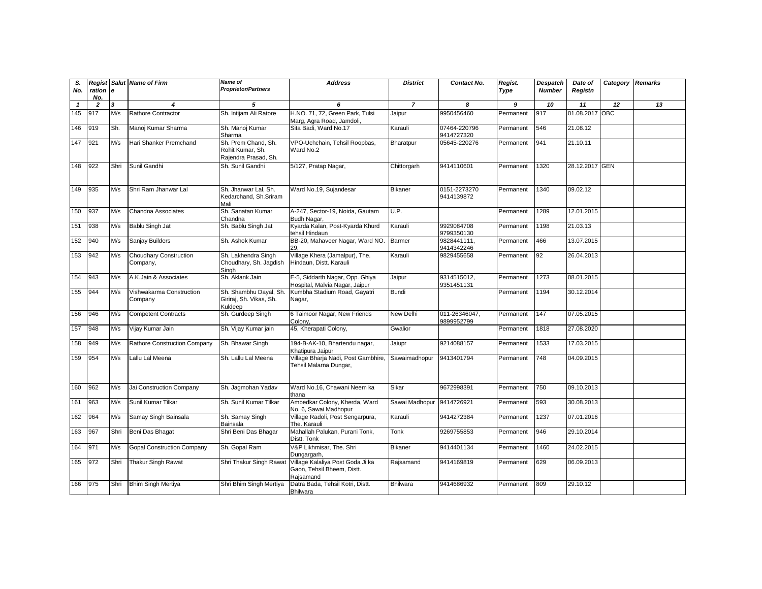| S.<br>No.    |                | <b>e</b>                | <b>Regist Salut Name of Firm</b>          | Name of<br><b>Proprietor/Partners</b>                           | <b>Address</b>                                                              | <b>District</b>           | Contact No.                 | Regist.                 | Despatch<br><b>Number</b> | Date of        | Category Remarks |                 |
|--------------|----------------|-------------------------|-------------------------------------------|-----------------------------------------------------------------|-----------------------------------------------------------------------------|---------------------------|-----------------------------|-------------------------|---------------------------|----------------|------------------|-----------------|
|              | ration<br>No.  |                         |                                           |                                                                 |                                                                             |                           |                             | Type                    |                           | Registn        |                  |                 |
| $\mathbf{1}$ | $\overline{2}$ | $\overline{\mathbf{3}}$ | $\overline{\mathbf{4}}$                   | 5                                                               | 6                                                                           | $\overline{7}$            | 8                           | $\overline{\mathbf{g}}$ | 10                        | 11             | $\overline{12}$  | $\overline{13}$ |
| 145          | 917            | M/s                     | Rathore Contractor                        | Sh. Intijam Ali Ratore                                          | H.NO. 71, 72, Green Park, Tulsi<br>Marg, Agra Road, Jamdoli,                | Jaipur                    | 9950456460                  | Permanent               | 917                       | 01.08.2017 OBC |                  |                 |
| 146          | 919            | Sh.                     | Manoj Kumar Sharma                        | Sh. Manoj Kumar<br>Sharma                                       | Sita Badi, Ward No.17                                                       | Karauli                   | 07464-220796<br>9414727320  | Permanent               | 546                       | 21.08.12       |                  |                 |
| 147          | 921            | M/s                     | Hari Shanker Premchand                    | Sh. Prem Chand, Sh.<br>Rohit Kumar, Sh.<br>Rajendra Prasad, Sh. | VPO-Uchchain, Tehsil Roopbas,<br>Ward No.2                                  | Bharatpur                 | 05645-220276                | Permanent               | 941                       | 21.10.11       |                  |                 |
| 148          | 922            | Shri                    | Sunil Gandhi                              | Sh. Sunil Gandhi                                                | 5/127, Pratap Nagar,                                                        | Chittorgarh               | 9414110601                  | Permanent               | 1320                      | 28.12.2017 GEN |                  |                 |
| 149          | 935            | M/s                     | Shri Ram Jhanwar Lal                      | Sh. Jhanwar Lal. Sh.<br>Kedarchand, Sh.Sriram<br>Mali           | Ward No.19, Sujandesar                                                      | <b>Bikaner</b>            | 0151-2273270<br>9414139872  | Permanent               | 1340                      | 09.02.12       |                  |                 |
| 150          | 937            | M/s                     | Chandna Associates                        | Sh. Sanatan Kumar<br>Chandna                                    | A-247, Sector-19, Noida, Gautam<br>Budh Nagar.                              | U.P.                      |                             | Permanent               | 1289                      | 12.01.2015     |                  |                 |
| 151          | 938            | M/s                     | Bablu Singh Jat                           | Sh. Bablu Singh Jat                                             | Kyarda Kalan, Post-Kyarda Khurd<br>tehsil Hindaun                           | Karauli                   | 9929084708<br>9799350130    | Permanent               | 1198                      | 21.03.13       |                  |                 |
| 152          | 940            | M/s                     | Sanjay Builders                           | Sh. Ashok Kumar                                                 | BB-20, Mahaveer Nagar, Ward NO.<br>29.                                      | <b>Barmer</b>             | 9828441111,<br>9414342246   | Permanent               | 466                       | 13.07.2015     |                  |                 |
| 153          | 942            | M/s                     | <b>Choudhary Construction</b><br>Company, | Sh. Lakhendra Singh<br>Choudhary, Sh. Jagdish<br>Singh          | Village Khera (Jamalpur), The.<br>Hindaun, Distt. Karauli                   | Karauli                   | 9829455658                  | Permanent               | 92                        | 26.04.2013     |                  |                 |
| 154          | 943            | M/s                     | A.K.Jain & Associates                     | Sh. Aklank Jain                                                 | E-5, Siddarth Nagar, Opp. Ghiya<br>Hospital, Malvia Nagar, Jaipur           | Jaipur                    | 9314515012,<br>9351451131   | Permanent               | 1273                      | 08.01.2015     |                  |                 |
| 155          | 944            | M/s                     | Vishwakarma Construction<br>Company       | Sh. Shambhu Dayal, Sh.<br>Giriraj, Sh. Vikas, Sh.<br>Kuldeep    | Kumbha Stadium Road, Gayatri<br>Nagar,                                      | <b>Bundi</b>              |                             | Permanent               | 1194                      | 30.12.2014     |                  |                 |
| 156          | 946            | M/s                     | <b>Competent Contracts</b>                | Sh. Gurdeep Singh                                               | 6 Taimoor Nagar, New Friends<br>Colony.                                     | <b>New Delhi</b>          | 011-26346047,<br>9899952799 | Permanent               | 147                       | 07.05.2015     |                  |                 |
| 157          | 948            | M/s                     | Vijay Kumar Jain                          | Sh. Vijay Kumar jain                                            | 45, Kherapati Colony,                                                       | Gwalior                   |                             | Permanent               | 1818                      | 27.08.2020     |                  |                 |
| 158          | 949            | M/s                     | Rathore Construction Company              | Sh. Bhawar Singh                                                | 194-B-AK-10, Bhartendu nagar,<br>Khatipura Jaipur                           | Jaiupr                    | 9214088157                  | Permanent               | 1533                      | 17.03.2015     |                  |                 |
| 159          | 954            | M/s                     | Lallu Lal Meena                           | Sh. Lallu Lal Meena                                             | Village Bharja Nadi, Post Gambhire,<br>Tehsil Malarna Dungar,               | Sawaimadhopur             | 9413401794                  | Permanent               | 748                       | 04.09.2015     |                  |                 |
| 160          | 962            | M/s                     | Jai Construction Company                  | Sh. Jagmohan Yadav                                              | Ward No.16, Chawani Neem ka<br>thana                                        | Sikar                     | 9672998391                  | Permanent               | 750                       | 09.10.2013     |                  |                 |
| 161          | 963            | M/s                     | Sunil Kumar Tilkar                        | Sh. Sunil Kumar Tilkar                                          | Ambedkar Colony, Kherda, Ward<br>No. 6, Sawai Madhopur                      | Sawai Madhopur 9414726921 |                             | Permanent               | 593                       | 30.08.2013     |                  |                 |
| 162          | 964            | M/s                     | Samay Singh Bainsala                      | Sh. Samay Singh<br>Bainsala                                     | Village Radoli, Post Sengarpura,<br>The. Karauli                            | Karauli                   | 9414272384                  | Permanent               | 1237                      | 07.01.2016     |                  |                 |
| 163          | 967            | Shri                    | Beni Das Bhagat                           | Shri Beni Das Bhagar                                            | Mahallah Palukan, Purani Tonk,<br>Distt. Tonk                               | Tonk                      | 9269755853                  | Permanent               | 946                       | 29.10.2014     |                  |                 |
| 164          | 971            | M/s                     | <b>Gopal Construction Company</b>         | Sh. Gopal Ram                                                   | V&P Likhmisar, The. Shri<br>Dungargarh,                                     | <b>Bikaner</b>            | 9414401134                  | Permanent               | 1460                      | 24.02.2015     |                  |                 |
| 165          | 972            | Shri                    | <b>Thakur Singh Rawat</b>                 | Shri Thakur Singh Rawat                                         | Village Kalaliya Post Goda Ji ka<br>Gaon, Tehsil Bheem, Distt.<br>Rajsamand | Rajsamand                 | 9414169819                  | Permanent               | 629                       | 06.09.2013     |                  |                 |
| 166          | 975            | Shri                    | <b>Bhim Singh Mertiya</b>                 | Shri Bhim Singh Mertiya                                         | Datra Bada, Tehsil Kotri, Distt.<br><b>Bhilwara</b>                         | <b>Bhilwara</b>           | 9414686932                  | Permanent               | 809                       | 29.10.12       |                  |                 |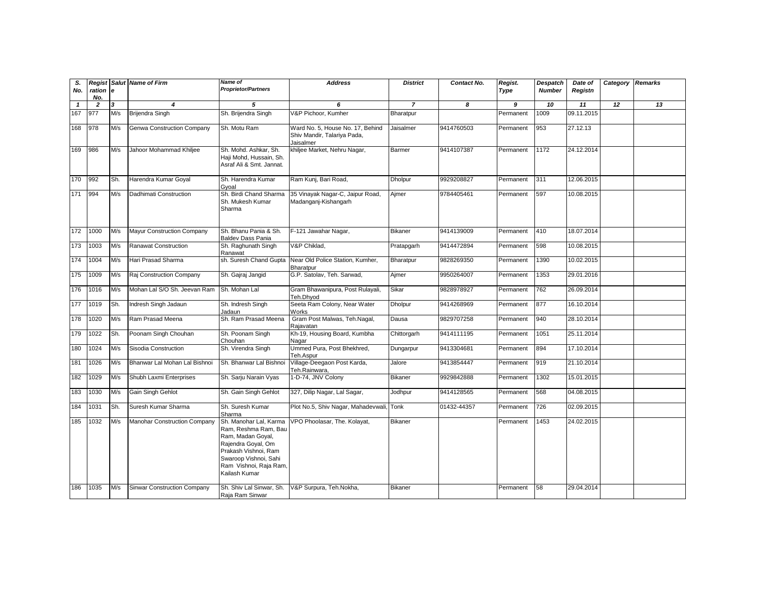| S.<br>No.    | Regist<br>ration<br>No. | l e | <b>Salut Name of Firm</b>          | Name of<br><b>Proprietor/Partners</b>                                                                                                                                                 | <b>Address</b>                                                               | <b>District</b> | Contact No. | Regist.<br>Type | Despatch<br><b>Number</b> | Date of<br>Registn | Category | <b>Remarks</b> |
|--------------|-------------------------|-----|------------------------------------|---------------------------------------------------------------------------------------------------------------------------------------------------------------------------------------|------------------------------------------------------------------------------|-----------------|-------------|-----------------|---------------------------|--------------------|----------|----------------|
| $\mathbf{1}$ | $\overline{2}$          | 3   | $\overline{\mathbf{4}}$            | 5                                                                                                                                                                                     | 6                                                                            | $\overline{7}$  | 8           | 9               | 10                        | 11                 | 12       | 13             |
| 167          | 977                     | M/s | <b>Brijendra Singh</b>             | Sh. Brijendra Singh                                                                                                                                                                   | V&P Pichoor, Kumher                                                          | Bharatpur       |             | Permanent       | 1009                      | 09.11.2015         |          |                |
| 168          | 978                     | M/s | <b>Genwa Construction Company</b>  | Sh. Motu Ram                                                                                                                                                                          | Ward No. 5, House No. 17, Behind<br>Shiv Mandir, Talariya Pada,<br>Jaisalmer | Jaisalmer       | 9414760503  | Permanent       | 953                       | 27.12.13           |          |                |
| 169          | 986                     | M/s | Jahoor Mohammad Khiljee            | Sh. Mohd. Ashkar, Sh.<br>Haji Mohd, Hussain, Sh.<br>Asraf Ali & Smt. Jannat.                                                                                                          | khiljee Market, Nehru Nagar,                                                 | Barmer          | 9414107387  | Permanent       | 1172                      | 24.12.2014         |          |                |
| 170          | 992                     | Sh. | Harendra Kumar Goyal               | Sh. Harendra Kumar<br>Gvoal                                                                                                                                                           | Ram Kunj, Bari Road,                                                         | <b>Dholpur</b>  | 9929208827  | Permanent       | 311                       | 12.06.2015         |          |                |
| 171          | 994                     | M/s | Dadhimati Construction             | Sh. Birdi Chand Sharma<br>Sh. Mukesh Kumar<br>Sharma                                                                                                                                  | 35 Vinayak Nagar-C, Jaipur Road,<br>Madanganj-Kishangarh                     | Ajmer           | 9784405461  | Permanent       | 597                       | 10.08.2015         |          |                |
| 172          | 1000                    | M/s | <b>Mayur Construction Company</b>  | Sh. Bhanu Pania & Sh.<br><b>Baldev Dass Pania</b>                                                                                                                                     | F-121 Jawahar Nagar,                                                         | <b>Bikaner</b>  | 9414139009  | Permanent       | 410                       | 18.07.2014         |          |                |
| 173          | 1003                    | M/s | Ranawat Construction               | Sh. Raghunath Singh<br>Ranawat                                                                                                                                                        | V&P Chiklad,                                                                 | Pratapgarh      | 9414472894  | Permanent       | 598                       | 10.08.2015         |          |                |
| 174          | 1004                    | M/s | Hari Prasad Sharma                 | sh. Suresh Chand Gupta                                                                                                                                                                | Near Old Police Station, Kumher,<br>Bharatpur                                | Bharatpur       | 9828269350  | Permanent       | 1390                      | 10.02.2015         |          |                |
| 175          | 1009                    | M/s | Raj Construction Company           | Sh. Gajraj Jangid                                                                                                                                                                     | G.P. Satolav, Teh. Sarwad,                                                   | Ajmer           | 9950264007  | Permanent       | 1353                      | 29.01.2016         |          |                |
| 176          | 1016                    | M/s | Mohan Lal S/O Sh. Jeevan Ram       | Sh. Mohan Lal                                                                                                                                                                         | Gram Bhawanipura, Post Rulayali,<br>Teh.Dhvod                                | Sikar           | 9828978927  | Permanent       | 762                       | 26.09.2014         |          |                |
| 177          | 1019                    | Sh. | Indresh Singh Jadaun               | Sh. Indresh Singh<br>Jadaun                                                                                                                                                           | Seeta Ram Colony, Near Water<br><b>Works</b>                                 | Dholpur         | 9414268969  | Permanent       | 877                       | 16.10.2014         |          |                |
| 178          | 1020                    | M/s | Ram Prasad Meena                   | Sh. Ram Prasad Meena                                                                                                                                                                  | Gram Post Malwas, Teh.Nagal,<br>Rajavatan                                    | Dausa           | 9829707258  | Permanent       | 940                       | 28.10.2014         |          |                |
| 179          | 1022                    | Sh. | Poonam Singh Chouhan               | Sh. Poonam Singh<br>Chouhan                                                                                                                                                           | Kh-19, Housing Board, Kumbha<br>Nagar                                        | Chittorgarh     | 9414111195  | Permanent       | 1051                      | 25.11.2014         |          |                |
| 180          | 1024                    | M/s | Sisodia Construction               | Sh. Virendra Singh                                                                                                                                                                    | Ummed Pura, Post Bhekhred,<br>Teh.Aspur                                      | Dungarpur       | 9413304681  | Permanent       | 894                       | 17.10.2014         |          |                |
| 181          | 1026                    | M/s | Bhanwar Lal Mohan Lal Bishnoi      | Sh. Bhanwar Lal Bishno                                                                                                                                                                | Village-Deegaon Post Karda,<br>Teh.Rainwara,                                 | Jalore          | 9413854447  | Permanent       | 919                       | 21.10.2014         |          |                |
| 182          | 1029                    | M/s | Shubh Laxmi Enterprises            | Sh. Sarju Narain Vyas                                                                                                                                                                 | 1-D-74, JNV Colony                                                           | <b>Bikaner</b>  | 9929842888  | Permanent       | 1302                      | 15.01.2015         |          |                |
| 183          | 1030                    | M/s | Gain Singh Gehlot                  | Sh. Gain Singh Gehlot                                                                                                                                                                 | 327, Dilip Nagar, Lal Sagar,                                                 | Jodhpur         | 9414128565  | Permanent       | 568                       | 04.08.2015         |          |                |
| 184          | 1031                    | Sh. | Suresh Kumar Sharma                | Sh. Suresh Kumar<br>Sharma                                                                                                                                                            | Plot No.5, Shiv Nagar, Mahadevwali, Tonk                                     |                 | 01432-44357 | Permanent       | 726                       | 02.09.2015         |          |                |
| 185          | 1032                    | M/s | Manohar Construction Company       | Sh. Manohar Lal. Karma<br>Ram, Reshma Ram, Bau<br>Ram, Madan Goyal,<br>Rajendra Goyal, Om<br>Prakash Vishnoi, Ram<br>Swaroop Vishnoi, Sahi<br>Ram Vishnoi, Raja Ram,<br>Kailash Kumar | VPO Phoolasar, The. Kolayat,                                                 | <b>Bikaner</b>  |             | Permanent       | 1453                      | 24.02.2015         |          |                |
| 186          | 1035                    | M/s | <b>Sinwar Construction Company</b> | Sh. Shiv Lal Sinwar, Sh.<br>Raja Ram Sinwar                                                                                                                                           | V&P Surpura, Teh.Nokha,                                                      | <b>Bikaner</b>  |             | Permanent       | 58                        | 29.04.2014         |          |                |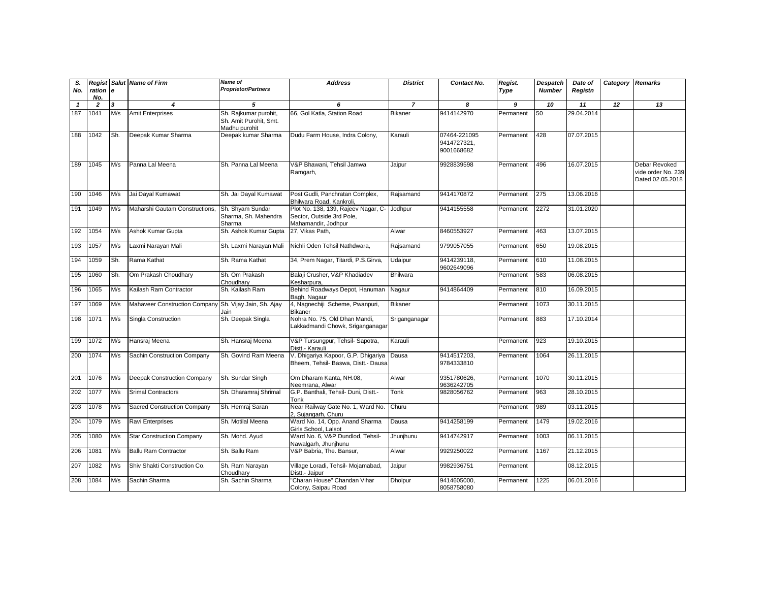| S.           |                 |     | <b>Regist Salut Name of Firm</b>                       | Name of                                                          | <b>Address</b>                                                                         | <b>District</b> | Contact No.                               | Regist.   | Despatch      | Date of    | Category Remarks |                                                         |
|--------------|-----------------|-----|--------------------------------------------------------|------------------------------------------------------------------|----------------------------------------------------------------------------------------|-----------------|-------------------------------------------|-----------|---------------|------------|------------------|---------------------------------------------------------|
| No.          | ration e<br>No. |     |                                                        | <b>Proprietor/Partners</b>                                       |                                                                                        |                 |                                           | Type      | <b>Number</b> | Registn    |                  |                                                         |
| $\mathbf{1}$ | $\overline{2}$  | 3   | $\overline{\mathbf{4}}$                                | 5                                                                | 6                                                                                      | $\overline{7}$  | 8                                         | 9         | 10            | 11         | 12               | 13                                                      |
| 187          | 1041            | M/s | <b>Amit Enterprises</b>                                | Sh. Rajkumar purohit,<br>Sh. Amit Purohit, Smt.<br>Madhu purohit | 66, Gol Katla, Station Road                                                            | <b>Bikaner</b>  | 9414142970                                | Permanent | 50            | 29.04.2014 |                  |                                                         |
| 188          | 1042            | Sh. | Deepak Kumar Sharma                                    | Deepak kumar Sharma                                              | Dudu Farm House, Indra Colony,                                                         | Karauli         | 07464-221095<br>9414727321,<br>9001668682 | Permanent | 428           | 07.07.2015 |                  |                                                         |
| 189          | 1045            | M/s | Panna Lal Meena                                        | Sh. Panna Lal Meena                                              | V&P Bhawani, Tehsil Jamwa<br>Ramgarh,                                                  | Jaipur          | 9928839598                                | Permanent | 496           | 16.07.2015 |                  | Debar Revoked<br>vide order No. 239<br>Dated 02.05.2018 |
| 190          | 1046            | M/s | Jai Dayal Kumawat                                      | Sh. Jai Dayal Kumawat                                            | Post Gudli, Panchratan Complex,<br>Bhilwara Road, Kankroli,                            | Rajsamand       | 9414170872                                | Permanent | 275           | 13.06.2016 |                  |                                                         |
| 191          | 1049            | M/s | Maharshi Gautam Constructions,                         | Sh. Shyam Sundar<br>Sharma, Sh. Mahendra<br>Sharma               | Plot No. 138, 139, Rajeev Nagar, C<br>Sector, Outside 3rd Pole,<br>Mahamandir, Jodhpur | Jodhpur         | 9414155558                                | Permanent | 2272          | 31.01.2020 |                  |                                                         |
| 192          | 1054            | M/s | Ashok Kumar Gupta                                      | Sh. Ashok Kumar Gupta                                            | 27, Vikas Path,                                                                        | Alwar           | 8460553927                                | Permanent | 463           | 13.07.2015 |                  |                                                         |
| 193          | 1057            | M/s | Laxmi Narayan Mali                                     | Sh. Laxmi Narayan Mali                                           | Nichli Oden Tehsil Nathdwara,                                                          | Rajsamand       | 9799057055                                | Permanent | 650           | 19.08.2015 |                  |                                                         |
| 194          | 1059            | Sh. | Rama Kathat                                            | Sh. Rama Kathat                                                  | 34, Prem Nagar, Titardi, P.S.Girva,                                                    | Udaipur         | 9414239118,<br>9602649096                 | Permanent | 610           | 11.08.2015 |                  |                                                         |
| 195          | 1060            | Sh. | Om Prakash Choudhary                                   | Sh. Om Prakash<br>Choudhary                                      | Balaji Crusher, V&P Khadiadev<br>Kesharpura,                                           | <b>Bhilwara</b> |                                           | Permanent | 583           | 06.08.2015 |                  |                                                         |
| 196          | 1065            | M/s | Kailash Ram Contractor                                 | Sh. Kailash Ram                                                  | Behind Roadways Depot, Hanuman<br>Bagh, Nagaur                                         | Nagaur          | 9414864409                                | Permanent | 810           | 16.09.2015 |                  |                                                         |
| 197          | 1069            | M/s | Mahaveer Construction Company Sh. Vijay Jain, Sh. Ajay | Jain                                                             | 4, Nagnechiji Scheme, Pwanpuri,<br>Bikaner                                             | <b>Bikaner</b>  |                                           | Permanent | 1073          | 30.11.2015 |                  |                                                         |
| 198          | 1071            | M/s | Singla Construction                                    | Sh. Deepak Singla                                                | Nohra No. 75, Old Dhan Mandi,<br>Lakkadmandi Chowk, Sriganganagar                      | Sriganganagar   |                                           | Permanent | 883           | 17.10.2014 |                  |                                                         |
| 199          | 1072            | M/s | Hansraj Meena                                          | Sh. Hansraj Meena                                                | V&P Tursungpur, Tehsil- Sapotra,<br>Distt.- Karauli                                    | Karauli         |                                           | Permanent | 923           | 19.10.2015 |                  |                                                         |
| 200          | 1074            | M/s | Sachin Construction Company                            | Sh. Govind Ram Meena                                             | V. Dhigariya Kapoor, G.P. Dhigariya<br>Bheem. Tehsil- Baswa. Distt.- Dausa             | Dausa           | 9414517203,<br>9784333810                 | Permanent | 1064          | 26.11.2015 |                  |                                                         |
| 201          | 1076            | M/s | Deepak Construction Company                            | Sh. Sundar Singh                                                 | Om Dharam Kanta, NH.08,<br>Neemrana, Alwar                                             | Alwar           | 9351780626,<br>9636242705                 | Permanent | 1070          | 30.11.2015 |                  |                                                         |
| 202          | 1077            | M/s | <b>Srimal Contractors</b>                              | Sh. Dharamraj Shrimal                                            | G.P. Banthali, Tehsil- Duni, Distt.-<br>Tonk                                           | Tonk            | 9828056762                                | Permanent | 963           | 28.10.2015 |                  |                                                         |
| 203          | 1078            | M/s | Sacred Construction Company                            | Sh. Hemraj Saran                                                 | Near Railway Gate No. 1, Ward No.<br>2, Sujangarh, Churu                               | Churu           |                                           | Permanent | 989           | 03.11.2015 |                  |                                                         |
| 204          | 1079            | M/s | <b>Ravi Enterprises</b>                                | Sh. Motilal Meena                                                | Ward No. 14, Opp. Anand Sharma<br>Girls School, Lalsot                                 | Dausa           | 9414258199                                | Permanent | 1479          | 19.02.2016 |                  |                                                         |
| 205          | 1080            | M/s | <b>Star Construction Company</b>                       | Sh. Mohd. Ayud                                                   | Ward No. 6, V&P Dundlod, Tehsil-<br>Nawalgarh, Jhunjhunu                               | Jhunjhunu       | 9414742917                                | Permanent | 1003          | 06.11.2015 |                  |                                                         |
| 206          | 1081            | M/s | <b>Ballu Ram Contractor</b>                            | Sh. Ballu Ram                                                    | V&P Babria, The. Bansur,                                                               | Alwar           | 9929250022                                | Permanent | 1167          | 21.12.2015 |                  |                                                         |
| 207          | 1082            | M/s | Shiv Shakti Construction Co.                           | Sh. Ram Narayan<br>Choudharv                                     | Village Loradi, Tehsil- Mojamabad,<br>Distt.- Jaipur                                   | Jaipur          | 9982936751                                | Permanent |               | 08.12.2015 |                  |                                                         |
| 208          | 1084            | M/s | Sachin Sharma                                          | Sh. Sachin Sharma                                                | "Charan House" Chandan Vihar<br>Colony, Saipau Road                                    | <b>Dholpur</b>  | 9414605000,<br>8058758080                 | Permanent | 1225          | 06.01.2016 |                  |                                                         |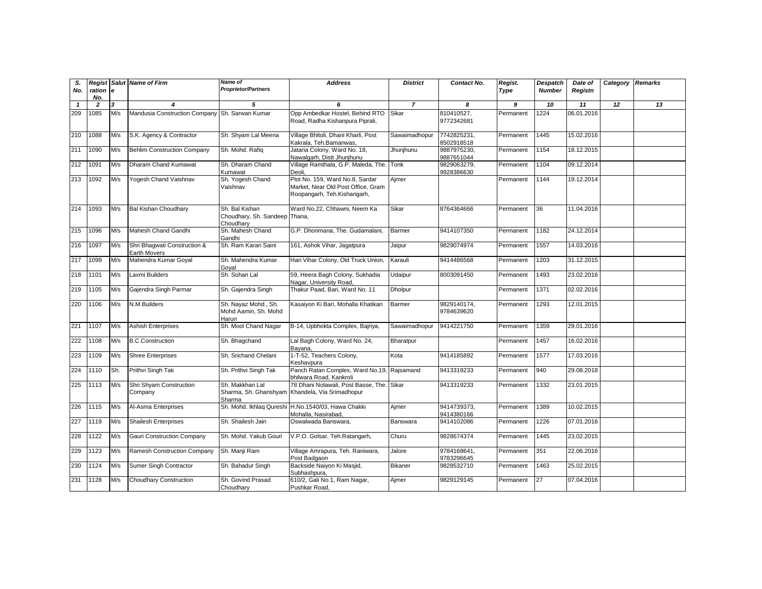| S.<br>No.    | Regist<br>ration      | l e | <b>Salut Name of Firm</b>                      | <b>Name of</b><br><b>Proprietor/Partners</b>                 | <b>Address</b>                                                                                       | <b>District</b> | Contact No.               | Regist.<br>Type | Despatch<br><b>Number</b> | Date of<br>Registn | Category | <b>Remarks</b> |
|--------------|-----------------------|-----|------------------------------------------------|--------------------------------------------------------------|------------------------------------------------------------------------------------------------------|-----------------|---------------------------|-----------------|---------------------------|--------------------|----------|----------------|
| $\mathbf{1}$ | No.<br>$\overline{2}$ | 3   | $\boldsymbol{4}$                               | 5                                                            | 6                                                                                                    | $\overline{7}$  | 8                         | 9               | 10                        | 11                 | 12       | 13             |
| 209          | 1085                  | M/s | Mandusia Construction Company Sh. Sarwan Kumar |                                                              | Opp Ambedkar Hostel, Behind RTO<br>Road, Radha Kishanpura Piprali,                                   | Sikar           | 810410527,<br>9772342681  | Permanent       | 1224                      | 06.01.2016         |          |                |
| 210          | 1088                  | M/s | S.K. Agency & Contractor                       | Sh. Shyam Lal Meena                                          | Village Bhitoli, Dhani Kharli, Post<br>Kakrala, Teh.Bamanwas,                                        | Sawaimadhopur   | 7742825231,<br>8502918518 | Permanent       | 1445                      | 15.02.2016         |          |                |
| 211          | 1090                  | M/s | <b>Behlim Construction Company</b>             | Sh. Mohd. Rafiq                                              | Jataria Colony, Ward No. 18,<br>Nawalgarh, Distt Jhunjhunu                                           | Jhunjhunu       | 9887975230,<br>9887651044 | Permanent       | 1154                      | 18.12.2015         |          |                |
| 212          | 1091                  | M/s | Dharam Chand Kumawat                           | Sh. Dharam Chand<br>Kumawat                                  | Village Ramthala, G.P. Maleda, The. Tonk<br>Deoli.                                                   |                 | 9829063279,<br>9928386630 | Permanent       | 1104                      | 09.12.2014         |          |                |
| 213          | 1092                  | M/s | Yogesh Chand Vaishnav                          | Sh. Yogesh Chand<br>Vaishnav                                 | Plot No. 159, Ward No.8, Sardar<br>Market, Near Old Post Office, Gram<br>Roopangarh, Teh.Kishangarh, | Ajmer           |                           | Permanent       | 1144                      | 19.12.2014         |          |                |
| 214          | 1093                  | M/s | <b>Bal Kishan Choudhary</b>                    | Sh. Bal Kishan<br>Choudhary, Sh. Sandeep Thana,<br>Choudhary | Ward No.22, Chhawni, Neem Ka                                                                         | Sikar           | 8764364666                | Permanent       | 36                        | 11.04.2016         |          |                |
| 215          | 1096                  | M/s | Mahesh Chand Gandhi                            | Sh. Mahesh Chand<br>Gandhi                                   | G.P. Dhorimana, The. Gudamalani,                                                                     | <b>Barmer</b>   | 9414107350                | Permanent       | 1182                      | 24.12.2014         |          |                |
| 216          | 1097                  | M/s | Shri Bhaqwati Construction &<br>Earth Movers   | Sh. Ram Karan Saini                                          | 161, Ashok Vihar, Jagatpura                                                                          | Jaipur          | 9829074974                | Permanent       | 1557                      | 14.03.2016         |          |                |
| 217          | 1099                  | M/s | Mahendra Kumar Goyal                           | Sh. Mahendra Kumar<br>Goyal                                  | Hari Vihar Colony, Old Truck Union,                                                                  | Karauli         | 9414486568                | Permanent       | 1203                      | 31.12.2015         |          |                |
| 218          | 1101                  | M/s | Laxmi Builders                                 | Sh. Sohan Lal                                                | 59, Heera Bagh Colony, Sukhadia<br>Nagar, University Road,                                           | Udaipur         | 8003091450                | Permanent       | 1493                      | 23.02.2016         |          |                |
| 219          | 1105                  | M/s | Gajendra Singh Parmar                          | Sh. Gajendra Singh                                           | Thakur Paad, Bari, Ward No. 11                                                                       | Dholpur         |                           | Permanent       | 1371                      | 02.02.2016         |          |                |
| 220          | 1106                  | M/s | N.M.Builders                                   | Sh. Nayaz Mohd., Sh.<br>Mohd Aamin, Sh. Mohd<br>Harun        | Kasaiyon Ki Bari, Mohalla Khatikan                                                                   | Barmer          | 9829140174,<br>9784639620 | Permanent       | 1293                      | 12.01.2015         |          |                |
| 221          | 1107                  | M/s | <b>Ashish Enterprises</b>                      | Sh. Mool Chand Nagar                                         | B-14, Upbhokta Complex, Bajriya,                                                                     | Sawaimadhopur   | 9414221750                | Permanent       | 1359                      | 29.01.2016         |          |                |
| 222          | 1108                  | M/s | <b>B.C.Construction</b>                        | Sh. Bhagchand                                                | Lal Bagh Colony, Ward No. 24,<br>Bayana,                                                             | Bharatpur       |                           | Permanent       | 1457                      | 16.02.2016         |          |                |
| 223          | 1109                  | M/s | <b>Shree Enterprises</b>                       | Sh. Srichand Chelani                                         | 1-T-52, Teachers Colony,<br>Keshavpura                                                               | Kota            | 9414185892                | Permanent       | 1577                      | 17.03.2016         |          |                |
| 224          | 1110                  | Sh. | Prithvi Singh Tak                              | Sh. Prithvi Singh Tak                                        | Panch Ratan Complex, Ward No.19, Rajsamand<br>bhilwara Road, Kankroli                                |                 | 9413319233                | Permanent       | 940                       | 29.08.2018         |          |                |
| 225          | 1113                  | M/s | Shri Shyam Construction<br>Company             | Sh. Makkhan Lal<br>Sharma                                    | 78 Dhani Nolawali, Post Basse, The. Sikar<br>Sharma, Sh. Ghanshyam Khandela, Via Srimadhopur         |                 | 9413319233                | Permanent       | 1332                      | 23.01.2015         |          |                |
| 226          | 1115                  | M/s | Al-Asma Enterprises                            | Sh. Mohd. Ikhlaq Qureshi                                     | H.No.1540/03, Hawa Chakki<br>Mohalla, Nasirabad,                                                     | Ajmer           | 9414739373,<br>9414380166 | Permanent       | 1389                      | 10.02.2015         |          |                |
| 227          | 1119                  | M/s | <b>Shailesh Enterprises</b>                    | Sh. Shailesh Jain                                            | Oswalwada Banswara.                                                                                  | Banswara        | 9414102086                | Permanent       | 1226                      | 07.01.2016         |          |                |
| 228          | 1122                  | M/s | Gauri Construction Company                     | Sh. Mohd. Yakub Gouri                                        | V.P.O. Golsar, Teh.Ratangarh,                                                                        | Churu           | 9828674374                | Permanent       | 1445                      | 23.02.2015         |          |                |
| 229          | 1123                  | M/s | Ramesh Construction Company                    | Sh. Manji Ram                                                | Village Amrapura, Teh. Raniwara,<br>Post Badgaon                                                     | Jalore          | 9784168641,<br>9783296645 | Permanent       | 351                       | 22.06.2016         |          |                |
| 230          | 1124                  | M/s | Sumer Singh Contractor                         | Sh. Bahadur Singh                                            | Backside Naiyon Ki Masjid,<br>Subhashpura,                                                           | Bikaner         | 9828532710                | Permanent       | 1463                      | 25.02.2015         |          |                |
| 231          | 1128                  | M/s | <b>Choudhary Construction</b>                  | Sh. Govind Prasad<br>Choudhary                               | 610/2, Gali No.1, Ram Nagar,<br>Pushkar Road,                                                        | Ajmer           | 9829129145                | Permanent       | 27                        | 07.04.2016         |          |                |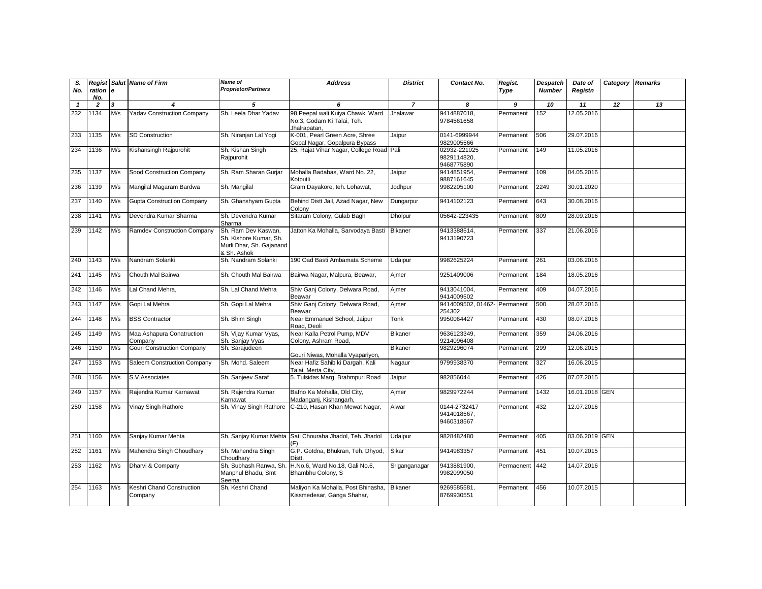| S.<br>No.    | ration e<br>No. |     | <b>Regist Salut Name of Firm</b>     | Name of<br><b>Proprietor/Partners</b>                                                    | <b>Address</b>                                                                 | <b>District</b> | Contact No.                               | Regist.<br>Type | Despatch<br><b>Number</b> | Date of<br>Registn | Category | <b>Remarks</b> |
|--------------|-----------------|-----|--------------------------------------|------------------------------------------------------------------------------------------|--------------------------------------------------------------------------------|-----------------|-------------------------------------------|-----------------|---------------------------|--------------------|----------|----------------|
| $\mathbf{1}$ | $\overline{2}$  | 3   | 4                                    | 5                                                                                        | 6                                                                              | $\overline{z}$  | 8                                         | 9               | 10                        | 11                 | 12       | 13             |
| 232          | 1134            | M/s | <b>Yadav Construction Company</b>    | Sh. Leela Dhar Yadav                                                                     | 98 Peepal wali Kuiya Chawk, Ward<br>No.3, Godam Ki Talai, Teh.<br>Jhalrapatan. | Jhalawar        | 9414887018,<br>9784561658                 | Permanent       | 152                       | 12.05.2016         |          |                |
| 233          | 1135            | M/s | SD Construction                      | Sh. Niranjan Lal Yogi                                                                    | K-001, Pearl Green Acre, Shree<br>Gopal Nagar, Gopalpura Bypass                | Jaipur          | 0141-6999944<br>9829005566                | Permanent       | 506                       | 29.07.2016         |          |                |
| 234          | 1136            | M/s | Kishansingh Rajpurohit               | Sh. Kishan Singh<br>Rajpurohit                                                           | 25, Rajat Vihar Nagar, College Road Pali                                       |                 | 02932-221025<br>9829114820,<br>9468775890 | Permanent       | 149                       | 11.05.2016         |          |                |
| 235          | 1137            | M/s | Sood Construction Company            | Sh. Ram Sharan Gurjar                                                                    | Mohalla Badabas, Ward No. 22,<br>Kotputli                                      | Jaipur          | 9414851954.<br>9887161645                 | Permanent       | 109                       | 04.05.2016         |          |                |
| 236          | 1139            | M/s | Mangilal Magaram Bardwa              | Sh. Mangilal                                                                             | Gram Dayakore, teh. Lohawat,                                                   | Jodhpur         | 9982205100                                | Permanent       | 2249                      | 30.01.2020         |          |                |
| 237          | 1140            | M/s | <b>Gupta Construction Company</b>    | Sh. Ghanshyam Gupta                                                                      | Behind Distt Jail, Azad Nagar, New<br>Colony                                   | Dungarpur       | 9414102123                                | Permanent       | 643                       | 30.08.2016         |          |                |
| 238          | 1141            | M/s | Devendra Kumar Sharma                | Sh. Devendra Kumar<br>Sharma                                                             | Sitaram Colony, Gulab Bagh                                                     | Dholpur         | 05642-223435                              | Permanent       | 809                       | 28.09.2016         |          |                |
| 239          | 1142            | M/s | Ramdev Construction Company          | Sh. Ram Dev Kaswan,<br>Sh. Kishore Kumar, Sh.<br>Murli Dhar, Sh. Gajanand<br>& Sh. Ashok | Jatton Ka Mohalla, Sarvodaya Basti                                             | <b>Bikaner</b>  | 9413388514,<br>9413190723                 | Permanent       | 337                       | 21.06.2016         |          |                |
| 240          | 1143            | M/s | Nandram Solanki                      | Sh. Nandram Solanki                                                                      | 190 Oad Basti Ambamata Scheme                                                  | Udaipur         | 9982625224                                | Permanent       | 261                       | 03.06.2016         |          |                |
| 241          | 1145            | M/s | Chouth Mal Bairwa                    | Sh. Chouth Mal Bairwa                                                                    | Bairwa Nagar, Malpura, Beawar,                                                 | Ajmer           | 9251409006                                | Permanent       | 184                       | 18.05.2016         |          |                |
| 242          | 1146            | M/s | Lal Chand Mehra.                     | Sh. Lal Chand Mehra                                                                      | Shiv Ganj Colony, Delwara Road,<br>Beawar                                      | Aimer           | 9413041004.<br>9414009502                 | Permanent       | 409                       | 04.07.2016         |          |                |
| 243          | 1147            | M/s | Gopi Lal Mehra                       | Sh. Gopi Lal Mehra                                                                       | Shiv Ganj Colony, Delwara Road,<br>Beawar                                      | Aimer           | 9414009502, 01462- Permanent<br>254302    |                 | 500                       | 28.07.2016         |          |                |
| 244          | 1148            | M/s | <b>BSS Contractor</b>                | Sh. Bhim Singh                                                                           | Near Emmanuel School, Jaipur<br>Road, Deoli                                    | Tonk            | 9950064427                                | Permanent       | 430                       | 08.07.2016         |          |                |
| 245          | 1149            | M/s | Maa Ashapura Conatruction<br>Company | Sh. Vijay Kumar Vyas,<br>Sh. Sanjay Vyas                                                 | Near Kalla Petrol Pump, MDV<br>Colony, Ashram Road,                            | <b>Bikaner</b>  | 9636123349,<br>9214096408                 | Permanent       | 359                       | 24.06.2016         |          |                |
| 246          | 1150            | M/s | Gouri Construction Company           | Sh. Sarajudeen                                                                           | Gouri Niwas, Mohalla Vyapariyon,                                               | <b>Bikaner</b>  | 9829296074                                | Permanent       | 299                       | 12.06.2015         |          |                |
| 247          | 1153            | M/s | Saleem Construction Company          | Sh. Mohd. Saleem                                                                         | Near Hafiz Sahib ki Dargah, Kali<br>Talai. Merta Citv.                         | Nagaur          | 9799938370                                | Permanent       | 327                       | 16.06.2015         |          |                |
| 248          | 1156            | M/s | S.V.Associates                       | Sh. Sanjeev Saraf                                                                        | 5. Tulsidas Marq, Brahmpuri Road                                               | Jaipur          | 982856044                                 | Permanent       | 426                       | 07.07.2015         |          |                |
| 249          | 1157            | M/s | Rajendra Kumar Karnawat              | Sh. Rajendra Kumar<br>Karnawat                                                           | Bafno Ka Mohalla, Old City,<br>Madanganj, Kishangarh,                          | Ajmer           | 9829972244                                | Permanent       | 1432                      | 16.01.2018 GEN     |          |                |
| 250          | 1158            | M/s | Vinay Singh Rathore                  | Sh. Vinay Singh Rathore                                                                  | C-210, Hasan Khan Mewat Nagar,                                                 | Alwar           | 0144-2732417<br>9414018567,<br>9460318567 | Permanent       | 432                       | 12.07.2016         |          |                |
| 251          | 1160            | M/s | Sanjay Kumar Mehta                   | Sh. Sanjay Kumar Mehta                                                                   | Sati Chouraha Jhadol, Teh. Jhadol                                              | Udaipur         | 9828482480                                | Permanent       | 405                       | 03.06.2019 GEN     |          |                |
| 252          | 1161            | M/s | Mahendra Singh Choudhary             | Sh. Mahendra Singh<br>Choudharv                                                          | G.P. Gotdna, Bhukran, Teh. Dhyod,<br><b>Distt</b>                              | Sikar           | 9414983357                                | Permanent       | 451                       | 10.07.2015         |          |                |
| 253          | 1162            | M/s | Dharvi & Company                     | Sh. Subhash Ranwa, Sh<br>Manphul Bhadu, Smt<br>Seema                                     | H.No.6, Ward No.18, Gali No.6,<br>Bhambhu Colony, S                            | Sriganganagar   | 9413881900,<br>9982099050                 | Permaenent      | 442                       | 14.07.2016         |          |                |
| 254          | 1163            | M/s | Keshri Chand Construction<br>Company | Sh. Keshri Chand                                                                         | Maliyon Ka Mohalla, Post Bhinasha,<br>Kissmedesar, Ganga Shahar,               | Bikaner         | 9269585581<br>8769930551                  | Permanent       | 456                       | 10.07.2015         |          |                |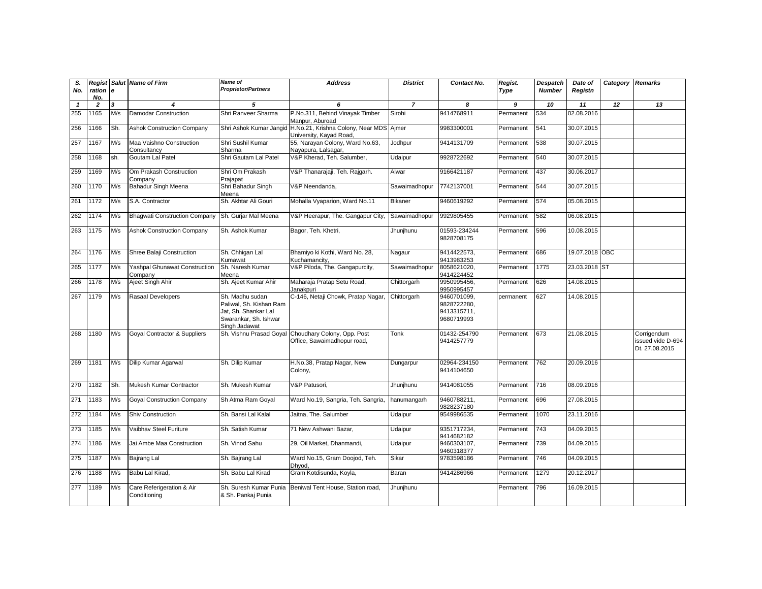| S.<br>No.    | Regist<br>$ration$   e<br>No. |     | Salut Name of Firm                              | <b>Name of</b><br><b>Proprietor/Partners</b>                                                                 | <b>Address</b>                                                                     | <b>District</b> | Contact No.                                             | Regist.<br>Type | <b>Despatch</b><br><b>Number</b> | Date of<br>Registn | Category | <b>Remarks</b>                                     |
|--------------|-------------------------------|-----|-------------------------------------------------|--------------------------------------------------------------------------------------------------------------|------------------------------------------------------------------------------------|-----------------|---------------------------------------------------------|-----------------|----------------------------------|--------------------|----------|----------------------------------------------------|
| $\mathbf{1}$ | $\overline{2}$                | 3   | 4                                               | 5                                                                                                            | 6                                                                                  | $\overline{7}$  | 8                                                       | 9               | 10                               | 11                 | 12       | 13                                                 |
| 255          | 1165                          | M/s | <b>Damodar Construction</b>                     | Shri Ranveer Sharma                                                                                          | P.No.311, Behind Vinayak Timber<br>Manpur, Aburoad                                 | Sirohi          | 9414768911                                              | Permanent       | 534                              | 02.08.2016         |          |                                                    |
| 256          | 1166                          | Sh. | <b>Ashok Construction Company</b>               | Shri Ashok Kumar Jangio                                                                                      | H.No.21, Krishna Colony, Near MDS Ajmer<br>University, Kayad Road,                 |                 | 9983300001                                              | Permanent       | 541                              | 30.07.2015         |          |                                                    |
| 257          | 1167                          | M/s | Maa Vaishno Construction<br>Consultancv         | Shri Sushil Kumar<br>Sharma                                                                                  | 55, Narayan Colony, Ward No.63,<br>Nayapura, Lalsagar,                             | Jodhpur         | 9414131709                                              | Permanent       | 538                              | 30.07.2015         |          |                                                    |
| 258          | 1168                          | sh. | Goutam Lal Patel                                | Shri Gautam Lal Patel                                                                                        | V&P Kherad, Teh. Salumber,                                                         | Udaipur         | 9928722692                                              | Permanent       | 540                              | 30.07.2015         |          |                                                    |
| 259          | 169                           | M/s | Om Prakash Construction<br>Company              | Shri Om Prakash<br>Prajapat                                                                                  | V&P Thanarajaji, Teh. Rajgarh.                                                     | Alwar           | 9166421187                                              | Permanent       | 437                              | 30.06.2017         |          |                                                    |
| 260          | 1170                          | M/s | Bahadur Singh Meena                             | Shri Bahadur Singh<br>Meena                                                                                  | V&P Neendanda,                                                                     | Sawaimadhopur   | 7742137001                                              | Permanent       | 544                              | 30.07.2015         |          |                                                    |
| 261          | 1172                          | M/s | S.A. Contractor                                 | Sh. Akhtar Ali Gouri                                                                                         | Mohalla Vyaparion, Ward No.11                                                      | <b>Bikaner</b>  | 9460619292                                              | Permanent       | 574                              | 05.08.2015         |          |                                                    |
| 262          | 1174                          | M/s | <b>Bhaqwati Construction Company</b>            | Sh. Gurjar Mal Meena                                                                                         | V&P Heerapur, The. Gangapur City,                                                  | Sawaimadhopur   | 9929805455                                              | Permanent       | 582                              | 06.08.2015         |          |                                                    |
| 263          | 1175                          | M/s | <b>Ashok Construction Company</b>               | Sh. Ashok Kumar                                                                                              | Bagor, Teh. Khetri,                                                                | Jhunjhunu       | 01593-234244<br>9828708175                              | Permanent       | 596                              | 10.08.2015         |          |                                                    |
| 264          | 1176                          | M/s | Shree Balaji Construction                       | Sh. Chhigan Lal<br>Kumawat                                                                                   | Bhamiyo ki Kothi, Ward No. 28,<br>Kuchamancity.                                    | Nagaur          | 9414422573,<br>9413983253                               | Permanent       | 686                              | 19.07.2018 OBC     |          |                                                    |
| 265          | 1177                          | M/s | <b>Yashpal Ghunawat Construction</b><br>Company | Sh. Naresh Kumar<br>Meena                                                                                    | V&P Piloda, The. Gangapurcity,                                                     | Sawaimadhopur   | 8058621020,<br>9414224452                               | Permanent       | 1775                             | 23.03.2018 ST      |          |                                                    |
| 266          | 1178                          | M/s | Ajeet Singh Ahir                                | Sh. Ajeet Kumar Ahir                                                                                         | Maharaja Pratap Setu Road,<br>Janakpuri                                            | Chittorgarh     | 9950995456,<br>9950995457                               | Permanent       | 626                              | 14.08.2015         |          |                                                    |
| 267          | 1179                          | M/s | Rasaal Developers                               | Sh. Madhu sudan<br>Paliwal, Sh. Kishan Ram<br>Jat, Sh. Shankar Lal<br>Swarankar, Sh. Ishwar<br>Singh Jadawat | C-146, Netaji Chowk, Pratap Nagar                                                  | Chittorgarh     | 9460701099.<br>9828722280,<br>9413315711,<br>9680719993 | permanent       | 627                              | 14.08.2015         |          |                                                    |
| 268          | 1180                          | M/s | Goyal Contractor & Suppliers                    |                                                                                                              | Sh. Vishnu Prasad Goyal Choudhary Colony, Opp. Post<br>Office, Sawaimadhopur road, | Tonk            | 01432-254790<br>9414257779                              | Permanent       | 673                              | 21.08.2015         |          | Corrigendum<br>issued vide D-694<br>Dt. 27.08.2015 |
| 269          | 1181                          | M/s | Dilip Kumar Agarwal                             | Sh. Dilip Kumar                                                                                              | H.No.38, Pratap Nagar, New<br>Colony,                                              | Dungarpur       | 02964-234150<br>9414104650                              | Permanent       | 762                              | 20.09.2016         |          |                                                    |
| 270          | 1182                          | Sh. | Mukesh Kumar Contractor                         | Sh. Mukesh Kumar                                                                                             | V&P Patusori.                                                                      | Jhunjhunu       | 9414081055                                              | Permanent       | 716                              | 08.09.2016         |          |                                                    |
| 271          | 1183                          | M/s | <b>Goyal Construction Company</b>               | Sh Atma Ram Goyal                                                                                            | Ward No.19, Sangria, Teh. Sangria,                                                 | hanumangarh     | 9460788211,<br>9828237180                               | Permanent       | 696                              | 27.08.2015         |          |                                                    |
| 272          | 1184                          | M/s | Shiv Construction                               | Sh. Bansi Lal Kalal                                                                                          | Jaitna, The. Salumber                                                              | Udaipur         | 9549986535                                              | Permanent       | 1070                             | 23.11.2016         |          |                                                    |
| 273          | 1185                          | M/s | Vaibhav Steel Furiture                          | Sh. Satish Kumar                                                                                             | 71 New Ashwani Bazar,                                                              | Udaipur         | 9351717234,<br>9414682182                               | Permanent       | 743                              | 04.09.2015         |          |                                                    |
| 274          | 1186                          | M/s | Jai Ambe Maa Construction                       | Sh. Vinod Sahu                                                                                               | 29, Oil Market, Dhanmandi,                                                         | Udaipur         | 9460303107,<br>9460318377                               | Permanent       | 739                              | 04.09.2015         |          |                                                    |
| 275          | 1187                          | M/s | Bajrang Lal                                     | Sh. Bajrang Lal                                                                                              | Ward No.15, Gram Doojod, Teh.<br>Dhvod.                                            | Sikar           | 9783598186                                              | Permanent       | 746                              | 04.09.2015         |          |                                                    |
| 276          | 1188                          | M/s | Babu Lal Kirad,                                 | Sh. Babu Lal Kirad                                                                                           | Gram Kotdisunda, Koyla,                                                            | Baran           | 9414286966                                              | Permanent       | 1279                             | 20.12.2017         |          |                                                    |
| 277          | 1189                          | M/s | Care Referigeration & Air<br>Conditioning       | Sh. Suresh Kumar Punia<br>& Sh. Pankaj Punia                                                                 | Beniwal Tent House, Station road,                                                  | Jhunjhunu       |                                                         | Permanent       | 796                              | 16.09.2015         |          |                                                    |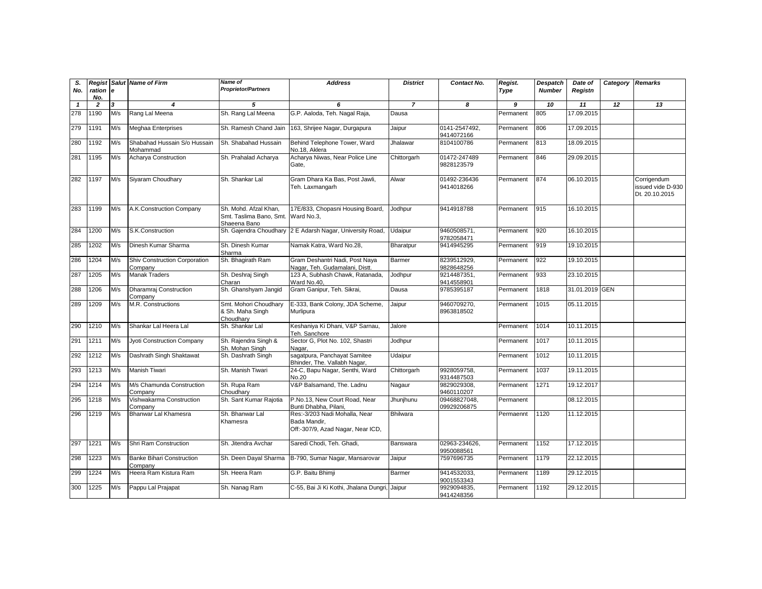| S.<br>No.    | Regist<br>ration e<br>No. |     | <b>Salut Name of Firm</b>                   | Name of<br><b>Proprietor/Partners</b>                                       | <b>Address</b>                                                                     | <b>District</b> | Contact No.                 | Regist.<br>Type | <b>Despatch</b><br><b>Number</b> | Date of<br>Registn | Category Remarks |                                                    |
|--------------|---------------------------|-----|---------------------------------------------|-----------------------------------------------------------------------------|------------------------------------------------------------------------------------|-----------------|-----------------------------|-----------------|----------------------------------|--------------------|------------------|----------------------------------------------------|
| $\mathbf{1}$ | $\overline{2}$            | 3   | $\boldsymbol{4}$                            | 5                                                                           | 6                                                                                  | $\overline{7}$  | 8                           | 9               | 10                               | 11                 | 12               | 13                                                 |
| 278          | 1190                      | M/s | Rang Lal Meena                              | Sh. Rang Lal Meena                                                          | G.P. Aaloda, Teh. Nagal Raja,                                                      | Dausa           |                             | Permanent       | 805                              | 17.09.2015         |                  |                                                    |
| 279          | 1191                      | M/s | Meghaa Enterprises                          | Sh. Ramesh Chand Jain                                                       | 163, Shrijee Nagar, Durgapura                                                      | Jaipur          | 0141-2547492,<br>9414072166 | Permanent       | 806                              | 17.09.2015         |                  |                                                    |
| 280          | 1192                      | M/s | Shabahad Hussain S/o Hussain<br>Mohammad    | Sh. Shabahad Hussain                                                        | Behind Telephone Tower, Ward<br>No.18. Aklera                                      | Jhalawar        | 8104100786                  | Permanent       | 813                              | 18.09.2015         |                  |                                                    |
| 281          | 1195                      | M/s | Acharya Construction                        | Sh. Prahalad Acharya                                                        | Acharya Niwas, Near Police Line<br>Gate,                                           | Chittorgarh     | 01472-247489<br>9828123579  | Permanent       | 846                              | 29.09.2015         |                  |                                                    |
| 282          | 1197                      | M/s | Siyaram Choudhary                           | Sh. Shankar Lal                                                             | Gram Dhara Ka Bas, Post Jawli,<br>Teh. Laxmangarh                                  | Alwar           | 01492-236436<br>9414018266  | Permanent       | 874                              | 06.10.2015         |                  | Corrigendum<br>issued vide D-930<br>Dt. 20.10.2015 |
| 283          | 1199                      | M/s | A.K.Construction Company                    | Sh. Mohd. Afzal Khan,<br>Smt. Taslima Bano, Smt. Ward No.3,<br>Shaeena Bano | 17E/833, Chopasni Housing Board,                                                   | Jodhpur         | 9414918788                  | Permanent       | 915                              | 16.10.2015         |                  |                                                    |
| 284          | 1200                      | M/s | S.K.Construction                            |                                                                             | Sh. Gajendra Choudhary 2 E Adarsh Nagar, University Road,                          | Udaipur         | 9460508571,<br>9782058471   | Permanent       | 920                              | 16.10.2015         |                  |                                                    |
| 285          | 1202                      | M/s | Dinesh Kumar Sharma                         | Sh. Dinesh Kumar<br>Sharma                                                  | Namak Katra, Ward No.28,                                                           | Bharatpur       | 9414945295                  | Permanent       | 919                              | 19.10.2015         |                  |                                                    |
| 286          | 1204                      | M/s | Shiv Construction Corporation<br>Company    | Sh. Bhagirath Ram                                                           | Gram Deshantri Nadi, Post Naya<br>Nagar, Teh. Gudamalani, Distt.                   | Barmer          | 8239512929,<br>9828648256   | Permanent       | 922                              | 19.10.2015         |                  |                                                    |
| 287          | 1205                      | M/s | <b>Manak Traders</b>                        | Sh. Deshraj Singh<br>Charan                                                 | 123 A. Subhash Chawk, Ratanada.<br>Ward No.40.                                     | Jodhpur         | 9214487351,<br>9414558901   | Permanent       | 933                              | 23.10.2015         |                  |                                                    |
| 288          | 1206                      | M/s | Dharamraj Construction<br>Company           | Sh. Ghanshyam Jangid                                                        | Gram Ganipur, Teh. Sikrai,                                                         | Dausa           | 9785395187                  | Permanent       | 1818                             | 31.01.2019 GEN     |                  |                                                    |
| 289          | 1209                      | M/s | M.R. Constructions                          | Smt. Mohori Choudhary<br>& Sh. Maha Singh<br>Choudhary                      | E-333, Bank Colony, JDA Scheme,<br>Murlipura                                       | Jaipur          | 9460709270,<br>8963818502   | Permanent       | 1015                             | 05.11.2015         |                  |                                                    |
| 290          | 1210                      | M/s | Shankar Lal Heera Lal                       | Sh. Shankar Lal                                                             | Keshaniya Ki Dhani, V&P Sarnau,<br>Teh. Sanchore                                   | Jalore          |                             | Permanent       | 1014                             | 10.11.2015         |                  |                                                    |
| 291          | 1211                      | M/s | Jyoti Construction Company                  | Sh. Rajendra Singh &<br>Sh. Mohan Singh                                     | Sector G, Plot No. 102, Shastri<br>Nagar.                                          | Jodhpur         |                             | Permanent       | 1017                             | 10.11.2015         |                  |                                                    |
| 292          | 1212                      | M/s | Dashrath Singh Shaktawat                    | Sh. Dashrath Singh                                                          | sagatpura, Panchayat Samitee<br>Bhinder, The. Vallabh Nagar,                       | Udaipur         |                             | Permanent       | 1012                             | 10.11.2015         |                  |                                                    |
| 293          | 1213                      | M/s | Manish Tiwari                               | Sh. Manish Tiwari                                                           | 24-C, Bapu Nagar, Senthi, Ward<br>No.20                                            | Chittorgarh     | 9928059758,<br>9314487503   | Permanent       | 1037                             | 19.11.2015         |                  |                                                    |
| 294          | 1214                      | M/s | M/s Chamunda Construction<br>Company        | Sh. Rupa Ram<br>Choudharv                                                   | V&P Balsamand, The. Ladnu                                                          | Nagaur          | 9829029308,<br>9460110207   | Permanent       | 1271                             | 19.12.2017         |                  |                                                    |
| 295          | 1218                      | M/s | Vishwakarma Construction<br>Company         | Sh. Sant Kumar Rajotia                                                      | P.No.13, New Court Road, Near<br>Bunti Dhabha, Pilani,                             | Jhunjhunu       | 09468827048.<br>09929206875 | Permanent       |                                  | 08.12.2015         |                  |                                                    |
| 296          | 1219                      | M/s | Bhanwar Lal Khamesra                        | Sh. Bhanwar Lal<br>Khamesra                                                 | Res:-3/203 Nadi Mohalla, Near<br>Bada Mandir.<br>Off:-307/9, Azad Nagar, Near ICD, | Bhilwara        |                             | Permaennt       | 1120                             | 11.12.2015         |                  |                                                    |
| 297          | 1221                      | M/s | Shri Ram Construction                       | Sh. Jitendra Avchar                                                         | Saredi Chodi, Teh. Ghadi,                                                          | Banswara        | 02963-234626,<br>9950088561 | Permanent       | 1152                             | 17.12.2015         |                  |                                                    |
| 298          | 1223                      | M/s | <b>Banke Bihari Construction</b><br>Company | Sh. Deen Dayal Sharma                                                       | B-790, Sumar Nagar, Mansarovar                                                     | Jaipur          | 7597696735                  | Permanent       | 1179                             | 22.12.2015         |                  |                                                    |
| 299          | 1224                      | M/s | Heera Ram Kistura Ram                       | Sh. Heera Ram                                                               | G.P. Baitu Bhimji                                                                  | Barmer          | 9414532033,<br>9001553343   | Permanent       | 1189                             | 29.12.2015         |                  |                                                    |
| 300          | 1225                      | M/s | Pappu Lal Prajapat                          | Sh. Nanag Ram                                                               | C-55, Bai Ji Ki Kothi, Jhalana Dungri, Jaipur                                      |                 | 9929094835,<br>9414248356   | Permanent       | 1192                             | 29.12.2015         |                  |                                                    |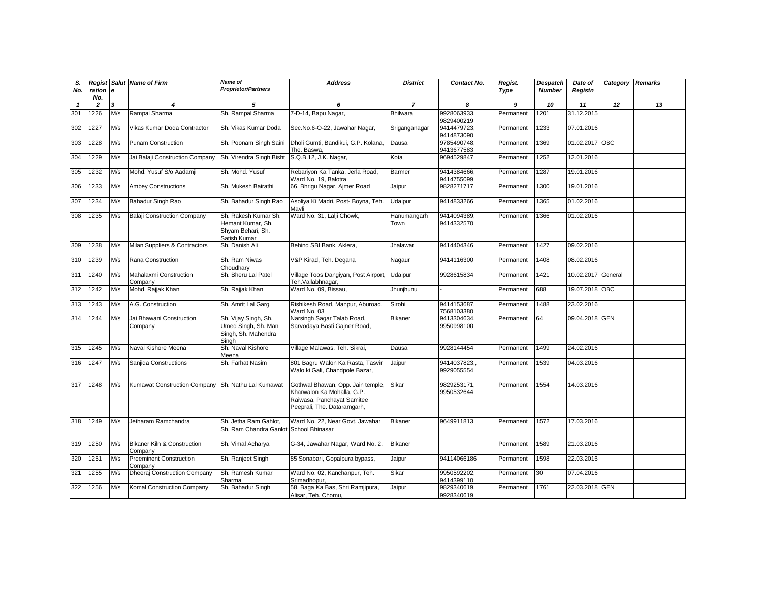| S.<br>No.    | Regist<br>ration e<br>No. |                         | Salut Name of Firm                                 | Name of<br><b>Proprietor/Partners</b>                                          | <b>Address</b>                                                                                                               | <b>District</b>     | Contact No.                | Regist.<br>Type | Despatch<br><b>Number</b> | Date of<br>Registn | Category Remarks |    |
|--------------|---------------------------|-------------------------|----------------------------------------------------|--------------------------------------------------------------------------------|------------------------------------------------------------------------------------------------------------------------------|---------------------|----------------------------|-----------------|---------------------------|--------------------|------------------|----|
| $\mathbf{1}$ | $\overline{2}$            | $\overline{\mathbf{3}}$ | 4                                                  | 5                                                                              | 6                                                                                                                            | $\overline{7}$      | 8                          | 9               | 10                        | 11                 | 12               | 13 |
| 301          | 1226                      | M/s                     | Rampal Sharma                                      | Sh. Rampal Sharma                                                              | 7-D-14, Bapu Nagar,                                                                                                          | <b>Bhilwara</b>     | 9928063933,<br>9829400219  | Permanent       | 1201                      | 31.12.2015         |                  |    |
| 302          | 1227                      | M/s                     | Vikas Kumar Doda Contractor                        | Sh. Vikas Kumar Doda                                                           | Sec.No.6-O-22, Jawahar Nagar,                                                                                                | Sriganganagar       | 9414479723,<br>9414873090  | Permanent       | 1233                      | 07.01.2016         |                  |    |
| 303          | 1228                      | M/s                     | <b>Punam Construction</b>                          | Sh. Poonam Singh Saini                                                         | Dholi Gumti, Bandikui, G.P. Kolana,<br>The. Baswa,                                                                           | Dausa               | 9785490748,<br>9413677583  | Permanent       | 1369                      | 01.02.2017 OBC     |                  |    |
| 304          | 1229                      | M/s                     | Jai Balaji Construction Company                    | Sh. Virendra Singh Bisht                                                       | S.Q.B.12, J.K. Nagar,                                                                                                        | Kota                | 9694529847                 | Permanent       | 1252                      | 12.01.2016         |                  |    |
| 305          | 1232                      | M/s                     | Mohd. Yusuf S/o Aadamji                            | Sh. Mohd. Yusuf                                                                | Rebariyon Ka Tanka, Jerla Road,<br>Ward No. 19, Balotra                                                                      | Barmer              | 9414384666,<br>9414755099  | Permanent       | 1287                      | 19.01.2016         |                  |    |
| 306          | 1233                      | M/s                     | <b>Ambey Constructions</b>                         | Sh. Mukesh Bairathi                                                            | 66, Bhrigu Nagar, Ajmer Road                                                                                                 | Jaipur              | 9828271717                 | Permanent       | 1300                      | 19.01.2016         |                  |    |
| 307          | 1234                      | M/s                     | Bahadur Singh Rao                                  | Sh. Bahadur Singh Rao                                                          | Asoliya Ki Madri, Post- Boyna, Teh.<br>Mavli                                                                                 | Udaipur             | 9414833266                 | Permanent       | 1365                      | 01.02.2016         |                  |    |
| 308          | 1235                      | M/s                     | <b>Balaji Construction Company</b>                 | Sh. Rakesh Kumar Sh.<br>Hemant Kumar, Sh.<br>Shyam Behari, Sh.<br>Satish Kumar | Ward No. 31, Lalji Chowk,                                                                                                    | Hanumangarh<br>Town | 9414094389,<br>9414332570  | Permanent       | 1366                      | 01.02.2016         |                  |    |
| 309          | 1238                      | M/s                     | Milan Suppliers & Contractors                      | Sh. Danish Ali                                                                 | Behind SBI Bank, Aklera,                                                                                                     | Jhalawar            | 9414404346                 | Permanent       | 1427                      | 09.02.2016         |                  |    |
| 310          | 1239                      | M/s                     | Rana Construction                                  | Sh. Ram Niwas<br>Choudhary                                                     | V&P Kirad, Teh. Degana                                                                                                       | Nagaur              | 9414116300                 | Permanent       | 1408                      | 08.02.2016         |                  |    |
| 311          | 1240                      | M/s                     | Mahalaxmi Construction<br>Company                  | Sh. Bheru Lal Patel                                                            | Village Toos Dangiyan, Post Airport, Udaipur<br>Teh.Vallabhnagar,                                                            |                     | 9928615834                 | Permanent       | 1421                      | 10.02.2017 General |                  |    |
| 312          | 1242                      | M/s                     | Mohd. Rajjak Khan                                  | Sh. Rajjak Khan                                                                | Ward No. 09, Bissau,                                                                                                         | Jhunjhunu           |                            | Permanent       | 688                       | 19.07.2018 OBC     |                  |    |
| 313          | 1243                      | M/s                     | A.G. Construction                                  | Sh. Amrit Lal Garg                                                             | Rishikesh Road, Manpur, Aburoad,<br>Ward No. 03                                                                              | Sirohi              | 9414153687,<br>7568103380  | Permanent       | 1488                      | 23.02.2016         |                  |    |
| 314          | 1244                      | M/s                     | Jai Bhawani Construction<br>Company                | Sh. Vijay Singh, Sh.<br>Umed Singh, Sh. Man<br>Singh, Sh. Mahendra<br>Singh    | Narsingh Sagar Talab Road,<br>Sarvodaya Basti Gajner Road,                                                                   | <b>Bikaner</b>      | 9413304634,<br>9950998100  | Permanent       | 64                        | 09.04.2018 GEN     |                  |    |
| 315          | 1245                      | M/s                     | Naval Kishore Meena                                | Sh. Naval Kishore<br>Meena                                                     | Village Malawas, Teh. Sikrai,                                                                                                | Dausa               | 9928144454                 | Permanent       | 1499                      | 24.02.2016         |                  |    |
| 316          | 1247                      | M/s                     | Sanjida Constructions                              | Sh. Farhat Nasim                                                               | 801 Bagru Walon Ka Rasta, Tasvir<br>Walo ki Gali, Chandpole Bazar,                                                           | Jaipur              | 9414037823.,<br>9929055554 | Permanent       | 1539                      | 04.03.2016         |                  |    |
| 317          | 1248                      | M/s                     | Kumawat Construction Company Sh. Nathu Lal Kumawat |                                                                                | Gothwal Bhawan, Opp. Jain temple,<br>Kharwalon Ka Mohalla, G.P.<br>Raiwasa, Panchayat Samitee<br>Peeprali, The. Dataramgarh, | Sikar               | 9829253171,<br>9950532644  | Permanent       | 1554                      | 14.03.2016         |                  |    |
| 318          | 1249                      | M/s                     | Jetharam Ramchandra                                | Sh. Jetha Ram Gahlot,<br>Sh. Ram Chandra Ganlot School Bhinasar                | Ward No. 22, Near Govt. Jawahar                                                                                              | <b>Bikaner</b>      | 9649911813                 | Permanent       | 1572                      | 17.03.2016         |                  |    |
| 319          | 1250                      | M/s                     | Bikaner Kiln & Construction<br>Company             | Sh. Vimal Acharya                                                              | G-34, Jawahar Nagar, Ward No. 2,                                                                                             | <b>Bikaner</b>      |                            | Permanent       | 1589                      | 21.03.2016         |                  |    |
| 320          | 1251                      | M/s                     | <b>Preeminent Construction</b><br>Company          | Sh. Ranjeet Singh                                                              | 85 Sonabari, Gopalpura bypass,                                                                                               | Jaipur              | 94114066186                | Permanent       | 1598                      | 22.03.2016         |                  |    |
| 321          | 1255                      | M/s                     | Dheeraj Construction Company                       | Sh. Ramesh Kumar<br>Sharma                                                     | Ward No. 02, Kanchanpur, Teh.<br>Srimadhopur,                                                                                | Sikar               | 9950592202,<br>9414399110  | Permanent       | 30                        | 07.04.2016         |                  |    |
| 322          | 1256                      | M/s                     | Komal Construction Company                         | Sh. Bahadur Singh                                                              | 58, Baga Ka Bas, Shri Ramjipura,<br>Alisar, Teh. Chomu,                                                                      | Jaipur              | 9829340619,<br>9928340619  | Permanent       | 1761                      | 22.03.2018 GEN     |                  |    |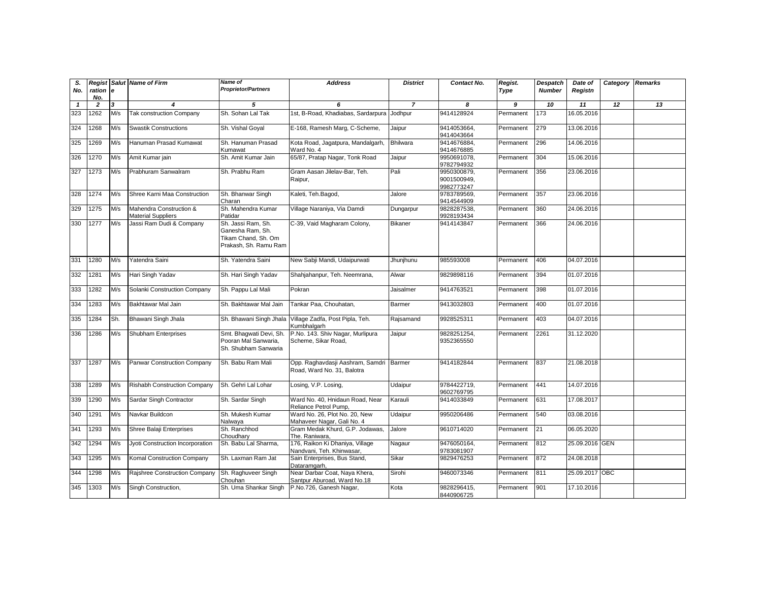| S.<br>No.    | Regist<br>ration e<br>No. |     | <b>Salut Name of Firm</b>                            | <b>Name of</b><br><b>Proprietor/Partners</b>                                           | <b>Address</b>                                                        | <b>District</b> | Contact No.                              | Regist.<br>Type | Despatch<br><b>Number</b> | Date of<br>Registn | Category Remarks |    |
|--------------|---------------------------|-----|------------------------------------------------------|----------------------------------------------------------------------------------------|-----------------------------------------------------------------------|-----------------|------------------------------------------|-----------------|---------------------------|--------------------|------------------|----|
| $\mathbf{1}$ | $\overline{2}$            | 3   | $\boldsymbol{4}$                                     | 5                                                                                      | 6                                                                     | $\overline{z}$  | 8                                        | 9               | 10                        | 11                 | 12               | 13 |
| 323          | 1262                      | M/s | <b>Tak construction Company</b>                      | Sh. Sohan Lal Tak                                                                      | 1st, B-Road, Khadiabas, Sardarpura                                    | Jodhpur         | 9414128924                               | Permanent       | 173                       | 16.05.2016         |                  |    |
| 324          | 1268                      | M/s | <b>Swastik Constructions</b>                         | Sh. Vishal Goyal                                                                       | E-168, Ramesh Marg, C-Scheme,                                         | Jaipur          | 9414053664,<br>9414043664                | Permanent       | 279                       | 13.06.2016         |                  |    |
| 325          | 1269                      | M/s | Hanuman Prasad Kumawat                               | Sh. Hanuman Prasad<br>Kumawat                                                          | Kota Road, Jagatpura, Mandalgarh,<br>Ward No. 4                       | <b>Bhilwara</b> | 9414676884,<br>9414676885                | Permanent       | 296                       | 14.06.2016         |                  |    |
| 326          | 1270                      | M/s | Amit Kumar jain                                      | Sh. Amit Kumar Jain                                                                    | 65/87, Pratap Nagar, Tonk Road                                        | Jaipur          | 9950691078,<br>9782794932                | Permanent       | 304                       | 15.06.2016         |                  |    |
| 327          | 1273                      | M/s | Prabhuram Sanwalram                                  | Sh. Prabhu Ram                                                                         | Gram Aasan Jilelav-Bar, Teh.<br>Raipur,                               | Pali            | 9950300879,<br>9001500949,<br>9982773247 | Permanent       | 356                       | 23.06.2016         |                  |    |
| 328          | 1274                      | M/s | Shree Karni Maa Construction                         | Sh. Bhanwar Singh<br>Charan                                                            | Kaleti, Teh.Bagod,                                                    | Jalore          | 9783789569,<br>9414544909                | Permanent       | 357                       | 23.06.2016         |                  |    |
| 329          | 1275                      | M/s | Mahendra Construction &<br><b>Material Suppliers</b> | Sh. Mahendra Kumar<br>Patidar                                                          | Village Naraniya, Via Damdi                                           | Dungarpur       | 9828287538,<br>9928193434                | Permanent       | 360                       | 24.06.2016         |                  |    |
| 330          | 1277                      | M/s | Jassi Ram Dudi & Company                             | Sh. Jassi Ram, Sh.<br>Ganesha Ram, Sh.<br>Tikam Chand, Sh. Om<br>Prakash, Sh. Ramu Ram | C-39, Vaid Magharam Colony,                                           | <b>Bikaner</b>  | 9414143847                               | Permanent       | 366                       | 24.06.2016         |                  |    |
| 331          | 1280                      | M/s | Yatendra Saini                                       | Sh. Yatendra Saini                                                                     | New Sabji Mandi, Udaipurwati                                          | Jhunjhunu       | 985593008                                | Permanent       | 406                       | 04.07.2016         |                  |    |
| 332          | 1281                      | M/s | Hari Singh Yadav                                     | Sh. Hari Singh Yadav                                                                   | Shahjahanpur, Teh. Neemrana,                                          | Alwar           | 9829898116                               | Permanent       | 394                       | 01.07.2016         |                  |    |
| 333          | 1282                      | M/s | Solanki Construction Company                         | Sh. Pappu Lal Mali                                                                     | Pokran                                                                | Jaisalmer       | 9414763521                               | Permanent       | 398                       | 01.07.2016         |                  |    |
| 334          | 1283                      | M/s | Bakhtawar Mal Jain                                   | Sh. Bakhtawar Mal Jain                                                                 | Tankar Paa, Chouhatan,                                                | Barmer          | 9413032803                               | Permanent       | 400                       | 01.07.2016         |                  |    |
| 335          | 1284                      | Sh. | Bhawani Singh Jhala                                  | Sh. Bhawani Singh Jhala                                                                | Village Zadfa, Post Pipla, Teh.<br>Kumbhalgarh                        | Rajsamand       | 9928525311                               | Permanent       | 403                       | 04.07.2016         |                  |    |
| 336          | 1286                      | M/s | Shubham Enterprises                                  | Smt. Bhagwati Devi, Sh.<br>Pooran Mal Sanwaria,<br>Sh. Shubham Sanwaria                | P.No. 143. Shiv Nagar, Murlipura<br>Scheme, Sikar Road,               | Jaipur          | 9828251254,<br>9352365550                | Permanent       | 2261                      | 31.12.2020         |                  |    |
| 337          | 1287                      | M/s | Panwar Construction Company                          | Sh. Babu Ram Mali                                                                      | Opp. Raghavdasji Aashram, Samdri Barmer<br>Road, Ward No. 31, Balotra |                 | 9414182844                               | Permanent       | 837                       | 21.08.2018         |                  |    |
| 338          | 1289                      | M/s | <b>Rishabh Construction Company</b>                  | Sh. Gehri Lal Lohar                                                                    | Losing, V.P. Losing,                                                  | Udaipur         | 9784422719.<br>9602769795                | Permanent       | 441                       | 14.07.2016         |                  |    |
| 339          | 1290                      | M/s | Sardar Singh Contractor                              | Sh. Sardar Singh                                                                       | Ward No. 40, Hnidaun Road, Near<br>Reliance Petrol Pump,              | Karauli         | 9414033849                               | Permanent       | 631                       | 17.08.2017         |                  |    |
| 340          | 1291                      | M/s | Navkar Buildcon                                      | Sh. Mukesh Kumar<br>Nalwaya                                                            | Ward No. 26, Plot No. 20, New<br>Mahaveer Nagar, Gali No. 4           | Udaipur         | 9950206486                               | Permanent       | 540                       | 03.08.2016         |                  |    |
| 341          | 1293                      | M/s | Shree Balaji Enterprises                             | Sh. Ranchhod<br>Choudhary                                                              | Gram Medak Khurd, G.P. Jodawas,<br>The. Raniwara,                     | Jalore          | 9610714020                               | Permanent       | 21                        | 06.05.2020         |                  |    |
| 342          | 1294                      | M/s | Jyoti Construction Incorporation                     | Sh. Babu Lal Sharma,                                                                   | 176, Raikon Ki Dhaniya, Village<br>Nandvani, Teh. Khinwasar,          | Nagaur          | 9476050164,<br>9783081907                | Permanent       | 812                       | 25.09.2016 GEN     |                  |    |
| 343          | 1295                      | M/s | Komal Construction Company                           | Sh. Laxman Ram Jat                                                                     | Sain Enterprises, Bus Stand,<br>Dataramgarh,                          | Sikar           | 9829476253                               | Permanent       | 872                       | 24.08.2018         |                  |    |
| 344          | 1298                      | M/s | Rajshree Construction Company                        | Sh. Raghuveer Singh<br>Chouhan                                                         | Near Darbar Coat, Naya Khera,<br>Santpur Aburoad, Ward No.18          | Sirohi          | 9460073346                               | Permanent       | 811                       | 25.09.2017 OBC     |                  |    |
| 345          | 1303                      | M/s | Singh Construction,                                  | Sh. Uma Shankar Singh                                                                  | P.No.726, Ganesh Nagar,                                               | Kota            | 9828296415,<br>8440906725                | Permanent       | 901                       | 17.10.2016         |                  |    |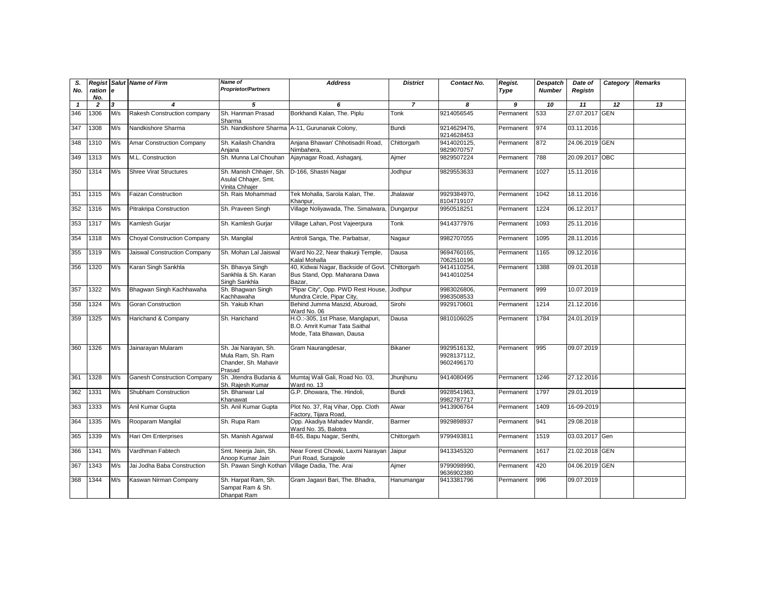| S.<br>No.    | Regist<br>ration e<br>No. |     | Salut Name of Firm                 | <b>Name of</b><br><b>Proprietor/Partners</b>                                | <b>Address</b>                                                                                 | <b>District</b> | Contact No.                              | Regist.<br>Type | Despatch<br><b>Number</b> | Date of<br>Registn | Category   | <b>Remarks</b> |
|--------------|---------------------------|-----|------------------------------------|-----------------------------------------------------------------------------|------------------------------------------------------------------------------------------------|-----------------|------------------------------------------|-----------------|---------------------------|--------------------|------------|----------------|
| $\mathbf{1}$ | $\overline{2}$            | 3   | 4                                  | 5                                                                           | 6                                                                                              | $\overline{7}$  | 8                                        | 9               | 10                        | 11                 | 12         | 13             |
| 346          | 1306                      | M/s | Rakesh Construction company        | Sh. Hanman Prasad<br>Sharma                                                 | Borkhandi Kalan, The. Piplu                                                                    | Tonk            | 9214056545                               | Permanent       | 533                       | 27.07.2017 GEN     |            |                |
| 347          | 1308                      | M/s | Nandkishore Sharma                 |                                                                             | Sh. Nandkishore Sharma A-11, Gurunanak Colony,                                                 | <b>Bundi</b>    | 9214629476,<br>9214628453                | Permanent       | 974                       | 03.11.2016         |            |                |
| 348          | 1310                      | M/s | Amar Construction Company          | Sh. Kailash Chandra<br>Aniana                                               | Anjana Bhawan' Chhotisadri Road,<br>Nimbahera.                                                 | Chittorgarh     | 9414020125,<br>9829070757                | Permanent       | 872                       | 24.06.2019 GEN     |            |                |
| 349          | 1313                      | M/s | M.L. Construction                  | Sh. Munna Lal Chouhan                                                       | Ajaynagar Road, Ashaganj,                                                                      | Ajmer           | 9829507224                               | Permanent       | 788                       | 20.09.2017 OBC     |            |                |
| 350          | 1314                      | M/s | <b>Shree Virat Structures</b>      | Sh. Manish Chhajer, Sh.<br>Asulal Chhajer, Smt.<br>Vinita Chhajer           | D-166, Shastri Nagar                                                                           | Jodhpur         | 9829553633                               | Permanent       | 1027                      | 15.11.2016         |            |                |
| 351          | 1315                      | M/s | <b>Faizan Construction</b>         | Sh. Rais Mohammad                                                           | Tek Mohalla, Sarola Kalan, The.<br>Khanpur.                                                    | Jhalawar        | 9929384970.<br>8104719107                | Permanent       | 1042                      | 18.11.2016         |            |                |
| 352          | 1316                      | M/s | Pitrakripa Construction            | Sh. Praveen Singh                                                           | Village Noliyawada, The. Simalwara.                                                            | Dungarpur       | 9950518251                               | Permanent       | 1224                      | 06.12.2017         |            |                |
| 353          | 1317                      | M/s | Kamlesh Gurjar                     | Sh. Kamlesh Gurjar                                                          | Village Lahan, Post Vajeerpura                                                                 | Tonk            | 9414377976                               | Permanent       | 1093                      | 25.11.2016         |            |                |
| 354          | 1318                      | M/s | <b>Choyal Construction Company</b> | Sh. Mangilal                                                                | Antroli Sanga, The. Parbatsar,                                                                 | Nagaur          | 9982707055                               | Permanent       | 1095                      | 28.11.2016         |            |                |
| 355          | 1319                      | M/s | Jaiswal Construction Company       | Sh. Mohan Lal Jaiswal                                                       | Ward No.22, Near thakurji Temple,<br>Kalal Mohalla                                             | Dausa           | 9694760165,<br>7062510196                | Permanent       | 1165                      | 09.12.2016         |            |                |
| 356          | 1320                      | M/s | Karan Singh Sankhla                | Sh. Bhavya Singh<br>Sankhla & Sh. Karan<br>Singh Sankhla                    | 40, Kidwai Nagar, Backside of Govt.<br>Bus Stand, Opp. Maharana Dawa<br>Bazar,                 | Chittorgarh     | 9414110254,<br>9414010254                | Permanent       | 1388                      | 09.01.2018         |            |                |
| 357          | 1322                      | M/s | Bhagwan Singh Kachhawaha           | Sh. Bhagwan Singh<br>Kachhawaha                                             | 'Pipar City", Opp. PWD Rest House,<br>Mundra Circle, Pipar City,                               | Jodhpur         | 9983026806,<br>9983508533                | Permanent       | 999                       | 10.07.2019         |            |                |
| 358          | 1324                      | M/s | Goran Construction                 | Sh. Yakub Khan                                                              | Behind Jumma Maszid, Aburoad,<br>Ward No. 06                                                   | Sirohi          | 9929170601                               | Permanent       | 1214                      | 21.12.2016         |            |                |
| 359          | 1325                      | M/s | Harichand & Company                | Sh. Harichand                                                               | H.O.:-305, 1st Phase, Manglapuri,<br>B.O. Amrit Kumar Tata Saithal<br>Mode, Tata Bhawan, Dausa | Dausa           | 9810106025                               | Permanent       | 1784                      | 24.01.2019         |            |                |
| 360          | 1326                      | M/s | Jainarayan Mularam                 | Sh. Jai Narayan, Sh.<br>Mula Ram, Sh. Ram<br>Chander, Sh. Mahavir<br>Prasad | Gram Naurangdesar,                                                                             | Bikaner         | 9929516132.<br>9928137112,<br>9602496170 | Permanent       | 995                       | 09.07.2019         |            |                |
| 361          | 1328                      | M/s | <b>Ganesh Construction Company</b> | Sh. Jitendra Budania &<br>Sh. Raiesh Kumar                                  | Mumtaj Wali Gali, Road No. 03,<br>Ward no. 13                                                  | Jhunjhunu       | 9414080495                               | Permanent       | 1246                      | 27.12.2016         |            |                |
| 362          | 1331                      | M/s | Shubham Construction               | Sh. Bhanwar Lal<br>Khanawat                                                 | G.P. Dhowara, The. Hindoli,                                                                    | <b>Bundi</b>    | 9928541963,<br>9982787717                | Permanent       | 1797                      | 29.01.2019         |            |                |
| 363          | 1333                      | M/s | Anil Kumar Gupta                   | Sh. Anil Kumar Gupta                                                        | Plot No. 37, Raj Vihar, Opp. Cloth<br>Factory, Tijara Road,                                    | Alwar           | 9413906764                               | Permanent       | 1409                      | 16-09-2019         |            |                |
| 364          | 1335                      | M/s | Rooparam Mangilal                  | Sh. Rupa Ram                                                                | Opp. Akadiya Mahadev Mandir,<br>Ward No. 35, Balotra                                           | Barmer          | 9929898937                               | Permanent       | 941                       | 29.08.2018         |            |                |
| 365          | 1339                      | M/s | Hari Om Enterprises                | Sh. Manish Agarwal                                                          | B-65, Bapu Nagar, Senthi,                                                                      | Chittorgarh     | 9799493811                               | Permanent       | 1519                      | 03.03.2017         | Gen        |                |
| 366          | 1341                      | M/s | Vardhman Fabtech                   | Smt. Neerja Jain, Sh.<br>Anoop Kumar Jain                                   | Near Forest Chowki, Laxmi Narayan<br>Puri Road, Suraipole                                      | Jaipur          | 9413345320                               | Permanent       | 1617                      | 21.02.2018         | <b>GEN</b> |                |
| 367          | 1343                      | M/s | Jai Jodha Baba Construction        | Sh. Pawan Singh Kothari                                                     | Village Dadia, The. Arai                                                                       | Ajmer           | 9799098990,<br>9636902380                | Permanent       | 420                       | 04.06.2019 GEN     |            |                |
| 368          | 1344                      | M/s | Kaswan Nirman Company              | Sh. Harpat Ram, Sh.<br>Sampat Ram & Sh.<br>Dhanpat Ram                      | Gram Jagasri Bari, The. Bhadra,                                                                | Hanumangar      | 9413381796                               | Permanent       | 996                       | 09.07.2019         |            |                |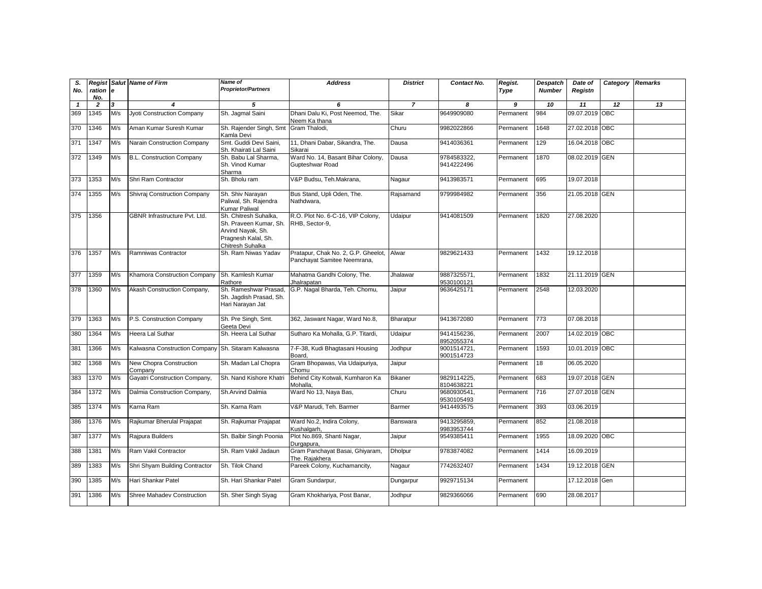| S.<br>No.    | ration e<br>No. |                         | Regist Salut Name of Firm                          | Name of<br><b>Proprietor/Partners</b>                                                                           | <b>Address</b>                                                     | <b>District</b> | Contact No.               | Regist.<br>Type | <b>Despatch</b><br><b>Number</b> | Date of<br>Registn | Category Remarks |    |
|--------------|-----------------|-------------------------|----------------------------------------------------|-----------------------------------------------------------------------------------------------------------------|--------------------------------------------------------------------|-----------------|---------------------------|-----------------|----------------------------------|--------------------|------------------|----|
| $\mathbf{1}$ | $\overline{2}$  | $\overline{\mathbf{3}}$ | $\boldsymbol{\Lambda}$                             | 5                                                                                                               | 6                                                                  | $\overline{z}$  | 8                         | 9               | 10                               | 11                 | 12               | 13 |
| 369          | 1345            | M/s                     | <b>Jyoti Construction Company</b>                  | Sh. Jaqmal Saini                                                                                                | Dhani Dalu Ki, Post Neemod, The.<br>Neem Ka thana                  | Sikar           | 9649909080                | Permanent       | 984                              | 09.07.2019 OBC     |                  |    |
| 370          | 1346            | M/s                     | Aman Kumar Suresh Kumar                            | Sh. Rajender Singh, Smt<br>Kamla Devi                                                                           | Gram Thalodi,                                                      | Churu           | 9982022866                | Permanent       | 1648                             | 27.02.2018 OBC     |                  |    |
| 371          | 1347            | M/s                     | Narain Construction Company                        | Smt. Guddi Devi Saini,<br>Sh. Khairati Lal Saini                                                                | 11, Dhani Dabar, Sikandra, The.<br>Sikarai                         | Dausa           | 9414036361                | Permanent       | 129                              | 16.04.2018 OBC     |                  |    |
| 372          | 1349            | M/s                     | B.L. Construction Company                          | Sh. Babu Lal Sharma,<br>Sh. Vinod Kumar<br>Sharma                                                               | Ward No. 14, Basant Bihar Colony,<br>Gupteshwar Road               | Dausa           | 9784583322,<br>9414222496 | Permanent       | 1870                             | 08.02.2019 GEN     |                  |    |
| 373          | 1353            | M/s                     | Shri Ram Contractor                                | Sh. Bholu ram                                                                                                   | V&P Budsu, Teh.Makrana,                                            | Nagaur          | 9413983571                | Permanent       | 695                              | 19.07.2018         |                  |    |
| 374          | 1355            | M/s                     | <b>Shivraj Construction Company</b>                | Sh. Shiv Narayan<br>Paliwal, Sh. Rajendra<br>Kumar Paliwal                                                      | Bus Stand, Upli Oden, The.<br>Nathdwara,                           | Rajsamand       | 9799984982                | Permanent       | 356                              | 21.05.2018 GEN     |                  |    |
| 375          | 1356            |                         | GBNR Infrastructure Pvt. Ltd.                      | Sh. Chitresh Suhalka,<br>Sh. Praveen Kumar, Sh.<br>Arvind Nayak, Sh.<br>Pragnesh Kalal, Sh.<br>Chitresh Suhalka | R.O. Plot No. 6-C-16, VIP Colony,<br>RHB. Sector-9.                | Udaipur         | 9414081509                | Permanent       | 1820                             | 27.08.2020         |                  |    |
| 376          | 1357            | M/s                     | Ramniwas Contractor                                | Sh. Ram Niwas Yadav                                                                                             | Pratapur, Chak No. 2, G.P. Gheelot,<br>Panchayat Samitee Neemrana, | Alwar           | 9829621433                | Permanent       | 1432                             | 19.12.2018         |                  |    |
| 377          | 1359            | M/s                     | Khamora Construction Company                       | Sh. Kamlesh Kumar<br>Rathore                                                                                    | Mahatma Gandhi Colony, The.<br>Jhalrapatan                         | Jhalawar        | 9887325571,<br>9530100121 | Permanent       | 1832                             | 21.11.2019 GEN     |                  |    |
| 378          | 1360            | M/s                     | Akash Construction Company,                        | Sh. Rameshwar Prasad,<br>Sh. Jagdish Prasad, Sh.<br>Hari Narayan Jat                                            | G.P. Nagal Bharda, Teh. Chomu,                                     | Jaipur          | 9636425171                | Permanent       | 2548                             | 12.03.2020         |                  |    |
| 379          | 1363            | M/s                     | P.S. Construction Company                          | Sh. Pre Singh, Smt.<br>Geeta Devi                                                                               | 362, Jaswant Nagar, Ward No.8,                                     | Bharatpur       | 9413672080                | Permanent       | 773                              | 07.08.2018         |                  |    |
| 380          | 1364            | M/s                     | Heera Lal Suthar                                   | Sh. Heera Lal Suthar                                                                                            | Sutharo Ka Mohalla, G.P. Titardi,                                  | Udaipur         | 9414156236,<br>8952055374 | Permanent       | 2007                             | 14.02.2019 OBC     |                  |    |
| 381          | 1366            | M/s                     | Kalwasna Construction Company Sh. Sitaram Kalwasna |                                                                                                                 | 7-F-38, Kudi Bhagtasani Housing<br>Board,                          | Jodhpur         | 9001514721,<br>9001514723 | Permanent       | 1593                             | 10.01.2019 OBC     |                  |    |
| 382          | 1368            | M/s                     | New Chopra Construction<br>Company                 | Sh. Madan Lal Chopra                                                                                            | Gram Bhopawas, Via Udaipuriya,<br>Chomu                            | Jaipur          |                           | Permanent       | 18                               | 06.05.2020         |                  |    |
| 383          | 1370            | M/s                     | Gayatri Construction Company,                      | Sh. Nand Kishore Khatri                                                                                         | Behind City Kotwali, Kumharon Ka<br>Mohalla.                       | <b>Bikaner</b>  | 9829114225.<br>8104638221 | Permanent       | 683                              | 19.07.2018 GEN     |                  |    |
| 384          | 1372            | M/s                     | Dalmia Construction Company,                       | Sh.Arvind Dalmia                                                                                                | Ward No 13, Naya Bas,                                              | Churu           | 9680930541,<br>9530105493 | Permanent       | 716                              | 27.07.2018 GEN     |                  |    |
| 385          | 1374            | M/s                     | Karna Ram                                          | Sh. Karna Ram                                                                                                   | V&P Marudi, Teh, Barmer                                            | Barmer          | 9414493575                | Permanent       | 393                              | 03.06.2019         |                  |    |
| 386          | 1376            | M/s                     | Rajkumar Bherulal Prajapat                         | Sh. Rajkumar Prajapat                                                                                           | Ward No.2, Indira Colony,<br>Kushalgarh.                           | Banswara        | 9413295859,<br>9983953744 | Permanent       | 852                              | 21.08.2018         |                  |    |
| 387          | 1377            | M/s                     | Rajpura Builders                                   | Sh. Balbir Singh Poonia                                                                                         | Plot No.869, Shanti Nagar,<br>Durgapura,                           | Jaipur          | 9549385411                | Permanent       | 1955                             | 18.09.2020 OBC     |                  |    |
| 388          | 1381            | M/s                     | Ram Vakil Contractor                               | Sh. Ram Vakil Jadaun                                                                                            | Gram Panchayat Basai, Ghiyaram,<br>The. Rajakhera                  | <b>Dholpur</b>  | 9783874082                | Permanent       | 1414                             | 16.09.2019         |                  |    |
| 389          | 1383            | M/s                     | Shri Shyam Building Contractor                     | Sh. Tilok Chand                                                                                                 | Pareek Colony, Kuchamancity,                                       | Nagaur          | 7742632407                | Permanent       | 1434                             | 19.12.2018 GEN     |                  |    |
| 390          | 1385            | M/s                     | Hari Shankar Patel                                 | Sh. Hari Shankar Patel                                                                                          | Gram Sundarpur,                                                    | Dungarpur       | 9929715134                | Permanent       |                                  | 17.12.2018 Gen     |                  |    |
| 391          | 1386            | M/s                     | Shree Mahadev Construction                         | Sh. Sher Singh Siyag                                                                                            | Gram Khokhariya, Post Banar,                                       | Jodhpur         | 9829366066                | Permanent       | 690                              | 28.08.2017         |                  |    |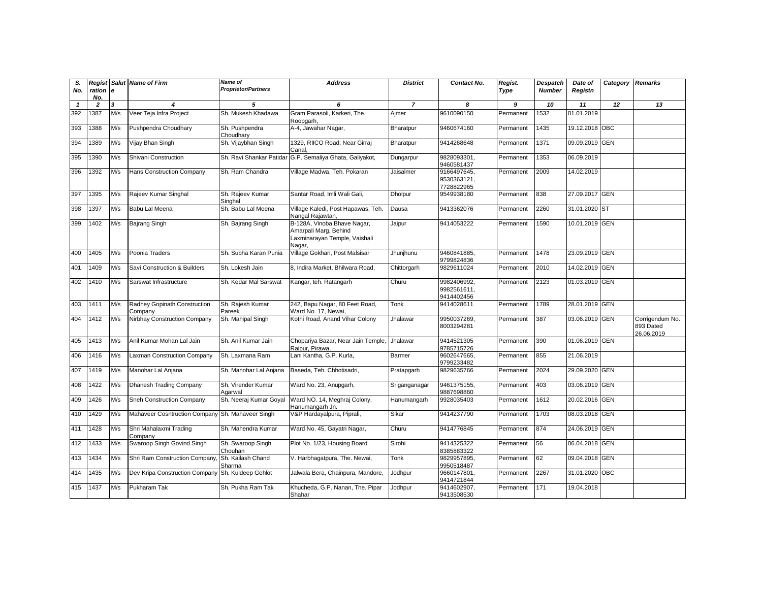| S.<br>No.    | Regist<br>ration e<br>No. |     | <b>Salut</b> Name of Firm                        | Name of<br><b>Proprietor/Partners</b> | <b>Address</b>                                                                                  | <b>District</b> | Contact No.                              | Regist.<br>Type | Despatch<br><b>Number</b> | Date of<br>Registn | Category | <b>Remarks</b>                             |
|--------------|---------------------------|-----|--------------------------------------------------|---------------------------------------|-------------------------------------------------------------------------------------------------|-----------------|------------------------------------------|-----------------|---------------------------|--------------------|----------|--------------------------------------------|
| $\mathbf{1}$ | $\overline{2}$            | 3   |                                                  | 5                                     | 6                                                                                               | $\overline{7}$  | 8                                        | 9               | 10                        | 11                 | 12       | 13                                         |
| 392          | 1387                      | M/s | Veer Teja Infra Project                          | Sh. Mukesh Khadawa                    | Gram Parasoli, Karkeri, The.<br>Roopgarh.                                                       | Ajmer           | 9610090150                               | Permanent       | 1532                      | 01.01.2019         |          |                                            |
| 393          | 1388                      | M/s | Pushpendra Choudhary                             | Sh. Pushpendra<br>Choudhary           | A-4, Jawahar Nagar,                                                                             | Bharatpur       | 9460674160                               | Permanent       | 1435                      | 19.12.2018 OBC     |          |                                            |
| 394          | 1389                      | M/s | Vijay Bhan Singh                                 | Sh. Vijaybhan Singh                   | 1329, RIICO Road, Near Girraj<br>Canal                                                          | Bharatpur       | 9414268648                               | Permanent       | 1371                      | 09.09.2019 GEN     |          |                                            |
| 395          | 1390                      | M/s | Shivani Construction                             | Sh. Ravi Shankar Patidar              | G.P. Semaliya Ghata, Galiyakot,                                                                 | Dungarpur       | 9828093301,<br>9460581437                | Permanent       | 1353                      | 06.09.2019         |          |                                            |
| 396          | 1392                      | M/s | <b>Hans Construction Company</b>                 | Sh. Ram Chandra                       | Village Madwa, Teh. Pokaran                                                                     | Jaisalmer       | 9166497645,<br>9530363121,<br>7728822965 | Permanent       | 2009                      | 14.02.2019         |          |                                            |
| 397          | 1395                      | M/s | Rajeev Kumar Singhal                             | Sh. Rajeev Kumar<br>Singhal           | Santar Road, Imli Wali Gali,                                                                    | <b>Dholpur</b>  | 9549938180                               | Permanent       | 838                       | 27.09.2017 GEN     |          |                                            |
| 398          | 1397                      | M/s | Babu Lal Meena                                   | Sh. Babu Lal Meena                    | Village Kaledi, Post Hapawas, Teh.<br>Nangal Rajawtan,                                          | Dausa           | 9413362076                               | Permanent       | 2260                      | 31.01.2020 ST      |          |                                            |
| 399          | 1402                      | M/s | Bajrang Singh                                    | Sh. Bajrang Singh                     | B-128A, Vinoba Bhave Nagar,<br>Amarpali Marg, Behind<br>Laxminarayan Temple, Vaishali<br>Nagar, | Jaipur          | 9414053222                               | Permanent       | 1590                      | 10.01.2019 GEN     |          |                                            |
| 400          | 1405                      | M/s | Poonia Traders                                   | Sh. Subha Karan Punia                 | Village Gokhari, Post Malsisar                                                                  | Jhunjhunu       | 9460841885.<br>9799824836                | Permanent       | 1478                      | 23.09.2019 GEN     |          |                                            |
| 401          | 1409                      | M/s | Savi Construction & Builders                     | Sh. Lokesh Jain                       | 8, Indira Market, Bhilwara Road,                                                                | Chittorgarh     | 9829611024                               | Permanent       | 2010                      | 14.02.2019 GEN     |          |                                            |
| 402          | 1410                      | M/s | Sarswat Infrastructure                           | Sh. Kedar Mal Sarswat                 | Kangar, teh. Ratangarh                                                                          | Churu           | 9982406992,<br>9982561611,<br>9414402456 | Permanent       | 2123                      | 01.03.2019 GEN     |          |                                            |
| 403          | 1411                      | M/s | Radhey Gopinath Construction<br>Company          | Sh. Rajesh Kumar<br>Pareek            | 242, Bapu Nagar, 80 Feet Road,<br>Ward No. 17, Newai                                            | Tonk            | 9414028611                               | Permanent       | 1789                      | 28.01.2019 GEN     |          |                                            |
| 404          | 1412                      | M/s | Nirbhay Construction Company                     | Sh. Mahipal Singh                     | Kothi Road, Anand Vihar Colony                                                                  | Jhalawar        | 9950037269,<br>8003294281                | Permanent       | 387                       | 03.06.2019 GEN     |          | Corrigendum No.<br>893 Dated<br>26.06.2019 |
| 405          | 1413                      | M/s | Anil Kumar Mohan Lal Jain                        | Sh. Anil Kumar Jain                   | Chopariya Bazar, Near Jain Temple,<br>Raipur, Pirawa.                                           | Jhalawar        | 9414521305<br>9785715726                 | Permanent       | 390                       | 01.06.2019 GEN     |          |                                            |
| 406          | 1416                      | M/s | Laxman Construction Company                      | Sh. Laxmana Ram                       | Lani Kantha, G.P. Kurla,                                                                        | Barmer          | 9602647665,<br>9799233482                | Permanent       | 855                       | 21.06.2019         |          |                                            |
| 407          | 1419                      | M/s | Manohar Lal Anjana                               | Sh. Manohar Lal Anjana                | Baseda, Teh. Chhotisadri,                                                                       | Pratapgarh      | 9829635766                               | Permanent       | 2024                      | 29.09.2020 GEN     |          |                                            |
| 408          | 1422                      | M/s | Dhanesh Trading Company                          | Sh. Virender Kumar<br>Agarwal         | Ward No. 23, Anupgarh,                                                                          | Sriganganagar   | 9461375155,<br>9887698860                | Permanent       | 403                       | 03.06.2019 GEN     |          |                                            |
| 409          | 1426                      | M/s | Sneh Construction Company                        | Sh. Neeraj Kumar Goyal                | Ward NO. 14, Meghraj Colony,<br>Hanumangarh Jn.                                                 | Hanumangarh     | 9928035403                               | Permanent       | 1612                      | 20.02.2016 GEN     |          |                                            |
| 410          | 1429                      | M/s | Mahaveer Cosntruction Company Sh. Mahaveer Singh |                                       | V&P Hardayalpura, Piprali,                                                                      | Sikar           | 9414237790                               | Permanent       | 1703                      | 08.03.2018 GEN     |          |                                            |
| 411          | 1428                      | M/s | Shri Mahalaxmi Trading<br>Company                | Sh. Mahendra Kumar                    | Ward No. 45, Gayatri Nagar,                                                                     | Churu           | 9414776845                               | Permanent       | 874                       | 24.06.2019 GEN     |          |                                            |
| 412          | 1433                      | M/s | Swaroop Singh Govind Singh                       | Sh. Swaroop Singh<br>Chouhan          | Plot No. 1/23, Housing Board                                                                    | Sirohi          | 9414325322<br>8385883322                 | Permanent       | 56                        | 06.04.2018 GEN     |          |                                            |
| 413          | 1434                      | M/s | Shri Ram Construction Company,                   | Sh. Kailash Chand<br>Sharma           | V. Harbhagatpura, The. Newai,                                                                   | Tonk            | 9829957895,<br>9950518487                | Permanent       | 62                        | 09.04.2018 GEN     |          |                                            |
| 414          | 1435                      | M/s | Dev Kripa Construction Company                   | Sh. Kuldeep Gehlot                    | Jalwala Bera, Chainpura, Mandore,                                                               | Jodhpur         | 9660147801,<br>9414721844                | Permanent       | 2267                      | 31.01.2020 OBC     |          |                                            |
| 415          | 1437                      | M/s | Pukharam Tak                                     | Sh. Pukha Ram Tak                     | Khucheda, G.P. Nanan, The. Pipar<br>Shahar                                                      | Jodhpur         | 9414602907,<br>9413508530                | Permanent       | 171                       | 19.04.2018         |          |                                            |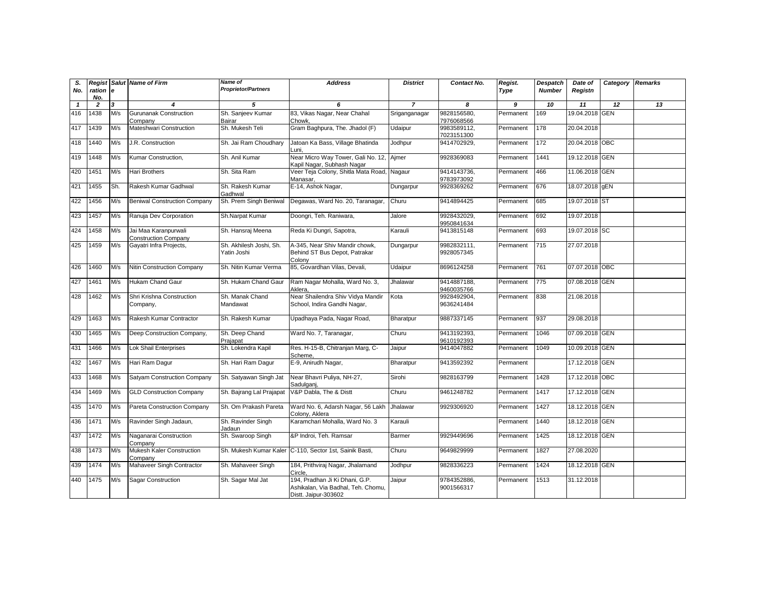| S.<br>No.    | ration<br>No.  | l e | <b>Regist Salut Name of Firm</b>                    | <b>Name of</b><br><b>Proprietor/Partners</b> | <b>Address</b>                                                                               | <b>District</b> | Contact No.               | Regist.<br>Type | <b>Despatch</b><br><b>Number</b> | Date of<br>Registn | Category   | <b>Remarks</b> |
|--------------|----------------|-----|-----------------------------------------------------|----------------------------------------------|----------------------------------------------------------------------------------------------|-----------------|---------------------------|-----------------|----------------------------------|--------------------|------------|----------------|
| $\mathbf{1}$ | $\overline{2}$ | 3   | 4                                                   | 5                                            | 6                                                                                            | $\overline{7}$  | 8                         | 9               | 10                               | 11                 | 12         | 13             |
| 416          | 1438           | M/s | <b>Gurunanak Construction</b><br>Company            | Sh. Sanjeev Kumar<br>Bairar                  | 83, Vikas Nagar, Near Chahal<br>Chowk,                                                       | Sriganganagar   | 9828156580,<br>7976068566 | Permanent       | 169                              | 19.04.2018 GEN     |            |                |
| 417          | 1439           | M/s | Mateshwari Construction                             | Sh. Mukesh Teli                              | Gram Baghpura, The. Jhadol (F)                                                               | Udaipur         | 9983589112,<br>7023151300 | Permanent       | 178                              | 20.04.2018         |            |                |
| 418          | 1440           | M/s | J.R. Construction                                   | Sh. Jai Ram Choudhary                        | Jatoan Ka Bass, Village Bhatinda<br>Luni.                                                    | Jodhpur         | 9414702929,               | Permanent       | 172                              | 20.04.2018 OBC     |            |                |
| 419          | 1448           | M/s | Kumar Construction,                                 | Sh. Anil Kumar                               | Near Micro Way Tower, Gali No. 12, Ajmer<br>Kapil Nagar, Subhash Nagar                       |                 | 9928369083                | Permanent       | 1441                             | 19.12.2018 GEN     |            |                |
| 420          | 1451           | M/s | Hari Brothers                                       | Sh. Sita Ram                                 | Veer Teja Colony, Shitla Mata Road, Nagaur<br>Manasar,                                       |                 | 9414143736,<br>9783973092 | Permanent       | 466                              | 11.06.2018         | <b>GEN</b> |                |
| 421          | 1455           | Sh. | Rakesh Kumar Gadhwal                                | Sh. Rakesh Kumar<br>Gadhwal                  | E-14, Ashok Nagar,                                                                           | Dungarpur       | 9928369262                | Permanent       | 676                              | 18.07.2018 gEN     |            |                |
| 422          | 1456           | M/s | <b>Beniwal Construction Company</b>                 | Sh. Prem Singh Beniwal                       | Degawas, Ward No. 20, Taranagar,                                                             | Churu           | 9414894425                | Permanent       | 685                              | 19.07.2018 ST      |            |                |
| 423          | 1457           | M/s | Ranuja Dev Corporation                              | Sh.Narpat Kumar                              | Doongri, Teh. Raniwara,                                                                      | Jalore          | 9928432029.<br>9950841634 | Permanent       | 692                              | 19.07.2018         |            |                |
| 424          | 1458           | M/s | Jai Maa Karanpurwali<br><b>Construction Company</b> | Sh. Hansraj Meena                            | Reda Ki Dungri, Sapotra,                                                                     | Karauli         | 9413815148                | Permanent       | 693                              | 19.07.2018 SC      |            |                |
| 425          | 1459           | M/s | Gayatri Infra Projects,                             | Sh. Akhilesh Joshi, Sh.<br>Yatin Joshi       | A-345, Near Shiv Mandir chowk,<br>Behind ST Bus Depot, Patrakar<br>Colony                    | Dungarpur       | 9982832111,<br>9928057345 | Permanent       | 715                              | 27.07.2018         |            |                |
| 426          | 1460           | M/s | Nitin Construction Company                          | Sh. Nitin Kumar Verma                        | 85, Govardhan Vilas, Devali,                                                                 | Udaipur         | 8696124258                | Permanent       | 761                              | 07.07.2018 OBC     |            |                |
| 427          | 1461           | M/s | Hukam Chand Gaur                                    | Sh. Hukam Chand Gaur                         | Ram Nagar Mohalla, Ward No. 3,<br>Aklera.                                                    | Jhalawar        | 9414887188,<br>9460035766 | Permanent       | 775                              | 07.08.2018 GEN     |            |                |
| 428          | 1462           | M/s | Shri Krishna Construction<br>Company,               | Sh. Manak Chand<br>Mandawat                  | Near Shailendra Shiv Vidya Mandir<br>School, Indira Gandhi Nagar,                            | Kota            | 9928492904,<br>9636241484 | Permanent       | 838                              | 21.08.2018         |            |                |
| 429          | 1463           | M/s | Rakesh Kumar Contractor                             | Sh. Rakesh Kumar                             | Upadhaya Pada, Nagar Road,                                                                   | Bharatpur       | 9887337145                | Permanent       | 937                              | 29.08.2018         |            |                |
| 430          | 1465           | M/s | Deep Construction Company,                          | Sh. Deep Chand<br>Prajapat                   | Ward No. 7, Taranagar,                                                                       | Churu           | 9413192393,<br>9610192393 | Permanent       | 1046                             | 07.09.2018 GEN     |            |                |
| 431          | 1466           | M/s | <b>Lok Shail Enterprises</b>                        | Sh. Lokendra Kapil                           | Res. H-15-B, Chitranjan Marg, C-<br>Scheme.                                                  | Jaipur          | 9414047882                | Permanent       | 1049                             | 10.09.2018 GEN     |            |                |
| 432          | 1467           | M/s | Hari Ram Dagur                                      | Sh. Hari Ram Dagur                           | E-9, Anirudh Nagar,                                                                          | Bharatpur       | 9413592392                | Permanent       |                                  | 17.12.2018         | <b>GEN</b> |                |
| 433          | 1468           | M/s | Satyam Construction Company                         | Sh. Satyawan Singh Jat                       | Near Bhavri Puliya, NH-27,<br>Sadulganj,                                                     | Sirohi          | 9828163799                | Permanent       | 1428                             | 17.12.2018 OBC     |            |                |
| 434          | 1469           | M/s | <b>GLD Construction Company</b>                     | Sh. Bajrang Lal Prajapat                     | V&P Dabla, The & Distt                                                                       | Churu           | 9461248782                | Permanent       | 1417                             | 17.12.2018 GEN     |            |                |
| 435          | 1470           | M/s | Pareta Construction Company                         | Sh. Om Prakash Pareta                        | Ward No. 6, Adarsh Nagar, 56 Lakh<br>Colonv, Aklera                                          | Jhalawar        | 9929306920                | Permanent       | 1427                             | 18.12.2018 GEN     |            |                |
| 436          | 1471           | M/s | Ravinder Singh Jadaun,                              | Sh. Ravinder Singh<br>Jadaun                 | Karamchari Mohalla, Ward No. 3                                                               | Karauli         |                           | Permanent       | 1440                             | 18.12.2018 GEN     |            |                |
| 437          | 1472           | M/s | Naganarai Construction<br>Company                   | Sh. Swaroop Singh                            | &P Indroi, Teh. Ramsar                                                                       | Barmer          | 9929449696                | Permanent       | 1425                             | 18.12.2018         | <b>GEN</b> |                |
| 438          | 1473           | M/s | Mukesh Kaler Construction<br>Company                |                                              | Sh. Mukesh Kumar Kaler C-110, Sector 1st, Sainik Basti,                                      | Churu           | 9649829999                | Permanent       | 1827                             | 27.08.2020         |            |                |
| 439          | 1474           | M/s | Mahaveer Singh Contractor                           | Sh. Mahaveer Singh                           | 184, Prithviraj Nagar, Jhalamand<br>Circle.                                                  | Jodhpur         | 9828336223                | Permanent       | 1424                             | 18.12.2018 GEN     |            |                |
| 440          | 1475           | M/s | Sagar Construction                                  | Sh. Sagar Mal Jat                            | 194, Pradhan Ji Ki Dhani, G.P.<br>Ashikalan, Via Badhal, Teh. Chomu,<br>Distt. Jaipur-303602 | Jaipur          | 9784352886,<br>9001566317 | Permanent       | 1513                             | 31.12.2018         |            |                |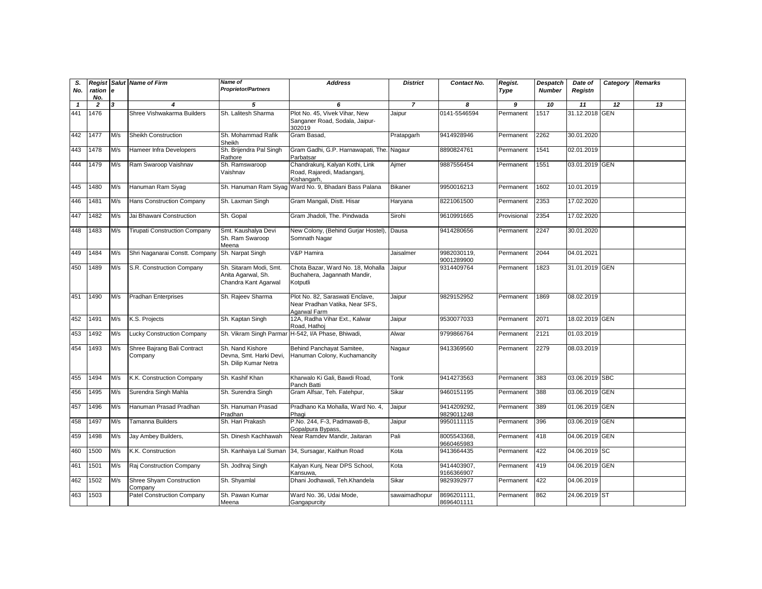| S.<br>No.    | Regist<br>ration e<br>No. |     | Salut Name of Firm                         | <b>Name of</b><br><b>Proprietor/Partners</b>                         | <b>Address</b>                                                                    | <b>District</b> | Contact No.               | Regist.<br>Type | <b>Despatch</b><br><b>Number</b> | Date of<br>Registn | Category   | <b>Remarks</b> |
|--------------|---------------------------|-----|--------------------------------------------|----------------------------------------------------------------------|-----------------------------------------------------------------------------------|-----------------|---------------------------|-----------------|----------------------------------|--------------------|------------|----------------|
| $\mathbf{1}$ | $\overline{2}$            | 3   | 4                                          | 5                                                                    | 6                                                                                 | $\overline{7}$  | 8                         | 9               | 10                               | 11                 | 12         | 13             |
| 441          | 1476                      |     | Shree Vishwakarma Builders                 | Sh. Lalitesh Sharma                                                  | Plot No. 45, Vivek Vihar, New<br>Sanganer Road, Sodala, Jaipur-<br>302019         | Jaipur          | 0141-5546594              | Permanent       | 1517                             | 31.12.2018 GEN     |            |                |
| 442          | 1477                      | M/s | Sheikh Construction                        | Sh. Mohammad Rafik<br>Sheikh                                         | Gram Basad,                                                                       | Pratapgarh      | 9414928946                | Permanent       | 2262                             | 30.01.2020         |            |                |
| 443          | 1478                      | M/s | Hameer Infra Developers                    | Sh. Brijendra Pal Singh<br>Rathore                                   | Gram Gadhi, G.P. Harnawapati, The. Nagaur<br>Parbatsar                            |                 | 8890824761                | Permanent       | 1541                             | 02.01.2019         |            |                |
| 444          | 1479                      | M/s | Ram Swaroop Vaishnav                       | Sh. Ramswaroop<br>Vaishnav                                           | Chandrakunj, Kalyan Kothi, Link<br>Road, Rajaredi, Madanganj,<br>Kishangarh.      | Aimer           | 9887556454                | Permanent       | 1551                             | 03.01.2019 GEN     |            |                |
| 445          | 1480                      | M/s | Hanuman Ram Siyag                          |                                                                      | Sh. Hanuman Ram Siyaq Ward No. 9, Bhadani Bass Palana                             | <b>Bikaner</b>  | 9950016213                | Permanent       | 1602                             | 10.01.2019         |            |                |
| 446          | 1481                      | M/s | <b>Hans Construction Company</b>           | Sh. Laxman Singh                                                     | Gram Mangali, Distt. Hisar                                                        | Haryana         | 8221061500                | Permanent       | 2353                             | 17.02.2020         |            |                |
| 447          | 1482                      | M/s | Jai Bhawani Construction                   | Sh. Gopal                                                            | Gram Jhadoli, The. Pindwada                                                       | Sirohi          | 9610991665                | Provisional     | 2354                             | 17.02.2020         |            |                |
| 448          | 1483                      | M/s | <b>Tirupati Construction Company</b>       | Smt. Kaushalya Devi<br>Sh. Ram Swaroop<br>Meena                      | New Colony, (Behind Gurjar Hostel)<br>Somnath Nagar                               | Dausa           | 9414280656                | Permanent       | 2247                             | 30.01.2020         |            |                |
| 449          | 1484                      | M/s | Shri Naganarai Constt. Company             | Sh. Narpat Singh                                                     | V&P Hamira                                                                        | Jaisalmer       | 9982030119,<br>9001289900 | Permanent       | 2044                             | 04.01.2021         |            |                |
| 450          | 1489                      | M/s | S.R. Construction Company                  | Sh. Sitaram Modi, Smt.<br>Anita Agarwal, Sh.<br>Chandra Kant Agarwal | Chota Bazar, Ward No. 18, Mohalla<br>Buchahera, Jagannath Mandir,<br>Kotputli     | Jaipur          | 9314409764                | Permanent       | 1823                             | 31.01.2019 GEN     |            |                |
| 451          | 1490                      | M/s | <b>Pradhan Enterprises</b>                 | Sh. Rajeev Sharma                                                    | Plot No. 82, Saraswati Enclave,<br>Near Pradhan Vatika, Near SFS,<br>Agarwal Farm | Jaipur          | 9829152952                | Permanent       | 1869                             | 08.02.2019         |            |                |
| 452          | 1491                      | M/s | K.S. Projects                              | Sh. Kaptan Singh                                                     | 12A, Radha Vihar Ext., Kalwar<br>Road, Hathoj                                     | Jaipur          | 9530077033                | Permanent       | 2071                             | 18.02.2019 GEN     |            |                |
| 453          | 1492                      | M/s | <b>Lucky Construction Company</b>          |                                                                      | Sh. Vikram Singh Parmar H-542, I/A Phase, Bhiwadi,                                | Alwar           | 9799866764                | Permanent       | 2121                             | 01.03.2019         |            |                |
| 454          | 1493                      | M/s | Shree Bajrang Bali Contract<br>Company     | Sh. Nand Kishore<br>Devna, Smt. Harki Devi,<br>Sh. Dilip Kumar Netra | Behind Panchayat Samitee,<br>Hanuman Colony, Kuchamancity                         | Nagaur          | 9413369560                | Permanent       | 2279                             | 08.03.2019         |            |                |
| 455          | 1494                      | M/s | K.K. Construction Company                  | Sh. Kashif Khan                                                      | Kharwalo Ki Gali, Bawdi Road,<br>Panch Batti                                      | Tonk            | 9414273563                | Permanent       | 383                              | 03.06.2019 SBC     |            |                |
| 456          | 1495                      | M/s | Surendra Singh Mahla                       | Sh. Surendra Singh                                                   | Gram Alfsar, Teh. Fatehpur,                                                       | Sikar           | 9460151195                | Permanent       | 388                              | 03.06.2019         | <b>GEN</b> |                |
| 457          | 1496                      | M/s | Hanuman Prasad Pradhan                     | Sh. Hanuman Prasad<br>Pradhan                                        | Pradhano Ka Mohalla, Ward No. 4,<br>Phagi                                         | Jaipur          | 9414209292,<br>9829011248 | Permanent       | 389                              | 01.06.2019         | <b>GEN</b> |                |
| 458          | 1497                      | M/s | <b>Tamanna Builders</b>                    | Sh. Hari Prakash                                                     | P.No. 244, F-3, Padmawati-B,<br>Gopalpura Bypass,                                 | Jaipur          | 9950111115                | Permanent       | 396                              | 03.06.2019 GEN     |            |                |
| 459          | 1498                      | M/s | Jay Ambey Builders,                        | Sh. Dinesh Kachhawah                                                 | Near Ramdev Mandir, Jaitaran                                                      | Pali            | 8005543368,<br>9660465983 | Permanent       | 418                              | 04.06.2019         | <b>GEN</b> |                |
| 460          | 1500                      | M/s | K.K. Construction                          | Sh. Kanhaiya Lal Suman                                               | 34, Sursagar, Kaithun Road                                                        | Kota            | 9413664435                | Permanent       | 422                              | 04.06.2019 SC      |            |                |
| 461          | 1501                      | M/s | Raj Construction Company                   | Sh. Jodhraj Singh                                                    | Kalyan Kunj, Near DPS School,<br>Kansuwa.                                         | Kota            | 9414403907,<br>9166366907 | Permanent       | 419                              | 04.06.2019 GEN     |            |                |
| 462          | 1502                      | M/s | <b>Shree Shyam Construction</b><br>Company | Sh. Shyamlal                                                         | Dhani Jodhawali, Teh.Khandela                                                     | Sikar           | 9829392977                | Permanent       | 422                              | 04.06.2019         |            |                |
| 463          | 1503                      |     | Patel Construction Company                 | Sh. Pawan Kumar<br>Meena                                             | Ward No. 36, Udai Mode,<br>Gangapurcity                                           | sawaimadhopur   | 8696201111,<br>8696401111 | Permanent       | 862                              | 24.06.2019 ST      |            |                |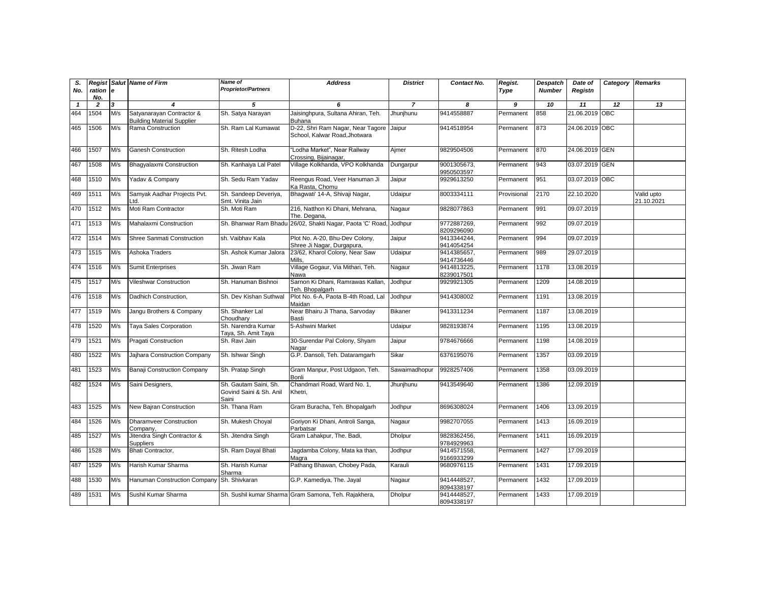| S.<br>No.    | Regist<br>ration<br>No. | <b>e</b> | <b>Salut</b> Name of Firm                                      | Name of<br><b>Proprietor/Partners</b>                     | <b>Address</b>                                                     | <b>District</b> | Contact No.               | Regist.<br>Type | <b>Despatch</b><br><b>Number</b> | Date of<br>Registn | Category | <b>Remarks</b>           |
|--------------|-------------------------|----------|----------------------------------------------------------------|-----------------------------------------------------------|--------------------------------------------------------------------|-----------------|---------------------------|-----------------|----------------------------------|--------------------|----------|--------------------------|
| $\mathbf{1}$ | $\overline{2}$          | 3        |                                                                | 5                                                         | 6                                                                  | $\overline{7}$  | 8                         | 9               | 10                               | 11                 | 12       | 13                       |
| 464          | 1504                    | M/s      | Satyanarayan Contractor &<br><b>Building Material Supplier</b> | Sh. Satya Narayan                                         | Jaisinghpura, Sultana Ahiran, Teh.<br><b>Buhana</b>                | Jhunjhunu       | 9414558887                | Permanent       | 858                              | 21.06.2019 OBC     |          |                          |
| 465          | 1506                    | M/s      | Rama Construction                                              | Sh. Ram Lal Kumawat                                       | D-22, Shri Ram Nagar, Near Tagore<br>School, Kalwar Road, Jhotwara | Jaipur          | 9414518954                | Permanent       | 873                              | 24.06.2019 OBC     |          |                          |
| 466          | 1507                    | M/s      | <b>Ganesh Construction</b>                                     | Sh. Ritesh Lodha                                          | "Lodha Market", Near Railway<br>Crossing, Bijainagar               | Ajmer           | 9829504506                | Permanent       | 870                              | 24.06.2019 GEN     |          |                          |
| 467          | 1508                    | M/s      | Bhagyalaxmi Construction                                       | Sh. Kanhaiya Lal Patel                                    | Village Kolkhanda, VPO Kolkhanda                                   | Dungarpur       | 9001305673,<br>9950503597 | Permanent       | 943                              | 03.07.2019 GEN     |          |                          |
| 468          | 1510                    | M/s      | Yadav & Company                                                | Sh. Sedu Ram Yadav                                        | Reengus Road, Veer Hanuman Ji<br>Ka Rasta, Chomu                   | Jaipur          | 9929613250                | Permanent       | 951                              | 03.07.2019 OBC     |          |                          |
| 469          | 1511                    | M/s      | Samyak Aadhar Projects Pvt.<br>td.                             | Sh. Sandeep Deveriya,<br>Smt. Vinita Jain                 | Bhaqwati' 14-A, Shivaji Naqar,                                     | Udaipur         | 8003334111                | Provisional     | 2170                             | 22.10.2020         |          | Valid upto<br>21.10.2021 |
| 470          | 1512                    | M/s      | Moti Ram Contractor                                            | Sh. Moti Ram                                              | 216, Natthon Ki Dhani, Mehrana,<br>The. Degana,                    | Nagaur          | 9828077863                | Permanent       | 991                              | 09.07.2019         |          |                          |
| 471          | 1513                    | M/s      | Mahalaxmi Construction                                         |                                                           | Sh. Bhanwar Ram Bhadu 26/02, Shakti Nagar, Paota 'C' Road, Jodhpur |                 | 9772887269,<br>8209296090 | Permanent       | 992                              | 09.07.2019         |          |                          |
| 472          | 1514                    | M/s      | <b>Shree Sanmati Construction</b>                              | sh. Vaibhav Kala                                          | Plot No. A-20, Bhu-Dev Colony,<br>Shree Ji Nagar, Durgapura,       | Jaipur          | 9413344244.<br>9414054254 | Permanent       | 994                              | 09.07.2019         |          |                          |
| 473          | 1515                    | M/s      | Ashoka Traders                                                 | Sh. Ashok Kumar Jalora                                    | 23/62, Kharol Colony, Near Saw<br>Mills.                           | Udaipur         | 9414385657,<br>9414736446 | Permanent       | 989                              | 29.07.2019         |          |                          |
| 474          | 1516                    | M/s      | <b>Sumit Enterprises</b>                                       | Sh. Jiwan Ram                                             | Village Gogaur, Via Mithari, Teh.<br>Nawa                          | Nagaur          | 9414813225,<br>8239017501 | Permanent       | 1178                             | 13.08.2019         |          |                          |
| 475          | 1517                    | M/s      | <b>Vileshwar Construction</b>                                  | Sh. Hanuman Bishnoi                                       | Sarnon Ki Dhani, Ramrawas Kallan,<br>Teh. Bhopalgarh               | Jodhpur         | 9929921305                | Permanent       | 1209                             | 14.08.2019         |          |                          |
| 476          | 1518                    | M/s      | Dadhich Construction,                                          | Sh. Dev Kishan Suthwal                                    | Plot No. 6-A, Paota B-4th Road, Lal<br>Maidan                      | Jodhpur         | 9414308002                | Permanent       | 1191                             | 13.08.2019         |          |                          |
| 477          | 1519                    | M/s      | Jangu Brothers & Company                                       | Sh. Shanker Lal<br>Choudharv                              | Near Bhairu Ji Thana, Sarvoday<br>Basti                            | <b>Bikaner</b>  | 9413311234                | Permanent       | 1187                             | 13.08.2019         |          |                          |
| 478          | 1520                    | M/s      | Taya Sales Corporation                                         | Sh. Narendra Kumar<br>Taya, Sh. Amit Taya                 | 5-Ashwini Market                                                   | Udaipur         | 9828193874                | Permanent       | 1195                             | 13.08.2019         |          |                          |
| 479          | 1521                    | M/s      | <b>Pragati Construction</b>                                    | Sh. Ravi Jain                                             | 30-Surendar Pal Colony, Shyam<br>Nagar                             | Jaipur          | 9784676666                | Permanent       | 1198                             | 14.08.2019         |          |                          |
| 480          | 1522                    | M/s      | Jajhara Construction Company                                   | Sh. Ishwar Singh                                          | G.P. Dansoli, Teh. Dataramgarh                                     | Sikar           | 6376195076                | Permanent       | 1357                             | 03.09.2019         |          |                          |
| 481          | 1523                    | M/s      | <b>Banaji Construction Company</b>                             | Sh. Pratap Singh                                          | Gram Manpur, Post Udgaon, Teh.<br>Bonli                            | Sawaimadhopur   | 9928257406                | Permanent       | 1358                             | 03.09.2019         |          |                          |
| 482          | 1524                    | M/s      | Saini Designers,                                               | Sh. Gautam Saini, Sh.<br>Govind Saini & Sh. Anil<br>Saini | Chandmari Road, Ward No. 1,<br>Khetri,                             | Jhunjhunu       | 9413549640                | Permanent       | 1386                             | 12.09.2019         |          |                          |
| 483          | 1525                    | M/s      | New Bajran Construction                                        | Sh. Thana Ram                                             | Gram Buracha, Teh. Bhopalgarh                                      | Jodhpur         | 8696308024                | Permanent       | 1406                             | 13.09.2019         |          |                          |
| 484          | 1526                    | M/s      | <b>Dharamveer Construction</b><br>Company,                     | Sh. Mukesh Choyal                                         | Goriyon Ki Dhani, Antroli Sanga,<br>Parbatsar                      | Nagaur          | 9982707055                | Permanent       | 1413                             | 16.09.2019         |          |                          |
| 485          | 1527                    | M/s      | Jitendra Singh Contractor &<br><b>Suppliers</b>                | Sh. Jitendra Singh                                        | Gram Lahakpur, The. Badi,                                          | <b>Dholpur</b>  | 9828362456,<br>9784929963 | Permanent       | 1411                             | 16.09.2019         |          |                          |
| 486          | 1528                    | M/s      | Bhati Contractor.                                              | Sh. Ram Dayal Bhati                                       | Jaqdamba Colony, Mata ka than,<br>Magra                            | Jodhpur         | 9414571558.<br>9166933299 | Permanent       | 1427                             | 17.09.2019         |          |                          |
| 487          | 1529                    | M/s      | Harish Kumar Sharma                                            | Sh. Harish Kumar<br>Sharma                                | Pathang Bhawan, Chobey Pada,                                       | Karauli         | 9680976115                | Permanent       | 1431                             | 17.09.2019         |          |                          |
| 488          | 1530                    | M/s      | Hanuman Construction Company                                   | Sh. Shivkaran                                             | G.P. Kamediya, The. Jayal                                          | Nagaur          | 9414448527,<br>8094338197 | Permanent       | 1432                             | 17.09.2019         |          |                          |
| 489          | 1531                    | M/s      | Sushil Kumar Sharma                                            |                                                           | Sh. Sushil kumar Sharma Gram Samona, Teh. Rajakhera,               | <b>Dholpur</b>  | 9414448527,<br>8094338197 | Permanent       | 1433                             | 17.09.2019         |          |                          |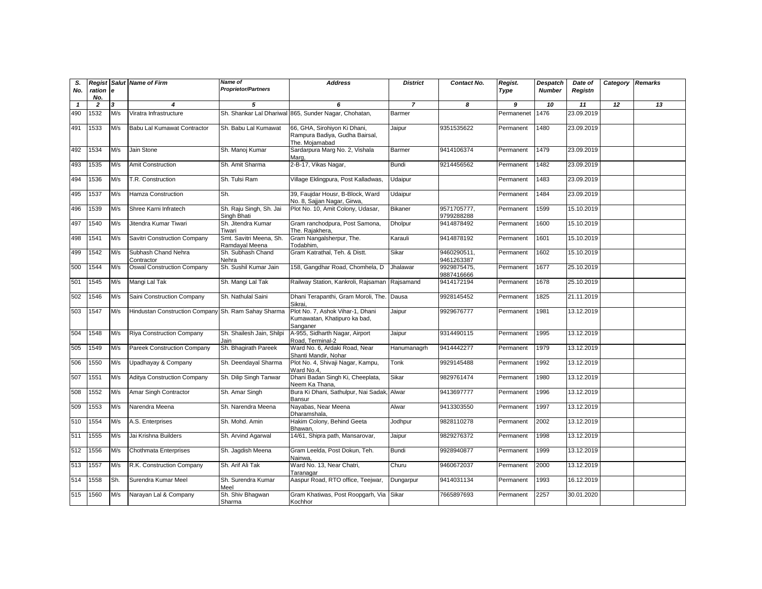| S.<br>No.    | Regist<br>ration<br>No. | <b>e</b> | <b>Salut Name of Firm</b>                           | Name of<br><b>Proprietor/Partners</b>     | <b>Address</b>                                                                   | <b>District</b> | Contact No.               | Regist.<br>Type | <b>Despatch</b><br><b>Number</b> | Date of<br>Registn | Category | <b>Remarks</b> |
|--------------|-------------------------|----------|-----------------------------------------------------|-------------------------------------------|----------------------------------------------------------------------------------|-----------------|---------------------------|-----------------|----------------------------------|--------------------|----------|----------------|
| $\mathbf{1}$ | $\overline{2}$          | 3        | 4                                                   | 5                                         | 6                                                                                | $\overline{7}$  | 8                         | 9               | 10                               | 11                 | 12       | 13             |
| 490          | 1532                    | M/s      | Viratra Infrastructure                              |                                           | Sh. Shankar Lal Dhariwal 865, Sunder Nagar, Chohatan,                            | Barmer          |                           | Permanenet      | 1476                             | 23.09.2019         |          |                |
| 491          | 1533                    | M/s      | Babu Lal Kumawat Contractor                         | Sh. Babu Lal Kumawat                      | 66, GHA, Sirohiyon Ki Dhani,<br>Rampura Badiya, Gudha Bairsal,<br>The. Moiamabad | Jaipur          | 9351535622                | Permanent       | 1480                             | 23.09.2019         |          |                |
| 492          | 1534                    | M/s      | Jain Stone                                          | Sh. Manoj Kumar                           | Sardarpura Marq No. 2, Vishala<br>Marq,                                          | Barmer          | 9414106374                | Permanent       | 1479                             | 23.09.2019         |          |                |
| 493          | 1535                    | M/s      | <b>Amit Construction</b>                            | Sh. Amit Sharma                           | 2-B-17, Vikas Nagar,                                                             | <b>Bundi</b>    | 9214456562                | Permanent       | 1482                             | 23.09.2019         |          |                |
| 494          | 1536                    | M/s      | T.R. Construction                                   | Sh. Tulsi Ram                             | Village Eklingpura, Post Kalladwas,                                              | Udaipur         |                           | Permanent       | 1483                             | 23.09.2019         |          |                |
| 495          | 1537                    | M/s      | Hamza Construction                                  | Sh.                                       | 39, Faujdar Housr, B-Block, Ward<br>No. 8, Sajjan Nagar, Girwa,                  | Udaipur         |                           | Permanent       | 1484                             | 23.09.2019         |          |                |
| 496          | 1539                    | M/s      | Shree Karni Infratech                               | Sh. Raju Singh, Sh. Jai<br>Singh Bhati    | Plot No. 10, Amit Colony, Udasar,                                                | <b>Bikaner</b>  | 9571705777.<br>9799288288 | Permanent       | 1599                             | 15.10.2019         |          |                |
| 497          | 1540                    | M/s      | Jitendra Kumar Tiwari                               | Sh. Jitendra Kumar<br>Tiwari              | Gram ranchodpura, Post Samona,<br>The. Rajakhera,                                | <b>Dholpur</b>  | 9414878492                | Permanent       | 1600                             | 15.10.2019         |          |                |
| 498          | 1541                    | M/s      | Savitri Construction Company                        | Smt. Savitri Meena, Sh.<br>Ramdayal Meena | Gram Nangalsherpur, The.<br>Todabhim,                                            | Karauli         | 9414878192                | Permanent       | 1601                             | 15.10.2019         |          |                |
| 499          | 1542                    | M/s      | Subhash Chand Nehra<br>Contractor                   | Sh. Subhash Chand<br>Nehra                | Gram Katrathal, Teh. & Distt.                                                    | Sikar           | 9460290511,<br>9461263387 | Permanent       | 1602                             | 15.10.2019         |          |                |
| 500          | 1544                    | M/s      | <b>Oswal Construction Company</b>                   | Sh. Sushil Kumar Jain                     | 158, Gangdhar Road, Chomhela, D                                                  | Jhalawar        | 9929875475.<br>9887416666 | Permanent       | 1677                             | 25.10.2019         |          |                |
| 501          | 1545                    | M/s      | Mangi Lal Tak                                       | Sh. Mangi Lal Tak                         | Railway Station, Kankroli, Rajsaman                                              | Rajsamand       | 9414172194                | Permanent       | 1678                             | 25.10.2019         |          |                |
| 502          | 1546                    | M/s      | Saini Construction Company                          | Sh. Nathulal Saini                        | Dhani Terapanthi, Gram Moroli, The. Dausa<br>Sikrai,                             |                 | 9928145452                | Permanent       | 1825                             | 21.11.2019         |          |                |
| 503          | 1547                    | M/s      | Hindustan Construction Company Sh. Ram Sahay Sharma |                                           | Plot No. 7, Ashok Vihar-1, Dhani<br>Kumawatan, Khatipuro ka bad,<br>Sanganer     | Jaipur          | 9929676777                | Permanent       | 1981                             | 13.12.2019         |          |                |
| 504          | 1548                    | M/s      | <b>Riya Construction Company</b>                    | Sh. Shailesh Jain, Shilpi<br>Jain         | A-955, Sidharth Nagar, Airport<br>Road, Terminal-2                               | Jaipur          | 9314490115                | Permanent       | 1995                             | 13.12.2019         |          |                |
| 505          | 1549                    | M/s      | Pareek Construction Company                         | Sh. Bhagirath Pareek                      | Ward No. 6, Ardaki Road, Near<br>Shanti Mandir, Nohar                            | Hanumanagrh     | 9414442277                | Permanent       | 1979                             | 13.12.2019         |          |                |
| 506          | 1550                    | M/s      | Upadhayay & Company                                 | Sh. Deendayal Sharma                      | Plot No. 4, Shivaji Nagar, Kampu,<br>Ward No.4,                                  | Tonk            | 9929145488                | Permanent       | 1992                             | 13.12.2019         |          |                |
| 507          | 1551                    | M/s      | <b>Aditya Construction Company</b>                  | Sh. Dilip Singh Tanwar                    | Dhani Badan Singh Ki, Cheeplata,<br>Neem Ka Thana.                               | Sikar           | 9829761474                | Permanent       | 1980                             | 13.12.2019         |          |                |
| 508          | 1552                    | M/s      | Amar Singh Contractor                               | Sh. Amar Singh                            | Bura Ki Dhani, Sathulpur, Nai Sadak, Alwar<br>Bansur                             |                 | 9413697777                | Permanent       | 1996                             | 13.12.2019         |          |                |
| 509          | 1553                    | M/s      | Narendra Meena                                      | Sh. Narendra Meena                        | Nayabas, Near Meena<br>Dharamshala,                                              | Alwar           | 9413303550                | Permanent       | 1997                             | 13.12.2019         |          |                |
| 510          | 1554                    | M/s      | A.S. Enterprises                                    | Sh. Mohd. Amin                            | Hakim Colony, Behind Geeta<br>Bhawan,                                            | Jodhpur         | 9828110278                | Permanent       | 2002                             | 13.12.2019         |          |                |
| 511          | 1555                    | M/s      | Jai Krishna Builders                                | Sh. Arvind Agarwal                        | 14/61, Shipra path, Mansarovar,                                                  | Jaipur          | 9829276372                | Permanent       | 1998                             | 13.12.2019         |          |                |
| 512          | 1556                    | M/s      | Chothmata Enterprises                               | Sh. Jaqdish Meena                         | Gram Leelda, Post Dokun, Teh.<br>Nainwa.                                         | <b>Bundi</b>    | 9928940877                | Permanent       | 1999                             | 13.12.2019         |          |                |
| 513          | 1557                    | M/s      | R.K. Construction Company                           | Sh. Arif Ali Tak                          | Ward No. 13, Near Chatri,<br>Taranagar                                           | Churu           | 9460672037                | Permanent       | 2000                             | 13.12.2019         |          |                |
| 514          | 1558                    | Sh.      | Surendra Kumar Meel                                 | Sh. Surendra Kumar<br>Meel                | Aaspur Road, RTO office, Teejwar,                                                | Dungarpur       | 9414031134                | Permanent       | 1993                             | 16.12.2019         |          |                |
| 515          | 1560                    | M/s      | Narayan Lal & Company                               | Sh. Shiv Bhagwan<br>Sharma                | Gram Khatiwas, Post Roopgarh, Via Sikar<br>Kochhor                               |                 | 7665897693                | Permanent       | 2257                             | 30.01.2020         |          |                |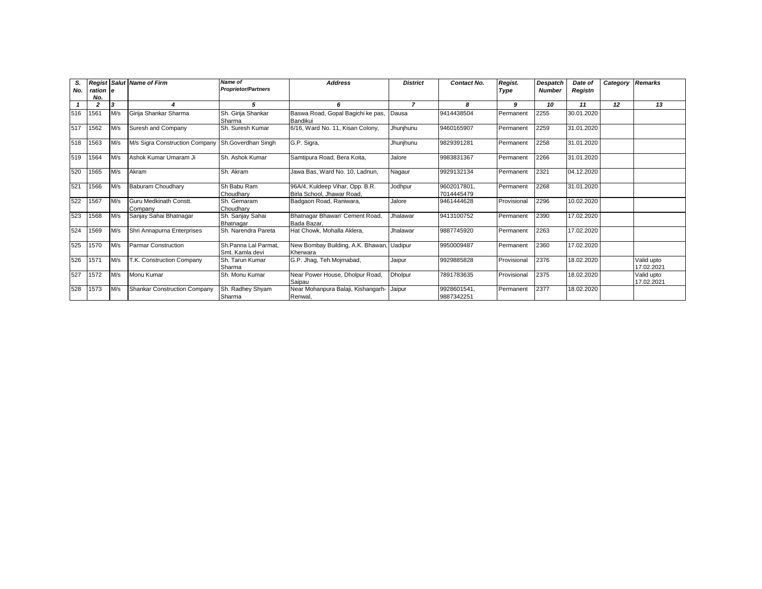| S.<br>No. | ration e<br>No. |                            | <b>Regist Salut Name of Firm</b>                  | Name of<br><b>Proprietor/Partners</b>   | <b>Address</b>                                                | <b>District</b> | Contact No.               | Regist.<br><b>Type</b> | Despatch<br><b>Number</b> | Date of<br>Registn | Category | <b>Remarks</b>           |
|-----------|-----------------|----------------------------|---------------------------------------------------|-----------------------------------------|---------------------------------------------------------------|-----------------|---------------------------|------------------------|---------------------------|--------------------|----------|--------------------------|
|           | 2               | $\boldsymbol{\mathcal{R}}$ |                                                   | 5                                       | 6                                                             | $\overline{z}$  | 8                         | 9                      | 10                        | 11                 | 12       | 13                       |
| 516       | 1561            | M/s                        | Girija Shankar Sharma                             | Sh. Girija Shankar<br>Sharma            | Baswa Road, Gopal Bagichi ke pas,<br>Bandikui                 | Dausa           | 9414438504                | Permanent              | 2255                      | 30.01.2020         |          |                          |
| 517       | 1562            | M/s                        | Suresh and Company                                | Sh. Suresh Kumar                        | 6/16, Ward No. 11, Kisan Colony,                              | Jhunjhunu       | 9460165907                | Permanent              | 2259                      | 31.01.2020         |          |                          |
| 518       | 1563            | M/s                        | M/s Sigra Construction Company Sh.Goverdhan Singh |                                         | G.P. Sigra,                                                   | Jhunjhunu       | 9829391281                | Permanent              | 2258                      | 31.01.2020         |          |                          |
| 519       | 1564            | M/s                        | Ashok Kumar Umaram Ji                             | Sh. Ashok Kumar                         | Samtipura Road, Bera Koita,                                   | Jalore          | 9983831367                | Permanent              | 2266                      | 31.01.2020         |          |                          |
| 520       | 1565            | M/s                        | Akram                                             | Sh. Akram                               | Jawa Bas. Ward No. 10. Ladnun.                                | Nagaur          | 9929132134                | Permanent              | 2321                      | 04.12.2020         |          |                          |
| 521       | 1566            | M/s                        | Baburam Choudharv                                 | Sh Babu Ram<br>Choudharv                | 96A/4, Kuldeep Vihar, Opp. B.R.<br>Birla School, Jhawar Road. | Jodhpur         | 9602017801.<br>7014445479 | Permanent              | 2268                      | 31.01.2020         |          |                          |
| 522       | 1567            | M/s                        | Guru Medkinath Constt.<br>Company                 | Sh. Gemaram<br>Choudharv                | Badgaon Road, Raniwara,                                       | Jalore          | 9461444628                | Provisional            | 2296                      | 10.02.2020         |          |                          |
| 523       | 1568            | M/s                        | Sanjay Sahai Bhatnagar                            | Sh. Sanjay Sahai<br>Bhatnagar           | Bhatnagar Bhawan' Cement Road,<br>Bada Bazar.                 | Jhalawar        | 9413100752                | Permanent              | 2390                      | 17.02.2020         |          |                          |
| 524       | 1569            | M/s                        | Shri Annapurna Enterprises                        | Sh. Narendra Pareta                     | Hat Chowk, Mohalla Aklera,                                    | Jhalawar        | 9887745920                | Permanent              | 2263                      | 17.02.2020         |          |                          |
| 525       | 1570            | M/s                        | <b>Parmar Construction</b>                        | Sh.Panna Lal Parmat.<br>Smt. Kamla devi | New Bombay Building, A.K. Bhawan,<br>Kherwara                 | . Uadipur       | 9950009487                | Permanent              | 2360                      | 17.02.2020         |          |                          |
| 526       | 1571            | M/s                        | T.K. Construction Company                         | Sh. Tarun Kumar<br>Sharma               | G.P. Jhaq, Teh.Mojmabad,                                      | Jaipur          | 9929885828                | Provisional            | 2376                      | 18.02.2020         |          | Valid upto<br>17.02.2021 |
| 527       | 1572            | M/s                        | Monu Kumar                                        | Sh. Monu Kumar                          | Near Power House, Dholpur Road,<br>Saipau                     | <b>Dholpur</b>  | 7891783635                | Provisional            | 2375                      | 18.02.2020         |          | Valid upto<br>17.02.2021 |
| 528       | 1573            | M/s                        | <b>Shankar Construction Company</b>               | Sh. Radhey Shyam<br>Sharma              | Near Mohanpura Balaji, Kishangarh-<br>Renwal.                 | Jaipur          | 9928601541,<br>9887342251 | Permanent              | 2377                      | 18.02.2020         |          |                          |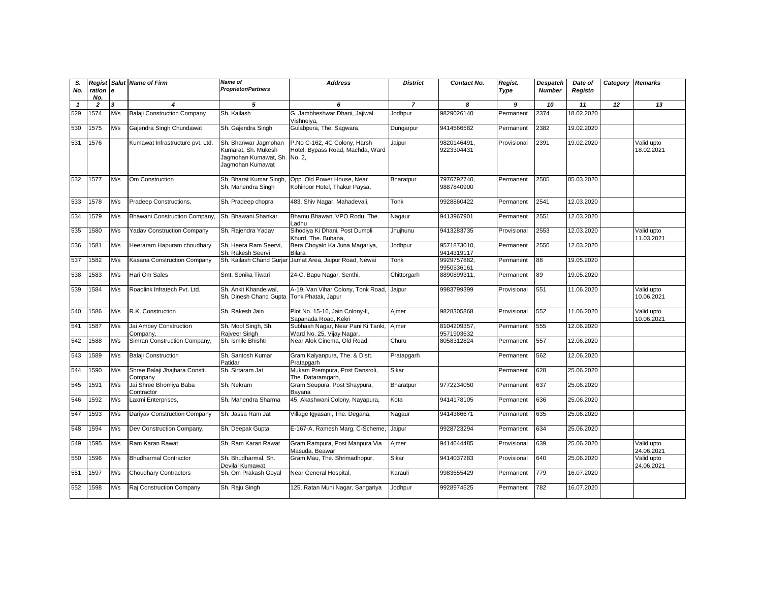| S.<br>No.    | ration<br>No.  | l e | <b>Regist Salut Name of Firm</b>         | Name of<br><b>Proprietor/Partners</b>                                                           | <b>Address</b>                                                   | <b>District</b> | Contact No.               | Regist.<br>Type | <b>Despatch</b><br><b>Number</b> | Date of<br>Registn | Category Remarks |                          |
|--------------|----------------|-----|------------------------------------------|-------------------------------------------------------------------------------------------------|------------------------------------------------------------------|-----------------|---------------------------|-----------------|----------------------------------|--------------------|------------------|--------------------------|
| $\mathbf{1}$ | $\overline{2}$ | 3   |                                          | 5                                                                                               | 6                                                                | $\overline{7}$  | 8                         | 9               | 10                               | 11                 | 12               | 13                       |
| 529          | 1574           | M/s | <b>Balaji Construction Company</b>       | Sh. Kailash                                                                                     | G. Jambheshwar Dhani, Jajiwal<br>Vishnoiya,                      | Jodhpur         | 9829026140                | Permanent       | 2374                             | 18.02.2020         |                  |                          |
| 530          | 1575           | M/s | Gajendra Singh Chundawat                 | Sh. Gajendra Singh                                                                              | Gulabpura, The. Sagwara,                                         | Dungarpur       | 9414566582                | Permanent       | 2382                             | 19.02.2020         |                  |                          |
| 531          | 1576           |     | Kumawat Infrastructure pvt. Ltd.         | Sh. Bhanwar Jagmohan<br>Kumarat, Sh. Mukesh<br>Jagmohan Kumawat, Sh. No. 2,<br>Jagmohan Kumawat | P.No C-162, 4C Colony, Harsh<br>Hotel, Bypass Road, Machda, Ward | Jaipur          | 9820146491,<br>9223304431 | Provisional     | 2391                             | 19.02.2020         |                  | Valid upto<br>18.02.2021 |
| 532          | 1577           | M/s | Om Construction                          | Sh. Bharat Kumar Singh<br>Sh. Mahendra Singh                                                    | Opp. Old Power House, Near<br>Kohinoor Hotel, Thakur Paysa,      | Bharatpur       | 7976792740,<br>9887840900 | Permanent       | 2505                             | 05.03.2020         |                  |                          |
| 533          | 1578           | M/s | Pradeep Constructions,                   | Sh. Pradeep chopra                                                                              | 483, Shiv Nagar, Mahadevali,                                     | Tonk            | 9928860422                | Permanent       | 2541                             | 12.03.2020         |                  |                          |
| 534          | 1579           | M/s | Bhawani Construction Company,            | Sh. Bhawani Shankar                                                                             | Bhamu Bhawan, VPO Rodu, The.<br>Ladnu                            | Nagaur          | 9413967901                | Permanent       | 2551                             | 12.03.2020         |                  |                          |
| 535          | 1580           | M/s | <b>Yadav Construction Company</b>        | Sh. Rajendra Yadav                                                                              | Sihodiya Ki Dhani, Post Dumoli<br>Khurd, The. Buhana,            | Jhujhunu        | 9413283735                | Provisional     | 2553                             | 12.03.2020         |                  | Valid upto<br>11.03.2021 |
| 536          | 1581           | M/s | Heeraram Hapuram choudhary               | Sh. Heera Ram Seervi,<br>Sh. Rakesh Seervi                                                      | Bera Choyalo Ka Juna Magariya,<br>Bilara                         | Jodhpur         | 9571873010,<br>9414319117 | Permanent       | 2550                             | 12.03.2020         |                  |                          |
| 537          | 1582           | M/s | Kasana Construction Company              |                                                                                                 | Sh. Kailash Chand Gurjar Jamat Area, Jaipur Road, Newai          | Tonk            | 9929757882,<br>9950536161 | Permanent       | 88                               | 19.05.2020         |                  |                          |
| 538          | 1583           | M/s | Hari Om Sales                            | Smt. Sonika Tiwari                                                                              | 24-C, Bapu Nagar, Senthi,                                        | Chittorgarh     | 8890899311,               | Permanent       | 89                               | 19.05.2020         |                  |                          |
| 539          | 1584           | M/s | Roadlink Infratech Pvt. Ltd.             | Sh. Ankit Khandelwal,<br>Sh. Dinesh Chand Gupta Tonk Phatak, Japur                              | A-19, Van Vihar Colony, Tonk Road,                               | Jaipur          | 9983799399                | Provisional     | 551                              | 11.06.2020         |                  | Valid upto<br>10.06.2021 |
| 540          | 1586           | M/s | R.K. Construction                        | Sh. Rakesh Jain                                                                                 | Plot No. 15-16, Jain Colony-II,<br>Sapanada Road, Kekri          | Aimer           | 9828305868                | Provisional     | 552                              | 11.06.2020         |                  | Valid upto<br>10.06.2021 |
| 541          | 1587           | M/s | Jai Ambey Construction<br>Company,       | Sh. Mool Singh, Sh.<br>Rajveer Singh                                                            | Subhash Nagar, Near Pani Ki Tanki,<br>Ward No. 25, Vijay Nagar,  | Ajmer           | 8104209357,<br>9571903632 | Permanent       | 555                              | 12.06.2020         |                  |                          |
| 542          | 1588           | M/s | Simran Construction Company,             | Sh. Ismile Bhishti                                                                              | Near Alok Cinema. Old Road.                                      | Churu           | 8058312824                | Permanent       | 557                              | 12.06.2020         |                  |                          |
| 543          | 1589           | M/s | <b>Balaji Construction</b>               | Sh. Santosh Kumar<br>Patidar                                                                    | Gram Kalyanpura, The. & Distt.<br>Pratapgarh                     | Pratapgarh      |                           | Permanent       | 562                              | 12.06.2020         |                  |                          |
| 544          | 1590           | M/s | Shree Balaji Jhajhara Constt.<br>Company | Sh. Sirtaram Jat                                                                                | Mukam Prempura, Post Dansroli,<br>The. Dataramgarh,              | Sikar           |                           | Permanent       | 628                              | 25.06.2020         |                  |                          |
| 545          | 1591           | M/s | Jai Shree Bhomiya Baba<br>Contractor     | Sh. Nekram                                                                                      | Gram Seupura, Post Shaypura,<br>Bavana                           | Bharatpur       | 9772234050                | Permanent       | 637                              | 25.06.2020         |                  |                          |
| 546          | 1592           | M/s | Laxmi Enterprises,                       | Sh. Mahendra Sharma                                                                             | 45, Akashwani Colony, Nayapura,                                  | Kota            | 9414178105                | Permanent       | 636                              | 25.06.2020         |                  |                          |
| 547          | 1593           | M/s | Dariyav Construction Company             | Sh. Jassa Ram Jat                                                                               | Village Igyasani, The. Degana,                                   | Nagaur          | 9414366671                | Permanent       | 635                              | 25.06.2020         |                  |                          |
| 548          | 1594           | M/s | Dev Construction Company,                | Sh. Deepak Gupta                                                                                | E-167-A, Ramesh Marg, C-Scheme,                                  | Jaipur          | 9928723294                | Permanent       | 634                              | 25.06.2020         |                  |                          |
| 549          | 1595           | M/s | Ram Karan Rawat                          | Sh. Ram Karan Rawat                                                                             | Gram Rampura, Post Manpura Via<br>Masuda, Beawar                 | Ajmer           | 9414644485                | Provisional     | 639                              | 25.06.2020         |                  | Valid upto<br>24.06.2021 |
| 550          | 1596           | M/s | <b>Bhudharmal Contractor</b>             | Sh. Bhudharmal, Sh.<br>Devilal Kumawat                                                          | Gram Mau, The. Shrimadhopur,                                     | Sikar           | 9414037283                | Provisional     | 640                              | 25.06.2020         |                  | Valid upto<br>24.06.2021 |
| 551          | 1597           | M/s | <b>Choudhary Contractors</b>             | Sh. Om Prakash Goyal                                                                            | Near General Hospital,                                           | Karauli         | 9983655429                | Permanent       | 779                              | 16.07.2020         |                  |                          |
| 552          | 1598           | M/s | Raj Construction Company                 | Sh. Raju Singh                                                                                  | 125, Ratan Muni Nagar, Sangariya                                 | Jodhpur         | 9928974525                | Permanent       | 782                              | 16.07.2020         |                  |                          |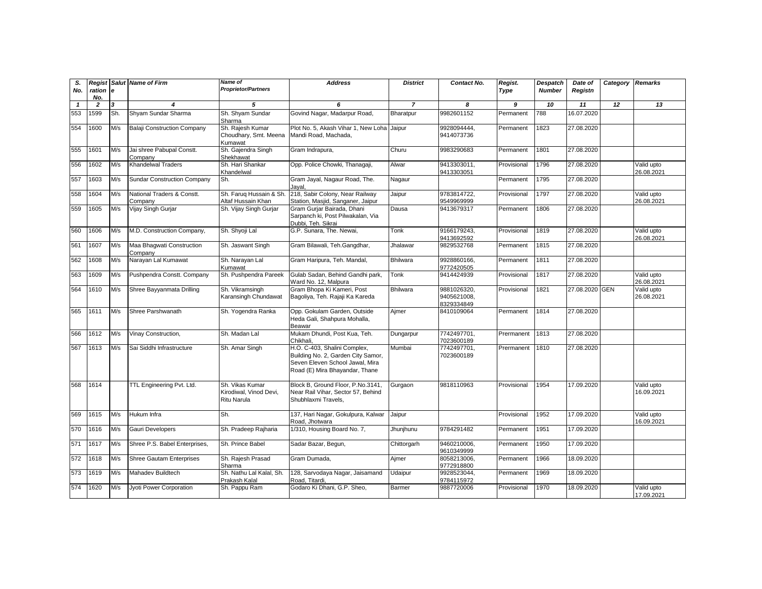| S.<br>No.    | ration<br>No.  | l e | <b>Regist Salut Name of Firm</b>      | <b>Name of</b><br><b>Proprietor/Partners</b>             | <b>Address</b>                                                                                                                          | <b>District</b> | Contact No.                              | Regist.<br>Type | <b>Despatch</b><br><b>Number</b> | Date of<br>Registn | Category Remarks |                          |
|--------------|----------------|-----|---------------------------------------|----------------------------------------------------------|-----------------------------------------------------------------------------------------------------------------------------------------|-----------------|------------------------------------------|-----------------|----------------------------------|--------------------|------------------|--------------------------|
| $\mathbf{1}$ | $\overline{2}$ | 3   | $\boldsymbol{4}$                      | 5                                                        | 6                                                                                                                                       | $\overline{7}$  | 8                                        | 9               | 10                               | 11                 | 12               | 13                       |
| 553          | 1599           | Sh. | Shyam Sundar Sharma                   | Sh. Shyam Sundar<br>Sharma                               | Govind Nagar, Madarpur Road,                                                                                                            | Bharatpur       | 9982601152                               | Permanent       | 788                              | 16.07.2020         |                  |                          |
| 554          | 1600           | M/s | <b>Balaji Construction Company</b>    | Sh. Rajesh Kumar<br>Choudhary, Smt. Meena<br>Kumawat     | Plot No. 5, Akash Vihar 1, New Loha Jaipur<br>Mandi Road, Machada,                                                                      |                 | 9928094444,<br>9414073736                | Permanent       | 1823                             | 27.08.2020         |                  |                          |
| 555          | 1601           | M/s | Jai shree Pabupal Constt.<br>Company  | Sh. Gajendra Singh<br>Shekhawat                          | Gram Indrapura,                                                                                                                         | Churu           | 9983290683                               | Permanent       | 1801                             | 27.08.2020         |                  |                          |
| 556          | 1602           | M/s | Khandelwal Traders                    | Sh. Hari Shankar<br>Khandelwal                           | Opp. Police Chowki, Thanagaji,                                                                                                          | Alwar           | 9413303011,<br>9413303051                | Provisional     | 1796                             | 27.08.2020         |                  | Valid upto<br>26.08.2021 |
| 557          | 1603           | M/s | <b>Sundar Construction Company</b>    | Sh.                                                      | Gram Jayal, Nagaur Road, The.<br>Jayal,                                                                                                 | Nagaur          |                                          | Permanent       | 1795                             | 27.08.2020         |                  |                          |
| 558          | 1604           | M/s | National Traders & Constt.<br>Companv | Sh. Farug Hussain & Sh<br>Altaf Hussain Khan             | 218, Sabir Colony, Near Railway<br>Station, Masjid, Sanganer, Jaipur                                                                    | Jaipur          | 9783814722,<br>9549969999                | Provisional     | 1797                             | 27.08.2020         |                  | Valid upto<br>26.08.2021 |
| 559          | 1605           | M/s | Vijay Singh Gurjar                    | Sh. Vijay Singh Gurjar                                   | Gram Gurjar Bairada, Dhani<br>Sarpanch ki, Post Pilwakalan, Via<br>Dubbi, Teh. Sikrai                                                   | Dausa           | 9413679317                               | Permanent       | 1806                             | 27.08.2020         |                  |                          |
| 560          | 1606           | M/s | M.D. Construction Company,            | Sh. Shyoji Lal                                           | G.P. Sunara, The. Newai,                                                                                                                | Tonk            | 9166179243.<br>9413692592                | Provisional     | 1819                             | 27.08.2020         |                  | Valid upto<br>26.08.2021 |
| 561          | 1607           | M/s | Maa Bhagwati Construction<br>Company  | Sh. Jaswant Singh                                        | Gram Bilawali, Teh.Gangdhar,                                                                                                            | Jhalawar        | 9829532768                               | Permanent       | 1815                             | 27.08.2020         |                  |                          |
| 562          | 1608           | M/s | Narayan Lal Kumawat                   | Sh. Narayan Lal<br>Kumawat                               | Gram Haripura, Teh. Mandal,                                                                                                             | <b>Bhilwara</b> | 9928860166,<br>9772420505                | Permanent       | 1811                             | 27.08.2020         |                  |                          |
| 563          | 1609           | M/s | Pushpendra Constt. Company            | Sh. Pushpendra Pareek                                    | Gulab Sadan, Behind Gandhi park,<br>Ward No. 12. Malpura                                                                                | Tonk            | 9414424939                               | Provisional     | 1817                             | 27.08.2020         |                  | Valid upto<br>26.08.2021 |
| 564          | 1610           | M/s | Shree Bayyanmata Drilling             | Sh. Vikramsingh<br>Karansingh Chundawat                  | Gram Bhopa Ki Kameri, Post<br>Bagoliya, Teh. Rajaji Ka Kareda                                                                           | <b>Bhilwara</b> | 9881026320,<br>9405621008.<br>8329334849 | Provisional     | 1821                             | 27.08.2020 GEN     |                  | Valid upto<br>26.08.2021 |
| 565          | 1611           | M/s | Shree Parshwanath                     | Sh. Yogendra Ranka                                       | Opp. Gokulam Garden, Outside<br>Heda Gali, Shahpura Mohalla,<br>Beawar                                                                  | Aimer           | 8410109064                               | Permanent       | 1814                             | 27.08.2020         |                  |                          |
| 566          | 1612           | M/s | Vinay Construction,                   | Sh. Madan Lal                                            | Mukam Dhundi, Post Kua, Teh.<br>Chikhali.                                                                                               | Dungarpur       | 7742497701,<br>7023600189                | Prermanent      | 1813                             | 27.08.2020         |                  |                          |
| 567          | 1613           | M/s | Sai Siddhi Infrastructure             | Sh. Amar Singh                                           | H.O. C-403, Shalini Complex,<br>Building No. 2, Garden City Samor,<br>Seven Eleven School Jawal, Mira<br>Road (E) Mira Bhayandar, Thane | Mumbai          | 7742497701,<br>7023600189                | Prermanent      | 1810                             | 27.08.2020         |                  |                          |
| 568          | 1614           |     | TTL Engineering Pvt. Ltd.             | Sh. Vikas Kumar<br>Kirodiwal, Vinod Devi,<br>Ritu Narula | Block B, Ground Floor, P.No.3141,<br>Near Rail Vihar, Sector 57, Behind<br>Shubhlaxmi Travels.                                          | Gurgaon         | 9818110963                               | Provisional     | 1954                             | 17.09.2020         |                  | Valid upto<br>16.09.2021 |
| 569          | 1615           | M/s | Hukum Infra                           | Sh.                                                      | 137, Hari Nagar, Gokulpura, Kalwar<br>Road. Jhotwara                                                                                    | Jaipur          |                                          | Provisional     | 1952                             | 17.09.2020         |                  | Valid upto<br>16.09.2021 |
| 570          | 1616           | M/s | Gauri Developers                      | Sh. Pradeep Rajharia                                     | 1/310, Housing Board No. 7,                                                                                                             | Jhunjhunu       | 9784291482                               | Permanent       | 1951                             | 17.09.2020         |                  |                          |
| 571          | 1617           | M/s | Shree P.S. Babel Enterprises,         | Sh. Prince Babel                                         | Sadar Bazar, Begun,                                                                                                                     | Chittorgarh     | 9460210006,<br>9610349999                | Permanent       | 1950                             | 17.09.2020         |                  |                          |
| 572          | 1618           | M/s | <b>Shree Gautam Enterprises</b>       | Sh. Rajesh Prasad<br>Sharma                              | Gram Dumada,                                                                                                                            | Ajmer           | 8058213006,<br>9772918800                | Permanent       | 1966                             | 18.09.2020         |                  |                          |
| 573          | 1619           | M/s | Mahadev Buildtech                     | Sh. Nathu Lal Kalal, Sh.<br>Prakash Kalal                | 128, Sarvodaya Nagar, Jaisamand<br>Road, Titardi,                                                                                       | Udaipur         | 9928523044,<br>9784115972                | Permanent       | 1969                             | 18.09.2020         |                  |                          |
| 574          | 1620           | M/s | Jyoti Power Corporation               | Sh. Pappu Ram                                            | Godaro Ki Dhani, G.P. Sheo,                                                                                                             | <b>Barmer</b>   | 9887720006                               | Provisional     | 1970                             | 18.09.2020         |                  | Valid upto<br>17.09.2021 |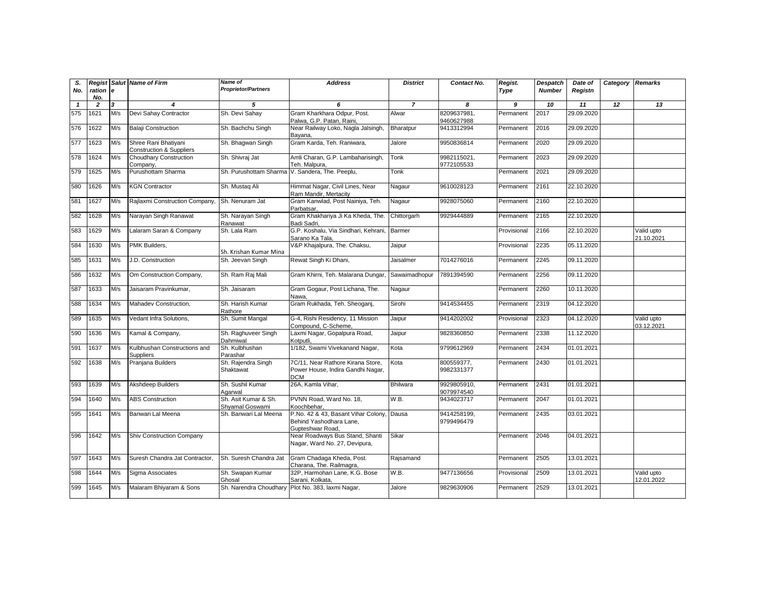| S.<br>No.    | ration<br>No.  | <b>e</b> | <b>Regist Salut Name of Firm</b>                            | Name of<br><b>Proprietor/Partners</b>   | <b>Address</b>                                                                           | <b>District</b> | Contact No.               | Regist.<br>Type | <b>Despatch</b><br><b>Number</b> | Date of<br>Registn | Category Remarks |                          |
|--------------|----------------|----------|-------------------------------------------------------------|-----------------------------------------|------------------------------------------------------------------------------------------|-----------------|---------------------------|-----------------|----------------------------------|--------------------|------------------|--------------------------|
| $\mathbf{1}$ | $\overline{2}$ | 3        | 4                                                           | 5                                       | 6                                                                                        | $\overline{7}$  | 8                         | 9               | 10                               | 11                 | 12               | 13                       |
| 575          | 1621           | M/s      | Devi Sahay Contractor                                       | Sh. Devi Sahay                          | Gram Kharkhara Odpur, Post.<br>Palwa, G.P. Patan, Raini.                                 | Alwar           | 8209637981,<br>9460627988 | Permanent       | 2017                             | 29.09.2020         |                  |                          |
| 576          | 1622           | M/s      | <b>Balaji Construction</b>                                  | Sh. Bachchu Singh                       | Near Railway Loko, Nagla Jalsingh,<br>Bayana,                                            | Bharatpur       | 9413312994                | Permanent       | 2016                             | 29.09.2020         |                  |                          |
| 577          | 1623           | M/s      | Shree Rani Bhatiyani<br><b>Construction &amp; Suppliers</b> | Sh. Bhagwan Singh                       | Gram Karda, Teh. Raniwara,                                                               | Jalore          | 9950836814                | Permanent       | 2020                             | 29.09.2020         |                  |                          |
| 578          | 1624           | M/s      | <b>Choudhary Construction</b><br>Company.                   | Sh. Shivraj Jat                         | Amli Charan, G.P. Lambaharisingh,<br>Teh. Malpura.                                       | Tonk            | 9982115021,<br>9772105533 | Permanent       | 2023                             | 29.09.2020         |                  |                          |
| 579          | 1625           | M/s      | Purushottam Sharma                                          |                                         | Sh. Purushottam Sharma V. Sandera, The. Peeplu,                                          | Tonk            |                           | Permanent       | 2021                             | 29.09.2020         |                  |                          |
| 580          | 1626           | M/s      | <b>KGN Contractor</b>                                       | Sh. Mustaq Ali                          | Himmat Nagar, Civil Lines, Near<br>Ram Mandir, Mertacity                                 | Nagaur          | 9610028123                | Permanent       | 2161                             | 22.10.2020         |                  |                          |
| 581          | 1627           | M/s      | Rajlaxmi Construction Company,                              | Sh. Nenuram Jat                         | Gram Kanwlad, Post Nainiya, Teh.<br>Parbatsar,                                           | Nagaur          | 9928075060                | Permanent       | 2160                             | 22.10.2020         |                  |                          |
| 582          | 1628           | M/s      | Narayan Singh Ranawat                                       | Sh. Narayan Singh<br>Ranawat            | Gram Khakhariya Ji Ka Kheda, The.<br>Badi Sadri,                                         | Chittorgarh     | 9929444889                | Permanent       | 2165                             | 22.10.2020         |                  |                          |
| 583          | 1629           | M/s      | Lalaram Saran & Company                                     | Sh. Lala Ram                            | G.P. Koshalu, Via Sindhari, Kehrani,<br>Sarano Ka Tala.                                  | Barmer          |                           | Provisional     | 2166                             | 22.10.2020         |                  | Valid upto<br>21.10.2021 |
| 584          | 1630           | M/s      | PMK Builders,                                               | Sh. Krishan Kumar Mina                  | V&P Khajalpura, The. Chaksu,                                                             | Jaipur          |                           | Provisional     | 2235                             | 05.11.2020         |                  |                          |
| 585          | 1631           | M/s      | J.D. Construction                                           | Sh. Jeevan Singh                        | Rewat Singh Ki Dhani,                                                                    | Jaisalmer       | 7014276016                | Permanent       | 2245                             | 09.11.2020         |                  |                          |
| 586          | 1632           | M/s      | Om Construction Company,                                    | Sh. Ram Raj Mali                        | Gram Khirni, Teh. Malarana Dungar,                                                       | Sawaimadhopur   | 7891394590                | Permanent       | 2256                             | 09.11.2020         |                  |                          |
| 587          | 1633           | M/s      | Jaisaram Pravinkumar,                                       | Sh. Jaisaram                            | Gram Gogaur, Post Lichana, The.<br>Nawa.                                                 | Nagaur          |                           | Permanent       | 2260                             | 10.11.2020         |                  |                          |
| 588          | 1634           | M/s      | Mahadev Construction,                                       | Sh. Harish Kumar<br>Rathore             | Gram Rukhada, Teh. Sheoganj,                                                             | Sirohi          | 9414534455                | Permanent       | 2319                             | 04.12.2020         |                  |                          |
| 589          | 1635           | M/s      | Vedant Infra Solutions,                                     | Sh. Sumit Mangal                        | G-4, Rishi Residency, 11 Mission<br>Compound, C-Scheme,                                  | Jaipur          | 9414202002                | Provisional     | 2323                             | 04.12.2020         |                  | Valid upto<br>03.12.2021 |
| 590          | 1636           | M/s      | Kamal & Company,                                            | Sh. Raghuveer Singh<br>Dahmiwal         | Laxmi Nagar, Gopalpura Road,<br>Kotputli.                                                | Jaipur          | 9828360850                | Permanent       | 2338                             | 11.12.2020         |                  |                          |
| 591          | 1637           | M/s      | Kulbhushan Constructions and<br>Suppliers                   | Sh. Kulbhushan<br>Parashar              | 1/182, Swami Vivekanand Nagar,                                                           | Kota            | 9799612969                | Permanent       | 2434                             | 01.01.2021         |                  |                          |
| 592          | 1638           | M/s      | Pranjana Builders                                           | Sh. Rajendra Singh<br>Shaktawat         | 7C/11, Near Rathore Kirana Store,<br>Power House, Indira Gandhi Nagar,<br><b>DCM</b>     | Kota            | 800559377,<br>9982331377  | Permanent       | 2430                             | 01.01.2021         |                  |                          |
| 593          | 1639           | M/s      | Akshdeep Builders                                           | Sh. Sushil Kumar<br>Agarwal             | 26A. Kamla Vihar.                                                                        | <b>Bhilwara</b> | 9929805910.<br>9079974540 | Permanent       | 2431                             | 01.01.2021         |                  |                          |
| 594          | 1640           | M/s      | <b>ABS Construction</b>                                     | Sh. Asit Kumar & Sh.<br>Shyamal Goswami | PVNN Road, Ward No. 18,<br>Koochbehar,                                                   | W.B.            | 9434023717                | Permanent       | 2047                             | 01.01.2021         |                  |                          |
| 595          | 1641           | M/s      | Banwari Lal Meena                                           | Sh. Banwari Lal Meena                   | P.No. 42 & 43, Basant Vihar Colony, Dausa<br>Behind Yashodhara Lane,<br>Gupteshwar Road. |                 | 9414258199,<br>9799496479 | Permanent       | 2435                             | 03.01.2021         |                  |                          |
| 596          | 1642           | M/s      | Shiv Construction Company                                   |                                         | Near Roadways Bus Stand, Shanti<br>Nagar, Ward No. 27, Devipura,                         | Sikar           |                           | Permanent       | 2046                             | 04.01.2021         |                  |                          |
| 597          | 1643           | M/s      | Suresh Chandra Jat Contractor.                              | Sh. Suresh Chandra Jat                  | Gram Chadaga Kheda, Post.<br>Charana, The. Railmagra,                                    | Rajsamand       |                           | Permanent       | 2505                             | 13.01.2021         |                  |                          |
| 598          | 1644           | M/s      | Sigma Associates                                            | Sh. Swapan Kumar<br>Ghosal              | 32P, Harmohan Lane, K.G. Bose<br>Sarani, Kolkata,                                        | W.B.            | 9477136656                | Provisional     | 2509                             | 13.01.2021         |                  | Valid upto<br>12.01.2022 |
| 599          | 1645           | M/s      | Malaram Bhiyaram & Sons                                     | Sh. Narendra Choudharv                  | Plot No. 383, laxmi Nagar,                                                               | Jalore          | 9829630906                | Permanent       | 2529                             | 13.01.2021         |                  |                          |